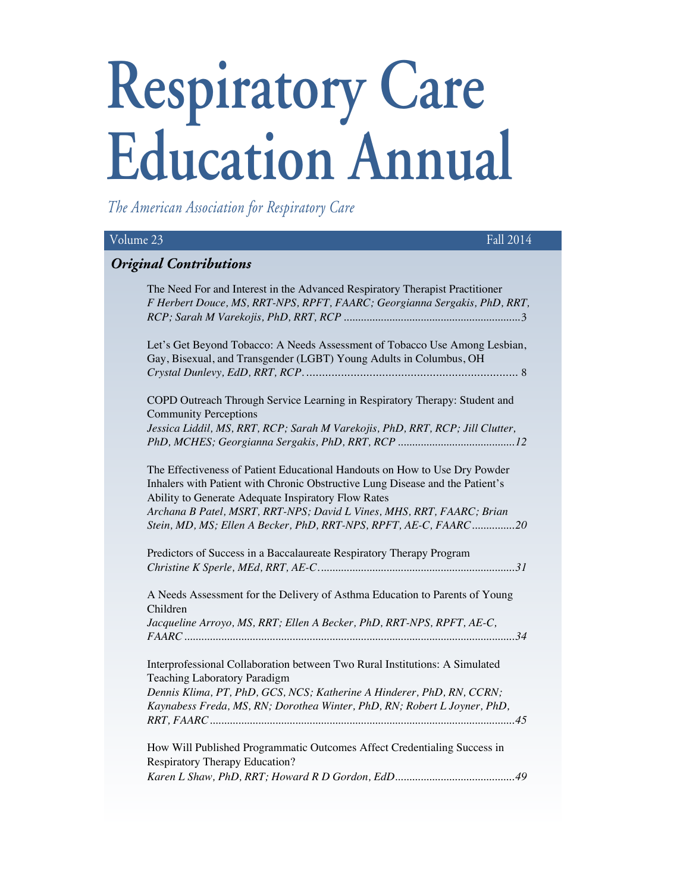# **Respiratory Care Education Annual**

*The American Association for Respiratory Care*

| Volume 23                                                                                                                                                                                                                                                                                                                                                       | Fall 2014 |
|-----------------------------------------------------------------------------------------------------------------------------------------------------------------------------------------------------------------------------------------------------------------------------------------------------------------------------------------------------------------|-----------|
| <b>Original Contributions</b>                                                                                                                                                                                                                                                                                                                                   |           |
| The Need For and Interest in the Advanced Respiratory Therapist Practitioner<br>F Herbert Douce, MS, RRT-NPS, RPFT, FAARC; Georgianna Sergakis, PhD, RRT,                                                                                                                                                                                                       |           |
| Let's Get Beyond Tobacco: A Needs Assessment of Tobacco Use Among Lesbian,<br>Gay, Bisexual, and Transgender (LGBT) Young Adults in Columbus, OH                                                                                                                                                                                                                |           |
| COPD Outreach Through Service Learning in Respiratory Therapy: Student and<br><b>Community Perceptions</b><br>Jessica Liddil, MS, RRT, RCP; Sarah M Varekojis, PhD, RRT, RCP; Jill Clutter,                                                                                                                                                                     |           |
| The Effectiveness of Patient Educational Handouts on How to Use Dry Powder<br>Inhalers with Patient with Chronic Obstructive Lung Disease and the Patient's<br>Ability to Generate Adequate Inspiratory Flow Rates<br>Archana B Patel, MSRT, RRT-NPS; David L Vines, MHS, RRT, FAARC; Brian<br>Stein, MD, MS; Ellen A Becker, PhD, RRT-NPS, RPFT, AE-C, FAARC20 |           |
| Predictors of Success in a Baccalaureate Respiratory Therapy Program                                                                                                                                                                                                                                                                                            |           |
| A Needs Assessment for the Delivery of Asthma Education to Parents of Young<br>Children<br>Jacqueline Arroyo, MS, RRT; Ellen A Becker, PhD, RRT-NPS, RPFT, AE-C,                                                                                                                                                                                                |           |
| Interprofessional Collaboration between Two Rural Institutions: A Simulated<br>Teaching Laboratory Paradigm<br>Dennis Klima, PT, PhD, GCS, NCS; Katherine A Hinderer, PhD, RN, CCRN;<br>Kaynabess Freda, MS, RN; Dorothea Winter, PhD, RN; Robert L Joyner, PhD,                                                                                                |           |
| How Will Published Programmatic Outcomes Affect Credentialing Success in<br>Respiratory Therapy Education?                                                                                                                                                                                                                                                      |           |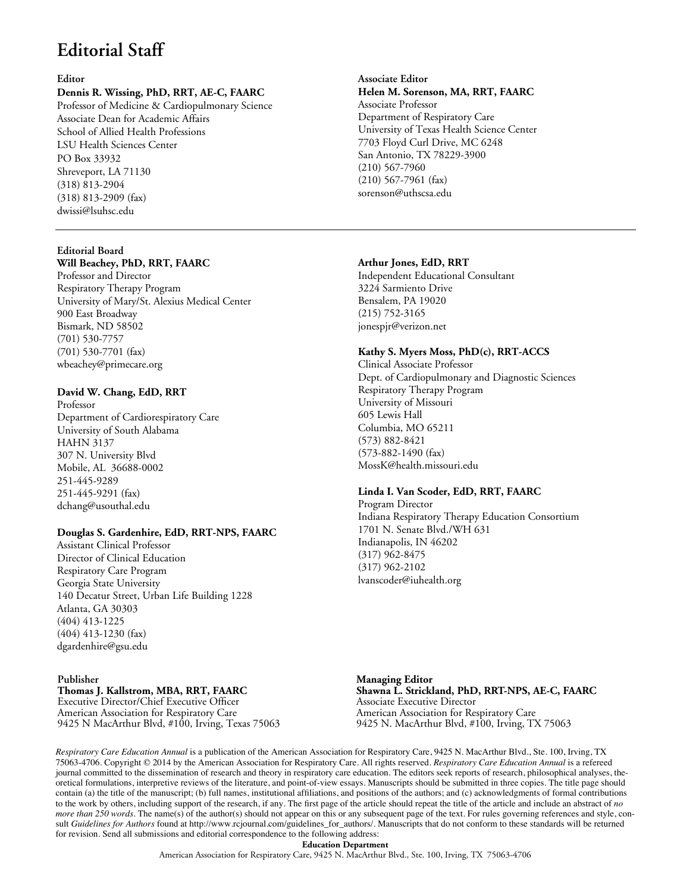# **Editorial Staff**

#### **Editor**

# **Dennis R. Wissing, PhD, RRT, AE-C, FAARC**

Professor of Medicine & Cardiopulmonary Science Associate Dean for Academic Affairs School of Allied Health Professions LSU Health Sciences Center PO Box 33932 Shreveport, LA 71130 (318) 813-2904 (318) 813-2909 (fax) [dwissi@lsuhsc.edu](mailto:dwissi%40lsuhsc.edu%20?subject=)

# **Editorial Board**

# **Will Beachey, PhD, RRT, FAARC**

Professor and Director Respiratory Therapy Program University of Mary/St. Alexius Medical Center 900 East Broadway Bismark, ND 58502 (701) 530-7757 (701) 530-7701 (fax) [wbeachey@primecare.org](mailto:wbeachey%40primecare.org?subject=)

# **David W. Chang, EdD, RRT**

Professor Department of Cardiorespiratory Care University of South Alabama HAHN 3137 307 N. University Blvd Mobile, AL 36688-0002 251-445-9289 251-445-9291 (fax) [dchang@usouthal.edu](mailto:dchang%40usouthal.edu?subject=)

# **Douglas S. Gardenhire, EdD, RRT-NPS, FAARC**

Assistant Clinical Professor Director of Clinical Education Respiratory Care Program Georgia State University 140 Decatur Street, Urban Life Building 1228 Atlanta, GA 30303 (404) 413-1225 (404) 413-1230 (fax) [dgardenhire@gsu.edu](mailto:dgardenhire%40gsu.edu%20?subject=) 

#### **Publisher Thomas J. Kallstrom, MBA, RRT, FAARC** Executive Director/Chief Executive Officer

American Association for Respiratory Care 9425 N MacArthur Blvd, #100, Irving, Texas 75063

# **Associate Editor Helen M. Sorenson, MA, RRT, FAARC** Associate Professor Department of Respiratory Care University of Texas Health Science Center 7703 Floyd Curl Drive, MC 6248 San Antonio, TX 78229-3900 (210) 567-7960 (210) 567-7961 (fax) [sorenson@uthscsa.edu](mailto:sorenson%40uthscsa.edu%20?subject=)

#### **Arthur Jones, EdD, RRT**

Independent Educational Consultant 3224 Sarmiento Drive Bensalem, PA 19020 (215) 752-3165 [jonespjr@verizon.net](mailto:jonespjr%40verizon.net%09?subject=)

#### **Kathy S. Myers Moss, PhD(c), RRT-ACCS**

Clinical Associate Professor Dept. of Cardiopulmonary and Diagnostic Sciences Respiratory Therapy Program University of Missouri 605 Lewis Hall Columbia, MO 65211 (573) 882-8421 (573-882-1490 (fax) [MossK@health.missouri.edu](mailto:MossK%40health.missouri.edu%20?subject=) 

# **Linda I. Van Scoder, EdD, RRT, FAARC**

Program Director Indiana Respiratory Therapy Education Consortium 1701 N. Senate Blvd./WH 631 Indianapolis, IN 46202 (317) 962-8475 (317) 962-2102 [lvanscoder@iuhealth.org](mailto:lvanscoder%40iuhealth.org%20?subject=) 

**Managing Editor Shawna L. Strickland, PhD, RRT-NPS, AE-C, FAARC** Associate Executive Director American Association for Respiratory Care 9425 N. MacArthur Blvd, #100, Irving, TX 75063

*Respiratory Care Education Annual* is a publication of the American Association for Respiratory Care, 9425 N. MacArthur Blvd., Ste. 100, Irving, TX 75063-4706. Copyright © 2014 by the American Association for Respiratory Care. All rights reserved. *Respiratory Care Education Annual* is a refereed journal committed to the dissemination of research and theory in respiratory care education. The editors seek reports of research, philosophical analyses, theoretical formulations, interpretive reviews of the literature, and point-of-view essays. Manuscripts should be submitted in three copies. The title page should contain (a) the title of the manuscript; (b) full names, institutional affiliations, and positions of the authors; and (c) acknowledgments of formal contributions to the work by others, including support of the research, if any. The first page of the article should repeat the title of the article and include an abstract of *no more than 250 words*. The name(s) of the author(s) should not appear on this or any subsequent page of the text. For rules governing references and style, consult *Guidelines for Authors* found at http://www.rcjournal.com/guidelines\_for\_authors/. Manuscripts that do not conform to these standards will be returned for revision. Send all submissions and editorial correspondence to the following address:

**Education Department** American Association for Respiratory Care, 9425 N. MacArthur Blvd., Ste. 100, Irving, TX 75063-4706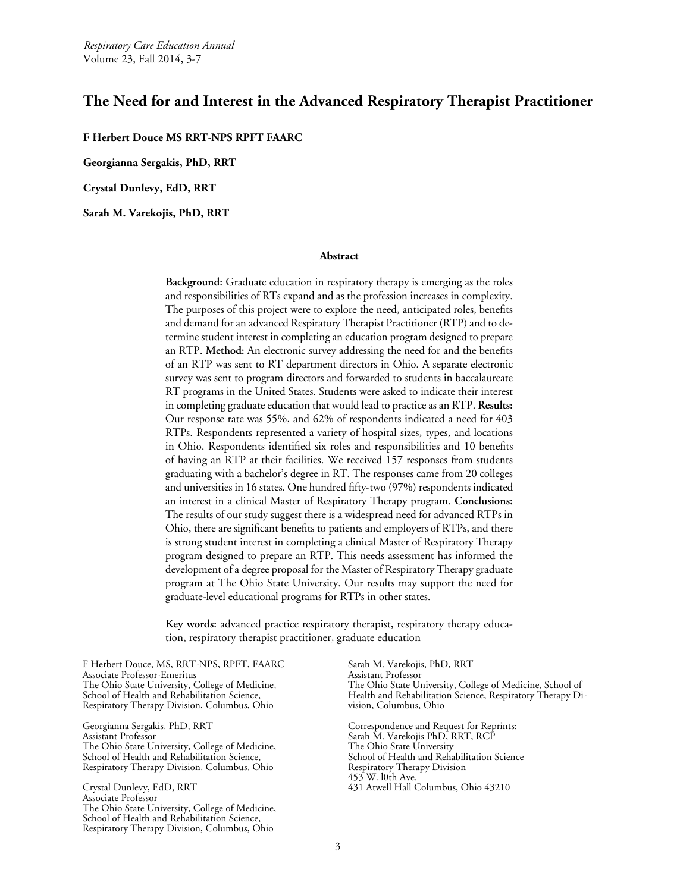*Respiratory Care Education Annual* Volume 23, Fall 2014, 3-7

# **The Need for and Interest in the Advanced Respiratory Therapist Practitioner**

**F Herbert Douce MS RRT-NPS RPFT FAARC**

**Georgianna Sergakis, PhD, RRT**

**Crystal Dunlevy, EdD, RRT**

**Sarah M. Varekojis, PhD, RRT**

#### **Abstract**

**Background:** Graduate education in respiratory therapy is emerging as the roles and responsibilities of RTs expand and as the profession increases in complexity. The purposes of this project were to explore the need, anticipated roles, benefits and demand for an advanced Respiratory Therapist Practitioner (RTP) and to determine student interest in completing an education program designed to prepare an RTP. **Method:** An electronic survey addressing the need for and the benefits of an RTP was sent to RT department directors in Ohio. A separate electronic survey was sent to program directors and forwarded to students in baccalaureate RT programs in the United States. Students were asked to indicate their interest in completing graduate education that would lead to practice as an RTP. **Results:**  Our response rate was 55%, and 62% of respondents indicated a need for 403 RTPs. Respondents represented a variety of hospital sizes, types, and locations in Ohio. Respondents identified six roles and responsibilities and 10 benefits of having an RTP at their facilities. We received 157 responses from students graduating with a bachelor's degree in RT. The responses came from 20 colleges and universities in 16 states. One hundred fifty-two (97%) respondents indicated an interest in a clinical Master of Respiratory Therapy program. **Conclusions:**  The results of our study suggest there is a widespread need for advanced RTPs in Ohio, there are significant benefits to patients and employers of RTPs, and there is strong student interest in completing a clinical Master of Respiratory Therapy program designed to prepare an RTP. This needs assessment has informed the development of a degree proposal for the Master of Respiratory Therapy graduate program at The Ohio State University. Our results may support the need for graduate-level educational programs for RTPs in other states.

**Key words:** advanced practice respiratory therapist, respiratory therapy education, respiratory therapist practitioner, graduate education

F Herbert Douce, MS, RRT-NPS, RPFT, FAARC Associate Professor-Emeritus The Ohio State University, College of Medicine, School of Health and Rehabilitation Science, Respiratory Therapy Division, Columbus, Ohio Georgianna Sergakis, PhD, RRT Assistant Professor The Ohio State University, College of Medicine, School of Health and Rehabilitation Science, Respiratory Therapy Division, Columbus, Ohio Crystal Dunlevy, EdD, RRT Associate Professor The Ohio State University, College of Medicine, School of Health and Rehabilitation Science, Respiratory Therapy Division, Columbus, Ohio Sarah M. Varekojis, PhD, RRT Assistant Professor The Ohio State University, College of Medicine, School of Health and Rehabilitation Science, Respiratory Therapy Division, Columbus, Ohio Correspondence and Request for Reprints: Sarah M. Varekojis PhD, RRT, RCP The Ohio State University School of Health and Rehabilitation Science Respiratory Therapy Division 453 W. l0th Ave. 431 Atwell Hall Columbus, Ohio 43210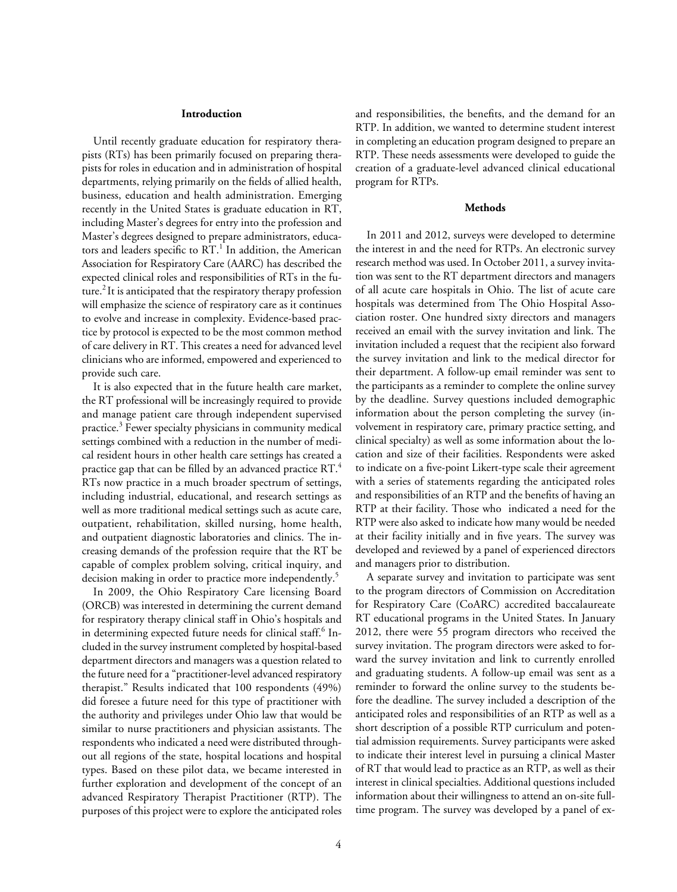#### **Introduction**

Until recently graduate education for respiratory therapists (RTs) has been primarily focused on preparing therapists for roles in education and in administration of hospital departments, relying primarily on the fields of allied health, business, education and health administration. Emerging recently in the United States is graduate education in RT, including Master's degrees for entry into the profession and Master's degrees designed to prepare administrators, educators and leaders specific to RT.<sup>1</sup> In addition, the American Association for Respiratory Care (AARC) has described the expected clinical roles and responsibilities of RTs in the future.<sup>2</sup> It is anticipated that the respiratory therapy profession will emphasize the science of respiratory care as it continues to evolve and increase in complexity. Evidence-based practice by protocol is expected to be the most common method of care delivery in RT. This creates a need for advanced level clinicians who are informed, empowered and experienced to provide such care.

It is also expected that in the future health care market, the RT professional will be increasingly required to provide and manage patient care through independent supervised practice.3 Fewer specialty physicians in community medical settings combined with a reduction in the number of medical resident hours in other health care settings has created a practice gap that can be filled by an advanced practice RT.4 RTs now practice in a much broader spectrum of settings, including industrial, educational, and research settings as well as more traditional medical settings such as acute care, outpatient, rehabilitation, skilled nursing, home health, and outpatient diagnostic laboratories and clinics. The increasing demands of the profession require that the RT be capable of complex problem solving, critical inquiry, and decision making in order to practice more independently.<sup>5</sup>

In 2009, the Ohio Respiratory Care licensing Board (ORCB) was interested in determining the current demand for respiratory therapy clinical staff in Ohio's hospitals and in determining expected future needs for clinical staff.<sup>6</sup> Included in the survey instrument completed by hospital-based department directors and managers was a question related to the future need for a "practitioner-level advanced respiratory therapist." Results indicated that 100 respondents (49%) did foresee a future need for this type of practitioner with the authority and privileges under Ohio law that would be similar to nurse practitioners and physician assistants. The respondents who indicated a need were distributed throughout all regions of the state, hospital locations and hospital types. Based on these pilot data, we became interested in further exploration and development of the concept of an advanced Respiratory Therapist Practitioner (RTP). The purposes of this project were to explore the anticipated roles

and responsibilities, the benefits, and the demand for an RTP. In addition, we wanted to determine student interest in completing an education program designed to prepare an RTP. These needs assessments were developed to guide the creation of a graduate-level advanced clinical educational program for RTPs.

#### **Methods**

In 2011 and 2012, surveys were developed to determine the interest in and the need for RTPs. An electronic survey research method was used. In October 2011, a survey invitation was sent to the RT department directors and managers of all acute care hospitals in Ohio. The list of acute care hospitals was determined from The Ohio Hospital Association roster. One hundred sixty directors and managers received an email with the survey invitation and link. The invitation included a request that the recipient also forward the survey invitation and link to the medical director for their department. A follow-up email reminder was sent to the participants as a reminder to complete the online survey by the deadline. Survey questions included demographic information about the person completing the survey (involvement in respiratory care, primary practice setting, and clinical specialty) as well as some information about the location and size of their facilities. Respondents were asked to indicate on a five-point Likert-type scale their agreement with a series of statements regarding the anticipated roles and responsibilities of an RTP and the benefits of having an RTP at their facility. Those who indicated a need for the RTP were also asked to indicate how many would be needed at their facility initially and in five years. The survey was developed and reviewed by a panel of experienced directors and managers prior to distribution.

A separate survey and invitation to participate was sent to the program directors of Commission on Accreditation for Respiratory Care (CoARC) accredited baccalaureate RT educational programs in the United States. In January 2012, there were 55 program directors who received the survey invitation. The program directors were asked to forward the survey invitation and link to currently enrolled and graduating students. A follow-up email was sent as a reminder to forward the online survey to the students before the deadline. The survey included a description of the anticipated roles and responsibilities of an RTP as well as a short description of a possible RTP curriculum and potential admission requirements. Survey participants were asked to indicate their interest level in pursuing a clinical Master of RT that would lead to practice as an RTP, as well as their interest in clinical specialties. Additional questions included information about their willingness to attend an on-site fulltime program. The survey was developed by a panel of ex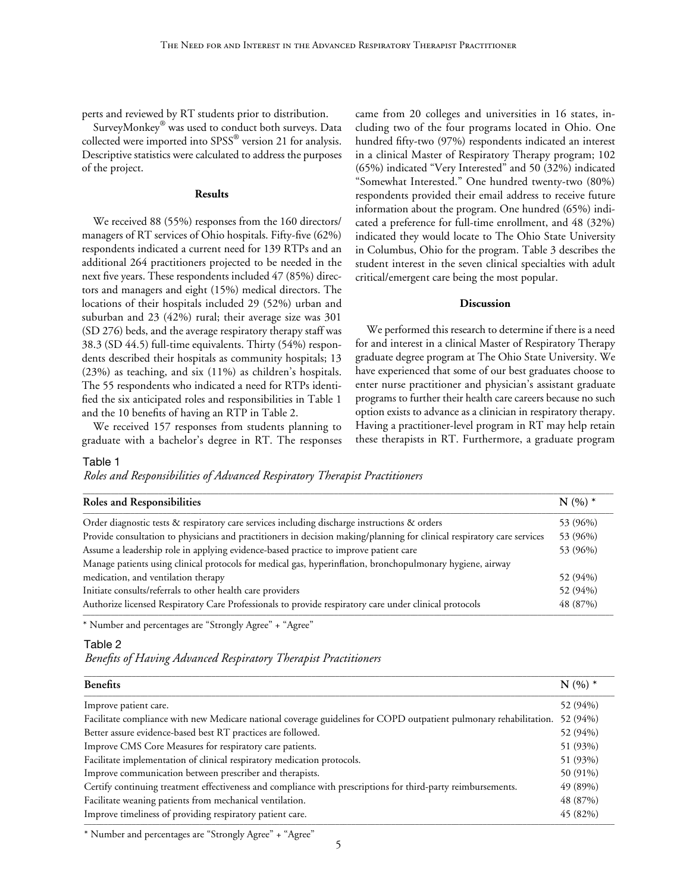perts and reviewed by RT students prior to distribution.

SurveyMonkey® was used to conduct both surveys. Data collected were imported into SPSS® version 21 for analysis. Descriptive statistics were calculated to address the purposes of the project.

#### **Results**

We received 88 (55%) responses from the 160 directors/ managers of RT services of Ohio hospitals. Fifty-five (62%) respondents indicated a current need for 139 RTPs and an additional 264 practitioners projected to be needed in the next five years. These respondents included 47 (85%) directors and managers and eight (15%) medical directors. The locations of their hospitals included 29 (52%) urban and suburban and 23 (42%) rural; their average size was 301 (SD 276) beds, and the average respiratory therapy staff was 38.3 (SD 44.5) full-time equivalents. Thirty (54%) respondents described their hospitals as community hospitals; 13 (23%) as teaching, and six (11%) as children's hospitals. The 55 respondents who indicated a need for RTPs identified the six anticipated roles and responsibilities in Table 1 and the 10 benefits of having an RTP in Table 2.

We received 157 responses from students planning to graduate with a bachelor's degree in RT. The responses

came from 20 colleges and universities in 16 states, including two of the four programs located in Ohio. One hundred fifty-two (97%) respondents indicated an interest in a clinical Master of Respiratory Therapy program; 102 (65%) indicated "Very Interested" and 50 (32%) indicated "Somewhat Interested." One hundred twenty-two (80%) respondents provided their email address to receive future information about the program. One hundred (65%) indicated a preference for full-time enrollment, and 48 (32%) indicated they would locate to The Ohio State University in Columbus, Ohio for the program. Table 3 describes the student interest in the seven clinical specialties with adult critical/emergent care being the most popular.

#### **Discussion**

We performed this research to determine if there is a need for and interest in a clinical Master of Respiratory Therapy graduate degree program at The Ohio State University. We have experienced that some of our best graduates choose to enter nurse practitioner and physician's assistant graduate programs to further their health care careers because no such option exists to advance as a clinician in respiratory therapy. Having a practitioner-level program in RT may help retain these therapists in RT. Furthermore, a graduate program

#### Table 1

*Roles and Responsibilities of Advanced Respiratory Therapist Practitioners*

| Roles and Responsibilities                                                                                              | $N(%)*$  |
|-------------------------------------------------------------------------------------------------------------------------|----------|
| Order diagnostic tests & respiratory care services including discharge instructions & orders                            | 53 (96%) |
| Provide consultation to physicians and practitioners in decision making/planning for clinical respiratory care services | 53 (96%) |
| Assume a leadership role in applying evidence-based practice to improve patient care                                    | 53 (96%) |
| Manage patients using clinical protocols for medical gas, hyperinflation, bronchopulmonary hygiene, airway              |          |
| medication, and ventilation therapy                                                                                     | 52 (94%) |
| Initiate consults/referrals to other health care providers                                                              | 52 (94%) |
| Authorize licensed Respiratory Care Professionals to provide respiratory care under clinical protocols                  | 48 (87%) |

\* Number and percentages are "Strongly Agree" + "Agree"

# Table 2

*Benefits of Having Advanced Respiratory Therapist Practitioners*

| <b>Benefits</b>                                                                                                    | $N(%)*$  |
|--------------------------------------------------------------------------------------------------------------------|----------|
| Improve patient care.                                                                                              | 52 (94%) |
| Facilitate compliance with new Medicare national coverage guidelines for COPD outpatient pulmonary rehabilitation. | 52 (94%) |
| Better assure evidence-based best RT practices are followed.                                                       | 52 (94%) |
| Improve CMS Core Measures for respiratory care patients.                                                           | 51 (93%) |
| Facilitate implementation of clinical respiratory medication protocols.                                            | 51 (93%) |
| Improve communication between prescriber and therapists.                                                           | 50 (91%) |
| Certify continuing treatment effectiveness and compliance with prescriptions for third-party reimbursements.       | 49 (89%) |
| Facilitate weaning patients from mechanical ventilation.                                                           | 48 (87%) |
| Improve timeliness of providing respiratory patient care.                                                          | 45 (82%) |

\* Number and percentages are "Strongly Agree" + "Agree"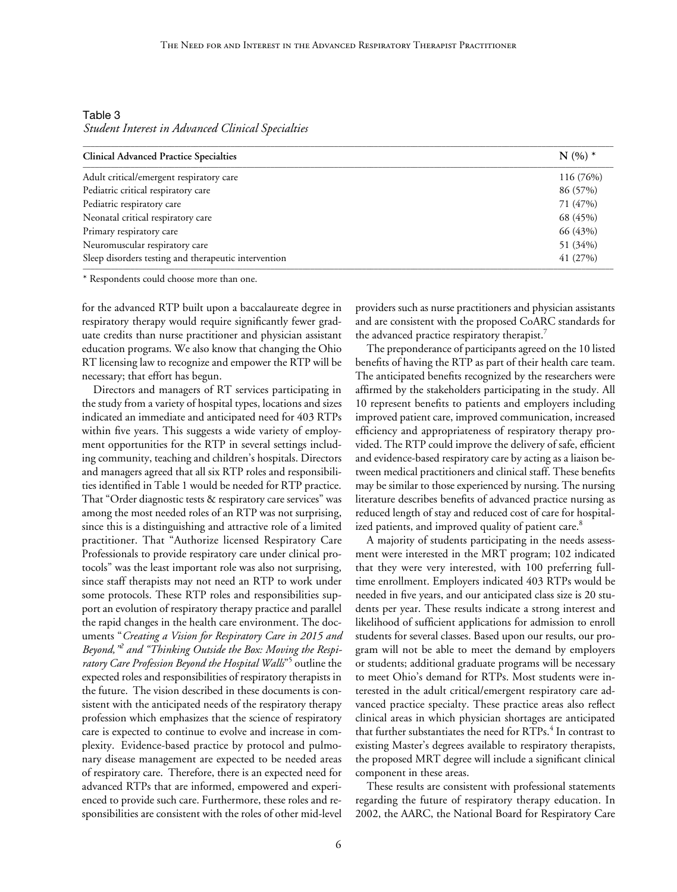Table 3 *Student Interest in Advanced Clinical Specialties*

| <b>Clinical Advanced Practice Specialties</b>        | $N(%)*$   |
|------------------------------------------------------|-----------|
| Adult critical/emergent respiratory care             | 116 (76%) |
| Pediatric critical respiratory care                  | 86 (57%)  |
| Pediatric respiratory care                           | 71 (47%)  |
| Neonatal critical respiratory care                   | 68 (45%)  |
| Primary respiratory care                             | 66 (43%)  |
| Neuromuscular respiratory care                       | 51 (34%)  |
| Sleep disorders testing and therapeutic intervention | 41 (27%)  |

\* Respondents could choose more than one.

for the advanced RTP built upon a baccalaureate degree in respiratory therapy would require significantly fewer graduate credits than nurse practitioner and physician assistant education programs. We also know that changing the Ohio RT licensing law to recognize and empower the RTP will be necessary; that effort has begun.

Directors and managers of RT services participating in the study from a variety of hospital types, locations and sizes indicated an immediate and anticipated need for 403 RTPs within five years. This suggests a wide variety of employment opportunities for the RTP in several settings including community, teaching and children's hospitals. Directors and managers agreed that all six RTP roles and responsibilities identified in Table 1 would be needed for RTP practice. That "Order diagnostic tests & respiratory care services" was among the most needed roles of an RTP was not surprising, since this is a distinguishing and attractive role of a limited practitioner. That "Authorize licensed Respiratory Care Professionals to provide respiratory care under clinical protocols" was the least important role was also not surprising, since staff therapists may not need an RTP to work under some protocols. These RTP roles and responsibilities support an evolution of respiratory therapy practice and parallel the rapid changes in the health care environment. The documents "*Creating a Vision for Respiratory Care in 2015 and Beyond,"2 and "Thinking Outside the Box: Moving the Respi*ratory Care Profession Beyond the Hospital Walls"<sup>5</sup> outline the expected roles and responsibilities of respiratory therapists in the future. The vision described in these documents is consistent with the anticipated needs of the respiratory therapy profession which emphasizes that the science of respiratory care is expected to continue to evolve and increase in complexity. Evidence-based practice by protocol and pulmonary disease management are expected to be needed areas of respiratory care. Therefore, there is an expected need for advanced RTPs that are informed, empowered and experienced to provide such care. Furthermore, these roles and responsibilities are consistent with the roles of other mid-level

providers such as nurse practitioners and physician assistants and are consistent with the proposed CoARC standards for the advanced practice respiratory therapist.<sup>7</sup>

The preponderance of participants agreed on the 10 listed benefits of having the RTP as part of their health care team. The anticipated benefits recognized by the researchers were affirmed by the stakeholders participating in the study. All 10 represent benefits to patients and employers including improved patient care, improved communication, increased efficiency and appropriateness of respiratory therapy provided. The RTP could improve the delivery of safe, efficient and evidence-based respiratory care by acting as a liaison between medical practitioners and clinical staff. These benefits may be similar to those experienced by nursing. The nursing literature describes benefits of advanced practice nursing as reduced length of stay and reduced cost of care for hospitalized patients, and improved quality of patient care.<sup>8</sup>

A majority of students participating in the needs assessment were interested in the MRT program; 102 indicated that they were very interested, with 100 preferring fulltime enrollment. Employers indicated 403 RTPs would be needed in five years, and our anticipated class size is 20 students per year. These results indicate a strong interest and likelihood of sufficient applications for admission to enroll students for several classes. Based upon our results, our program will not be able to meet the demand by employers or students; additional graduate programs will be necessary to meet Ohio's demand for RTPs. Most students were interested in the adult critical/emergent respiratory care advanced practice specialty. These practice areas also reflect clinical areas in which physician shortages are anticipated that further substantiates the need for RTPs.<sup>4</sup> In contrast to existing Master's degrees available to respiratory therapists, the proposed MRT degree will include a significant clinical component in these areas.

These results are consistent with professional statements regarding the future of respiratory therapy education. In 2002, the AARC, the National Board for Respiratory Care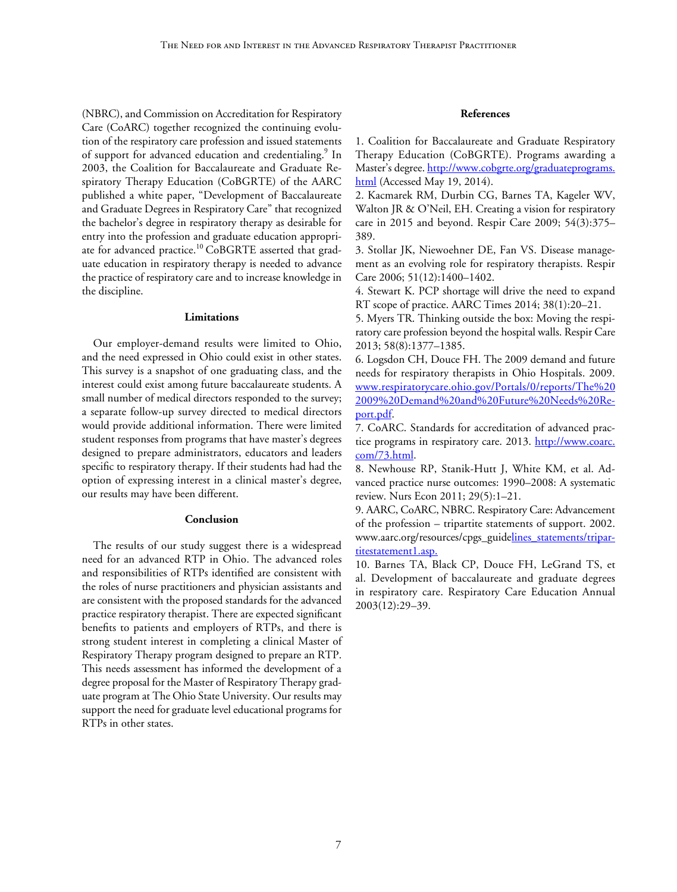(NBRC), and Commission on Accreditation for Respiratory Care (CoARC) together recognized the continuing evolution of the respiratory care profession and issued statements of support for advanced education and credentialing.<sup>9</sup> In 2003, the Coalition for Baccalaureate and Graduate Respiratory Therapy Education (CoBGRTE) of the AARC published a white paper, "Development of Baccalaureate and Graduate Degrees in Respiratory Care" that recognized the bachelor's degree in respiratory therapy as desirable for entry into the profession and graduate education appropriate for advanced practice.<sup>10</sup> CoBGRTE asserted that graduate education in respiratory therapy is needed to advance the practice of respiratory care and to increase knowledge in the discipline.

#### **Limitations**

Our employer-demand results were limited to Ohio, and the need expressed in Ohio could exist in other states. This survey is a snapshot of one graduating class, and the interest could exist among future baccalaureate students. A small number of medical directors responded to the survey; a separate follow-up survey directed to medical directors would provide additional information. There were limited student responses from programs that have master's degrees designed to prepare administrators, educators and leaders specific to respiratory therapy. If their students had had the option of expressing interest in a clinical master's degree, our results may have been different.

#### **Conclusion**

The results of our study suggest there is a widespread need for an advanced RTP in Ohio. The advanced roles and responsibilities of RTPs identified are consistent with the roles of nurse practitioners and physician assistants and are consistent with the proposed standards for the advanced practice respiratory therapist. There are expected significant benefits to patients and employers of RTPs, and there is strong student interest in completing a clinical Master of Respiratory Therapy program designed to prepare an RTP. This needs assessment has informed the development of a degree proposal for the Master of Respiratory Therapy graduate program at The Ohio State University. Our results may support the need for graduate level educational programs for RTPs in other states.

# **References**

1. Coalition for Baccalaureate and Graduate Respiratory Therapy Education (CoBGRTE). Programs awarding a Master's degree. [http://www.cobgrte.org/graduateprograms.](http://www.cobgrte.org/graduateprograms.html) [html](http://www.cobgrte.org/graduateprograms.html) (Accessed May 19, 2014).

2. Kacmarek RM, Durbin CG, Barnes TA, Kageler WV, Walton JR & O'Neil, EH. Creating a vision for respiratory care in 2015 and beyond. Respir Care 2009; 54(3):375– 389.

3. Stollar JK, Niewoehner DE, Fan VS. Disease management as an evolving role for respiratory therapists. Respir Care 2006; 51(12):1400–1402.

4. Stewart K. PCP shortage will drive the need to expand RT scope of practice. AARC Times 2014; 38(1):20–21.

5. Myers TR. Thinking outside the box: Moving the respiratory care profession beyond the hospital walls. Respir Care 2013; 58(8):1377–1385.

6. Logsdon CH, Douce FH. The 2009 demand and future needs for respiratory therapists in Ohio Hospitals. 2009. [www.respiratorycare.ohio.gov/Portals/0/reports/The%20](http://www.respiratorycare.ohio.gov/Portals/0/reports/The%202009%20Demand%20and%20Future%20Needs%20Report.pdf) [2009%20Demand%20and%20Future%20Needs%20Re](http://www.respiratorycare.ohio.gov/Portals/0/reports/The%202009%20Demand%20and%20Future%20Needs%20Report.pdf)[port.pdf.](http://www.respiratorycare.ohio.gov/Portals/0/reports/The%202009%20Demand%20and%20Future%20Needs%20Report.pdf)

7. CoARC. Standards for accreditation of advanced practice programs in respiratory care. 2013. [http://www.coarc.](http://www.coarc.com/73.html) [com/73.html.](http://www.coarc.com/73.html)

8. Newhouse RP, Stanik-Hutt J, White KM, et al. Advanced practice nurse outcomes: 1990–2008: A systematic review. Nurs Econ 2011; 29(5):1–21.

9. AARC, CoARC, NBRC. Respiratory Care: Advancement of the profession – tripartite statements of support. 2002. www.aarc.org/resources/cpgs\_guide[lines\\_statements/tripar](http://www.aarc.org/resources/cpgs_guide-lines_statements/tripartitestatement1.asp)[titestatement1.asp.](http://www.aarc.org/resources/cpgs_guide-lines_statements/tripartitestatement1.asp)

10. Barnes TA, Black CP, Douce FH, LeGrand TS, et al. Development of baccalaureate and graduate degrees in respiratory care. Respiratory Care Education Annual 2003(12):29–39.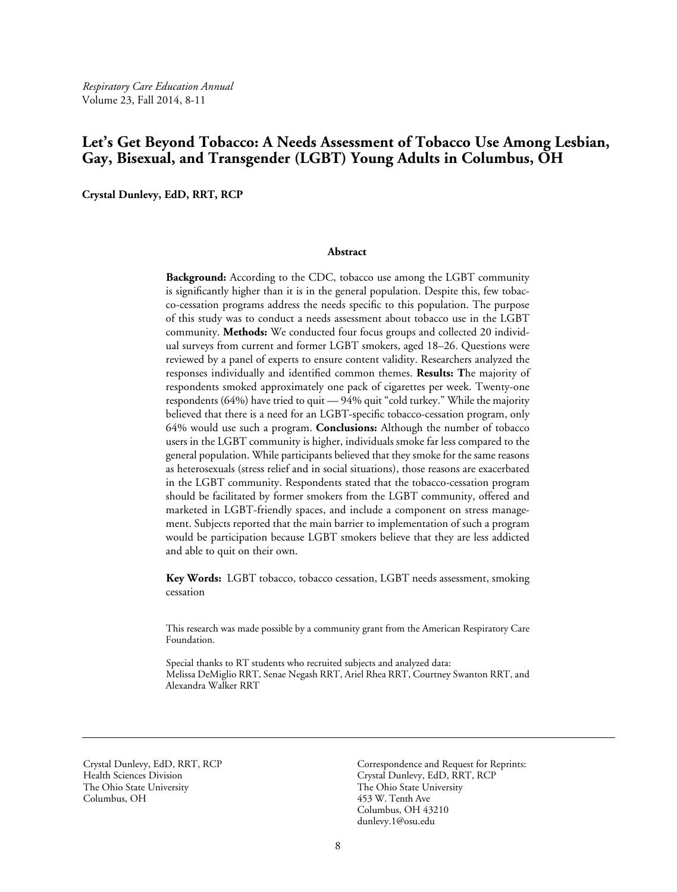*Respiratory Care Education Annual* Volume 23, Fall 2014, 8-11

# **Let's Get Beyond Tobacco: A Needs Assessment of Tobacco Use Among Lesbian, Gay, Bisexual, and Transgender (LGBT) Young Adults in Columbus, OH**

**Crystal Dunlevy, EdD, RRT, RCP**

#### **Abstract**

**Background:** According to the CDC, tobacco use among the LGBT community is significantly higher than it is in the general population. Despite this, few tobacco-cessation programs address the needs specific to this population. The purpose of this study was to conduct a needs assessment about tobacco use in the LGBT community. **Methods:** We conducted four focus groups and collected 20 individual surveys from current and former LGBT smokers, aged 18–26. Questions were reviewed by a panel of experts to ensure content validity. Researchers analyzed the responses individually and identified common themes. **Results: T**he majority of respondents smoked approximately one pack of cigarettes per week. Twenty-one respondents (64%) have tried to quit — 94% quit "cold turkey." While the majority believed that there is a need for an LGBT-specific tobacco-cessation program, only 64% would use such a program. **Conclusions:** Although the number of tobacco users in the LGBT community is higher, individuals smoke far less compared to the general population. While participants believed that they smoke for the same reasons as heterosexuals (stress relief and in social situations), those reasons are exacerbated in the LGBT community. Respondents stated that the tobacco-cessation program should be facilitated by former smokers from the LGBT community, offered and marketed in LGBT-friendly spaces, and include a component on stress management. Subjects reported that the main barrier to implementation of such a program would be participation because LGBT smokers believe that they are less addicted and able to quit on their own.

**Key Words:** LGBT tobacco, tobacco cessation, LGBT needs assessment, smoking cessation

This research was made possible by a community grant from the American Respiratory Care Foundation.

Special thanks to RT students who recruited subjects and analyzed data: Melissa DeMiglio RRT, Senae Negash RRT, Ariel Rhea RRT, Courtney Swanton RRT, and Alexandra Walker RRT

Crystal Dunlevy, EdD, RRT, RCP Health Sciences Division The Ohio State University Columbus, OH

Correspondence and Request for Reprints: Crystal Dunlevy, EdD, RRT, RCP The Ohio State University 453 W. Tenth Ave Columbus, OH 43210 [dunlevy.1@osu.edu](mailto:dunlevy.1%40osu.edu?subject=)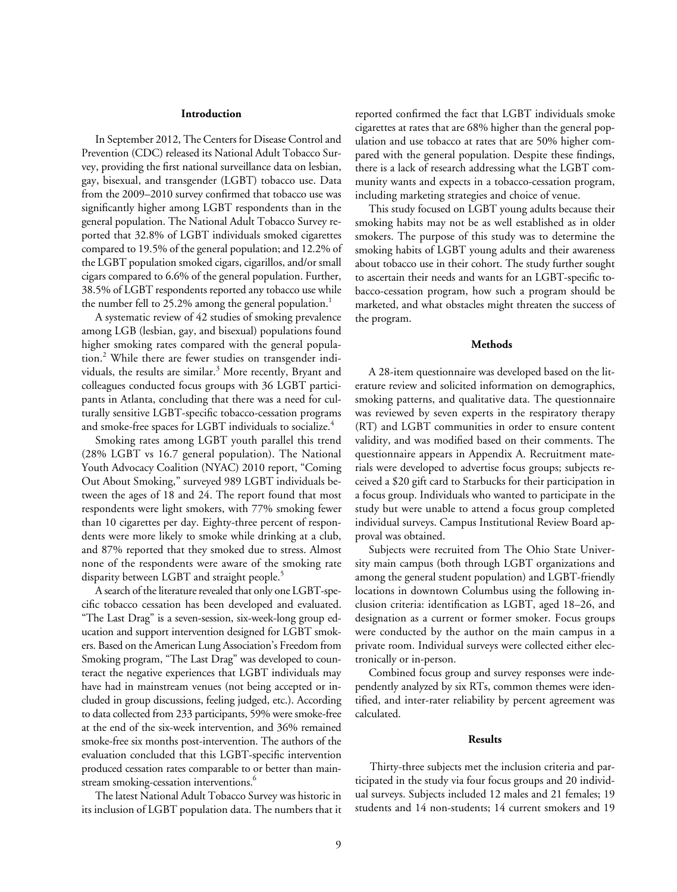#### **Introduction**

In September 2012, The Centers for Disease Control and Prevention (CDC) released its National Adult Tobacco Survey, providing the first national surveillance data on lesbian, gay, bisexual, and transgender (LGBT) tobacco use. Data from the 2009–2010 survey confirmed that tobacco use was significantly higher among LGBT respondents than in the general population. The National Adult Tobacco Survey reported that 32.8% of LGBT individuals smoked cigarettes compared to 19.5% of the general population; and 12.2% of the LGBT population smoked cigars, cigarillos, and/or small cigars compared to 6.6% of the general population. Further, 38.5% of LGBT respondents reported any tobacco use while the number fell to 25.2% among the general population.<sup>1</sup>

A systematic review of 42 studies of smoking prevalence among LGB (lesbian, gay, and bisexual) populations found higher smoking rates compared with the general population.<sup>2</sup> While there are fewer studies on transgender individuals, the results are similar.<sup>3</sup> More recently, Bryant and colleagues conducted focus groups with 36 LGBT participants in Atlanta, concluding that there was a need for culturally sensitive LGBT-specific tobacco-cessation programs and smoke-free spaces for LGBT individuals to socialize.<sup>4</sup>

Smoking rates among LGBT youth parallel this trend (28% LGBT vs 16.7 general population). The National Youth Advocacy Coalition (NYAC) 2010 report, "Coming Out About Smoking," surveyed 989 LGBT individuals between the ages of 18 and 24. The report found that most respondents were light smokers, with 77% smoking fewer than 10 cigarettes per day. Eighty-three percent of respondents were more likely to smoke while drinking at a club, and 87% reported that they smoked due to stress. Almost none of the respondents were aware of the smoking rate disparity between LGBT and straight people.<sup>5</sup>

A search of the literature revealed that only one LGBT-specific tobacco cessation has been developed and evaluated. "The Last Drag" is a seven-session, six-week-long group education and support intervention designed for LGBT smokers. Based on the American Lung Association's Freedom from Smoking program, "The Last Drag" was developed to counteract the negative experiences that LGBT individuals may have had in mainstream venues (not being accepted or included in group discussions, feeling judged, etc.). According to data collected from 233 participants, 59% were smoke-free at the end of the six-week intervention, and 36% remained smoke-free six months post-intervention. The authors of the evaluation concluded that this LGBT-specific intervention produced cessation rates comparable to or better than mainstream smoking-cessation interventions.<sup>6</sup>

The latest National Adult Tobacco Survey was historic in its inclusion of LGBT population data. The numbers that it reported confirmed the fact that LGBT individuals smoke cigarettes at rates that are 68% higher than the general population and use tobacco at rates that are 50% higher compared with the general population. Despite these findings, there is a lack of research addressing what the LGBT community wants and expects in a tobacco-cessation program, including marketing strategies and choice of venue.

This study focused on LGBT young adults because their smoking habits may not be as well established as in older smokers. The purpose of this study was to determine the smoking habits of LGBT young adults and their awareness about tobacco use in their cohort. The study further sought to ascertain their needs and wants for an LGBT-specific tobacco-cessation program, how such a program should be marketed, and what obstacles might threaten the success of the program.

#### **Methods**

A 28-item questionnaire was developed based on the literature review and solicited information on demographics, smoking patterns, and qualitative data. The questionnaire was reviewed by seven experts in the respiratory therapy (RT) and LGBT communities in order to ensure content validity, and was modified based on their comments. The questionnaire appears in Appendix A. Recruitment materials were developed to advertise focus groups; subjects received a \$20 gift card to Starbucks for their participation in a focus group. Individuals who wanted to participate in the study but were unable to attend a focus group completed individual surveys. Campus Institutional Review Board approval was obtained.

Subjects were recruited from The Ohio State University main campus (both through LGBT organizations and among the general student population) and LGBT-friendly locations in downtown Columbus using the following inclusion criteria: identification as LGBT, aged 18–26, and designation as a current or former smoker. Focus groups were conducted by the author on the main campus in a private room. Individual surveys were collected either electronically or in-person.

Combined focus group and survey responses were independently analyzed by six RTs, common themes were identified, and inter-rater reliability by percent agreement was calculated.

#### **Results**

Thirty-three subjects met the inclusion criteria and participated in the study via four focus groups and 20 individual surveys. Subjects included 12 males and 21 females; 19 students and 14 non-students; 14 current smokers and 19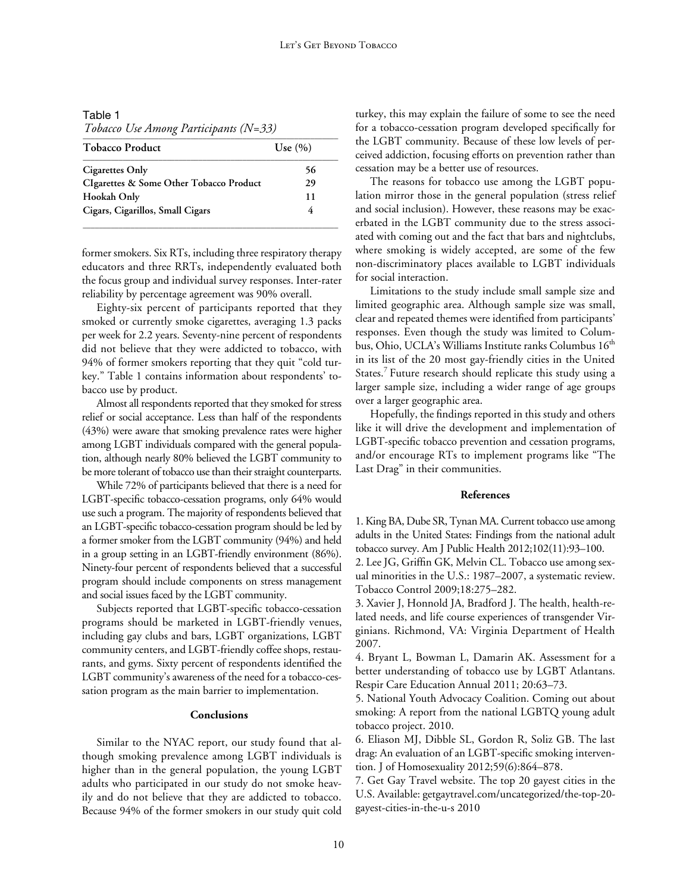Table 1 *Tobacco Use Among Participants (N=33)* \_\_\_\_\_\_\_\_\_\_\_\_\_\_\_\_\_\_\_\_\_\_\_\_\_\_\_\_\_\_\_\_\_\_\_\_\_\_\_\_\_\_\_\_\_\_\_\_\_\_\_\_\_\_\_\_\_\_\_\_\_\_\_\_

| <b>Tobacco Product</b>                  | Use $(\% )$ |
|-----------------------------------------|-------------|
| Cigarettes Only                         | 56          |
| CIgarettes & Some Other Tobacco Product | 29          |
| Hookah Only                             | 11          |
| Cigars, Cigarillos, Small Cigars        |             |

former smokers. Six RTs, including three respiratory therapy educators and three RRTs, independently evaluated both the focus group and individual survey responses. Inter-rater reliability by percentage agreement was 90% overall.

Eighty-six percent of participants reported that they smoked or currently smoke cigarettes, averaging 1.3 packs per week for 2.2 years. Seventy-nine percent of respondents did not believe that they were addicted to tobacco, with 94% of former smokers reporting that they quit "cold turkey." Table 1 contains information about respondents' tobacco use by product.

Almost all respondents reported that they smoked for stress relief or social acceptance. Less than half of the respondents (43%) were aware that smoking prevalence rates were higher among LGBT individuals compared with the general population, although nearly 80% believed the LGBT community to be more tolerant of tobacco use than their straight counterparts.

While 72% of participants believed that there is a need for LGBT-specific tobacco-cessation programs, only 64% would use such a program. The majority of respondents believed that an LGBT-specific tobacco-cessation program should be led by a former smoker from the LGBT community (94%) and held in a group setting in an LGBT-friendly environment (86%). Ninety-four percent of respondents believed that a successful program should include components on stress management and social issues faced by the LGBT community.

Subjects reported that LGBT-specific tobacco-cessation programs should be marketed in LGBT-friendly venues, including gay clubs and bars, LGBT organizations, LGBT community centers, and LGBT-friendly coffee shops, restaurants, and gyms. Sixty percent of respondents identified the LGBT community's awareness of the need for a tobacco-cessation program as the main barrier to implementation.

# **Conclusions**

Similar to the NYAC report, our study found that although smoking prevalence among LGBT individuals is higher than in the general population, the young LGBT adults who participated in our study do not smoke heavily and do not believe that they are addicted to tobacco. Because 94% of the former smokers in our study quit cold turkey, this may explain the failure of some to see the need for a tobacco-cessation program developed specifically for the LGBT community. Because of these low levels of perceived addiction, focusing efforts on prevention rather than cessation may be a better use of resources.

The reasons for tobacco use among the LGBT population mirror those in the general population (stress relief and social inclusion). However, these reasons may be exacerbated in the LGBT community due to the stress associated with coming out and the fact that bars and nightclubs, where smoking is widely accepted, are some of the few non-discriminatory places available to LGBT individuals for social interaction.

Limitations to the study include small sample size and limited geographic area. Although sample size was small, clear and repeated themes were identified from participants' responses. Even though the study was limited to Columbus, Ohio, UCLA's Williams Institute ranks Columbus 16<sup>th</sup> in its list of the 20 most gay-friendly cities in the United States.<sup>7</sup> Future research should replicate this study using a larger sample size, including a wider range of age groups over a larger geographic area.

Hopefully, the findings reported in this study and others like it will drive the development and implementation of LGBT-specific tobacco prevention and cessation programs, and/or encourage RTs to implement programs like "The Last Drag" in their communities.

#### **References**

1. King BA, Dube SR, Tynan MA. Current tobacco use among adults in the United States: Findings from the national adult tobacco survey. Am J Public Health 2012;102(11):93–100.

2. Lee JG, Griffin GK, Melvin CL. Tobacco use among sexual minorities in the U.S.: 1987–2007, a systematic review. Tobacco Control 2009;18:275–282.

3. Xavier J, Honnold JA, Bradford J. The health, health-related needs, and life course experiences of transgender Virginians. Richmond, VA: Virginia Department of Health 2007.

4. Bryant L, Bowman L, Damarin AK. Assessment for a better understanding of tobacco use by LGBT Atlantans. Respir Care Education Annual 2011; 20:63–73.

5. National Youth Advocacy Coalition. Coming out about smoking: A report from the national LGBTQ young adult tobacco project. 2010.

6. Eliason MJ, Dibble SL, Gordon R, Soliz GB. The last drag: An evaluation of an LGBT-specific smoking intervention. J of Homosexuality 2012;59(6):864–878.

7. Get Gay Travel website. The top 20 gayest cities in the U.S. Available: getgaytravel.com/uncategorized/the-top-20 gayest-cities-in-the-u-s 2010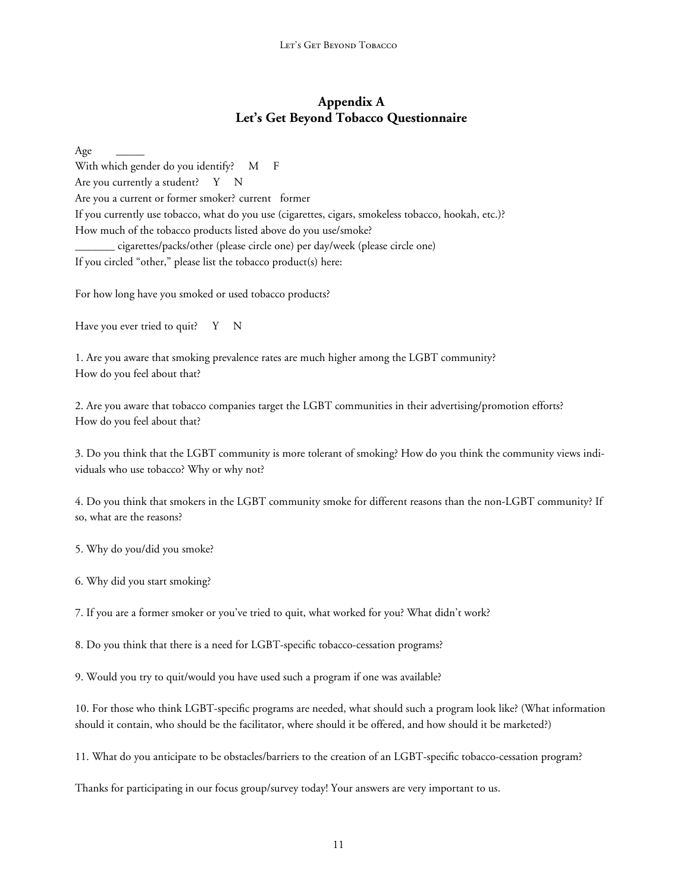# **Appendix A Let's Get Beyond Tobacco Questionnaire**

Age \_\_\_\_\_ With which gender do you identify? M F Are you currently a student? Y N Are you a current or former smoker? current former If you currently use tobacco, what do you use (cigarettes, cigars, smokeless tobacco, hookah, etc.)? How much of the tobacco products listed above do you use/smoke? \_\_\_\_\_\_\_ cigarettes/packs/other (please circle one) per day/week (please circle one) If you circled "other," please list the tobacco product(s) here:

For how long have you smoked or used tobacco products?

Have you ever tried to quit? Y N

1. Are you aware that smoking prevalence rates are much higher among the LGBT community? How do you feel about that?

2. Are you aware that tobacco companies target the LGBT communities in their advertising/promotion efforts? How do you feel about that?

3. Do you think that the LGBT community is more tolerant of smoking? How do you think the community views individuals who use tobacco? Why or why not?

4. Do you think that smokers in the LGBT community smoke for different reasons than the non-LGBT community? If so, what are the reasons?

5. Why do you/did you smoke?

6. Why did you start smoking?

7. If you are a former smoker or you've tried to quit, what worked for you? What didn't work?

8. Do you think that there is a need for LGBT-specific tobacco-cessation programs?

9. Would you try to quit/would you have used such a program if one was available?

10. For those who think LGBT-specific programs are needed, what should such a program look like? (What information should it contain, who should be the facilitator, where should it be offered, and how should it be marketed?)

11. What do you anticipate to be obstacles/barriers to the creation of an LGBT-specific tobacco-cessation program?

Thanks for participating in our focus group/survey today! Your answers are very important to us.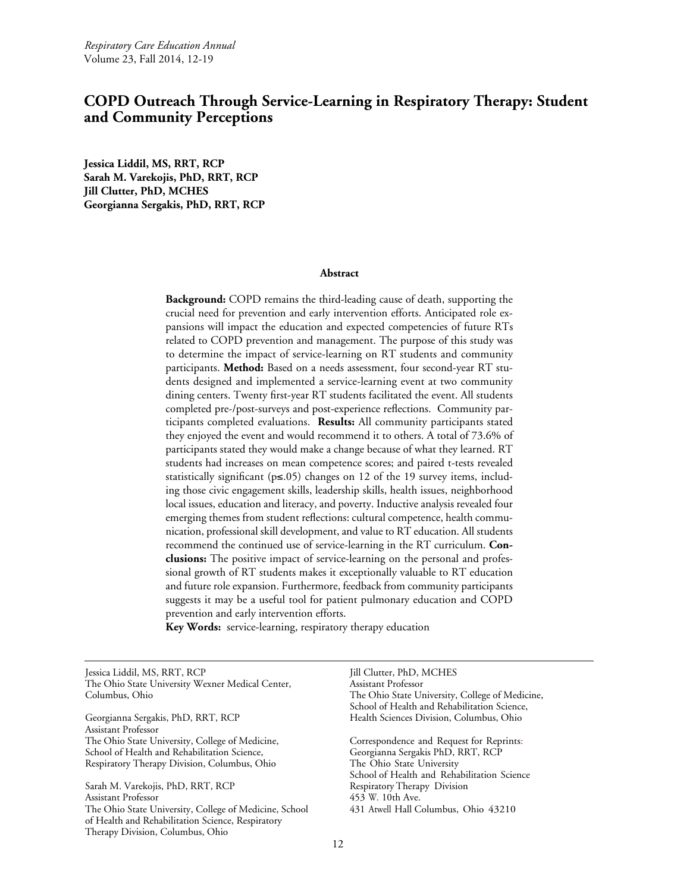# **COPD Outreach Through Service-Learning in Respiratory Therapy: Student and Community Perceptions**

**Jessica Liddil, MS, RRT, RCP Sarah M. Varekojis, PhD, RRT, RCP Jill Clutter, PhD, MCHES Georgianna Sergakis, PhD, RRT, RCP**

#### **Abstract**

**Background:** COPD remains the third-leading cause of death, supporting the crucial need for prevention and early intervention efforts. Anticipated role expansions will impact the education and expected competencies of future RTs related to COPD prevention and management. The purpose of this study was to determine the impact of service-learning on RT students and community participants. **Method:** Based on a needs assessment, four second-year RT students designed and implemented a service-learning event at two community dining centers. Twenty first-year RT students facilitated the event. All students completed pre-/post-surveys and post-experience reflections. Community participants completed evaluations. **Results:** All community participants stated they enjoyed the event and would recommend it to others. A total of 73.6% of participants stated they would make a change because of what they learned. RT students had increases on mean competence scores; and paired t-tests revealed statistically significant (p≤.05) changes on 12 of the 19 survey items, including those civic engagement skills, leadership skills, health issues, neighborhood local issues, education and literacy, and poverty. Inductive analysis revealed four emerging themes from student reflections: cultural competence, health communication, professional skill development, and value to RT education. All students recommend the continued use of service-learning in the RT curriculum. **Conclusions:** The positive impact of service-learning on the personal and professional growth of RT students makes it exceptionally valuable to RT education and future role expansion. Furthermore, feedback from community participants suggests it may be a useful tool for patient pulmonary education and COPD prevention and early intervention efforts.

**Key Words:** service-learning, respiratory therapy education

Jessica Liddil, MS, RRT, RCP The Ohio State University Wexner Medical Center, Columbus, Ohio

Georgianna Sergakis, PhD, RRT, RCP Assistant Professor The Ohio State University, College of Medicine, School of Health and Rehabilitation Science, Respiratory Therapy Division, Columbus, Ohio

Sarah M. Varekojis, PhD, RRT, RCP Assistant Professor The Ohio State University, College of Medicine, School of Health and Rehabilitation Science, Respiratory Therapy Division, Columbus, Ohio

Jill Clutter, PhD, MCHES Assistant Professor The Ohio State University, College of Medicine, School of Health and Rehabilitation Science, Health Sciences Division, Columbus, Ohio

Correspondence and Request for Reprints: Georgianna Sergakis PhD, RRT, RCP The Ohio State University School of Health and Rehabilitation Science Respiratory Therapy Division 453 W. 10th Ave. 431 Atwell Hall Columbus, Ohio 43210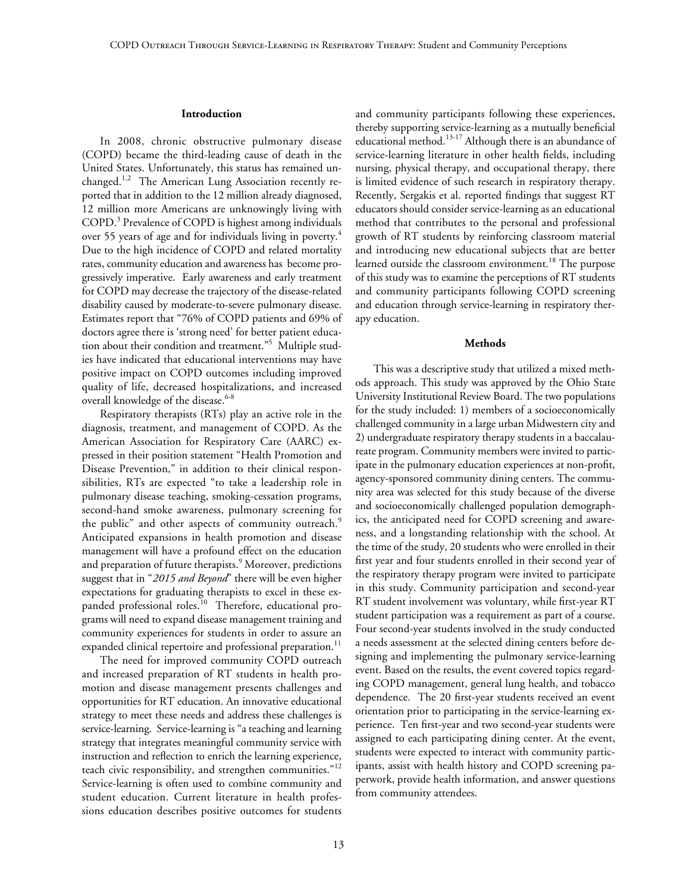#### **Introduction**

In 2008, chronic obstructive pulmonary disease (COPD) became the third-leading cause of death in the United States. Unfortunately, this status has remained unchanged.<sup>1,2</sup> The American Lung Association recently reported that in addition to the 12 million already diagnosed, 12 million more Americans are unknowingly living with COPD.3 Prevalence of COPD is highest among individuals over 55 years of age and for individuals living in poverty.<sup>4</sup> Due to the high incidence of COPD and related mortality rates, community education and awareness has become progressively imperative. Early awareness and early treatment for COPD may decrease the trajectory of the disease-related disability caused by moderate-to-severe pulmonary disease. Estimates report that "76% of COPD patients and 69% of doctors agree there is 'strong need' for better patient education about their condition and treatment."<sup>5</sup> Multiple studies have indicated that educational interventions may have positive impact on COPD outcomes including improved quality of life, decreased hospitalizations, and increased overall knowledge of the disease.<sup>6-8</sup>

Respiratory therapists (RTs) play an active role in the diagnosis, treatment, and management of COPD. As the American Association for Respiratory Care (AARC) expressed in their position statement "Health Promotion and Disease Prevention," in addition to their clinical responsibilities, RTs are expected "to take a leadership role in pulmonary disease teaching, smoking-cessation programs, second-hand smoke awareness, pulmonary screening for the public" and other aspects of community outreach.<sup>9</sup> Anticipated expansions in health promotion and disease management will have a profound effect on the education and preparation of future therapists.<sup>9</sup> Moreover, predictions suggest that in "*2015 and Beyond*" there will be even higher expectations for graduating therapists to excel in these expanded professional roles.<sup>10</sup> Therefore, educational programs will need to expand disease management training and community experiences for students in order to assure an expanded clinical repertoire and professional preparation.<sup>11</sup>

The need for improved community COPD outreach and increased preparation of RT students in health promotion and disease management presents challenges and opportunities for RT education. An innovative educational strategy to meet these needs and address these challenges is service-learning. Service-learning is "a teaching and learning strategy that integrates meaningful community service with instruction and reflection to enrich the learning experience, teach civic responsibility, and strengthen communities."<sup>12</sup> Service-learning is often used to combine community and student education. Current literature in health professions education describes positive outcomes for students

and community participants following these experiences, thereby supporting service-learning as a mutually beneficial educational method.<sup>13-17</sup> Although there is an abundance of service-learning literature in other health fields, including nursing, physical therapy, and occupational therapy, there is limited evidence of such research in respiratory therapy. Recently, Sergakis et al. reported findings that suggest RT educators should consider service-learning as an educational method that contributes to the personal and professional growth of RT students by reinforcing classroom material and introducing new educational subjects that are better learned outside the classroom environment.<sup>18</sup> The purpose of this study was to examine the perceptions of RT students and community participants following COPD screening and education through service-learning in respiratory therapy education.

#### **Methods**

This was a descriptive study that utilized a mixed methods approach. This study was approved by the Ohio State University Institutional Review Board. The two populations for the study included: 1) members of a socioeconomically challenged community in a large urban Midwestern city and 2) undergraduate respiratory therapy students in a baccalaureate program. Community members were invited to participate in the pulmonary education experiences at non-profit, agency-sponsored community dining centers. The community area was selected for this study because of the diverse and socioeconomically challenged population demographics, the anticipated need for COPD screening and awareness, and a longstanding relationship with the school. At the time of the study, 20 students who were enrolled in their first year and four students enrolled in their second year of the respiratory therapy program were invited to participate in this study. Community participation and second-year RT student involvement was voluntary, while first-year RT student participation was a requirement as part of a course. Four second-year students involved in the study conducted a needs assessment at the selected dining centers before designing and implementing the pulmonary service-learning event. Based on the results, the event covered topics regarding COPD management, general lung health, and tobacco dependence. The 20 first-year students received an event orientation prior to participating in the service-learning experience. Ten first-year and two second-year students were assigned to each participating dining center. At the event, students were expected to interact with community participants, assist with health history and COPD screening paperwork, provide health information, and answer questions from community attendees.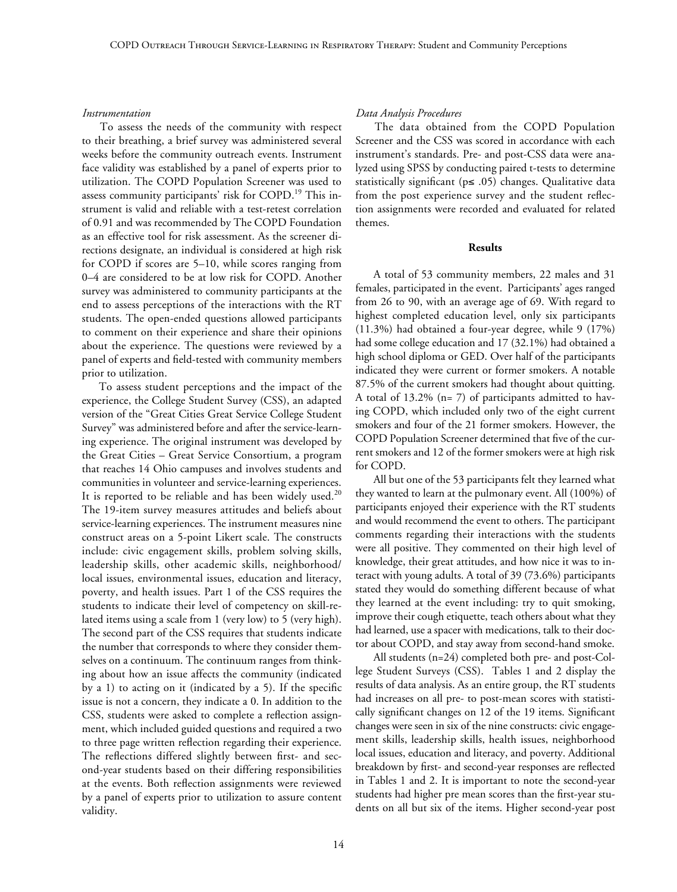#### *Instrumentation*

To assess the needs of the community with respect to their breathing, a brief survey was administered several weeks before the community outreach events. Instrument face validity was established by a panel of experts prior to utilization. The COPD Population Screener was used to assess community participants' risk for COPD.<sup>19</sup> This instrument is valid and reliable with a test-retest correlation of 0.91 and was recommended by The COPD Foundation as an effective tool for risk assessment. As the screener directions designate, an individual is considered at high risk for COPD if scores are 5–10, while scores ranging from 0–4 are considered to be at low risk for COPD. Another survey was administered to community participants at the end to assess perceptions of the interactions with the RT students. The open-ended questions allowed participants to comment on their experience and share their opinions about the experience. The questions were reviewed by a panel of experts and field-tested with community members prior to utilization.

To assess student perceptions and the impact of the experience, the College Student Survey (CSS), an adapted version of the "Great Cities Great Service College Student Survey" was administered before and after the service-learning experience. The original instrument was developed by the Great Cities – Great Service Consortium, a program that reaches 14 Ohio campuses and involves students and communities in volunteer and service-learning experiences. It is reported to be reliable and has been widely used.<sup>20</sup> The 19-item survey measures attitudes and beliefs about service-learning experiences. The instrument measures nine construct areas on a 5-point Likert scale. The constructs include: civic engagement skills, problem solving skills, leadership skills, other academic skills, neighborhood/ local issues, environmental issues, education and literacy, poverty, and health issues. Part 1 of the CSS requires the students to indicate their level of competency on skill-related items using a scale from 1 (very low) to 5 (very high). The second part of the CSS requires that students indicate the number that corresponds to where they consider themselves on a continuum. The continuum ranges from thinking about how an issue affects the community (indicated by a 1) to acting on it (indicated by a 5). If the specific issue is not a concern, they indicate a 0. In addition to the CSS, students were asked to complete a reflection assignment, which included guided questions and required a two to three page written reflection regarding their experience. The reflections differed slightly between first- and second-year students based on their differing responsibilities at the events. Both reflection assignments were reviewed by a panel of experts prior to utilization to assure content validity.

## *Data Analysis Procedures*

The data obtained from the COPD Population Screener and the CSS was scored in accordance with each instrument's standards. Pre- and post-CSS data were analyzed using SPSS by conducting paired t-tests to determine statistically significant (p≤ .05) changes. Qualitative data from the post experience survey and the student reflection assignments were recorded and evaluated for related themes.

#### **Results**

A total of 53 community members, 22 males and 31 females, participated in the event. Participants' ages ranged from 26 to 90, with an average age of 69. With regard to highest completed education level, only six participants (11.3%) had obtained a four-year degree, while 9 (17%) had some college education and 17 (32.1%) had obtained a high school diploma or GED. Over half of the participants indicated they were current or former smokers. A notable 87.5% of the current smokers had thought about quitting. A total of 13.2% (n= 7) of participants admitted to having COPD, which included only two of the eight current smokers and four of the 21 former smokers. However, the COPD Population Screener determined that five of the current smokers and 12 of the former smokers were at high risk for COPD.

All but one of the 53 participants felt they learned what they wanted to learn at the pulmonary event. All (100%) of participants enjoyed their experience with the RT students and would recommend the event to others. The participant comments regarding their interactions with the students were all positive. They commented on their high level of knowledge, their great attitudes, and how nice it was to interact with young adults. A total of 39 (73.6%) participants stated they would do something different because of what they learned at the event including: try to quit smoking, improve their cough etiquette, teach others about what they had learned, use a spacer with medications, talk to their doctor about COPD, and stay away from second-hand smoke.

All students (n=24) completed both pre- and post-College Student Surveys (CSS). Tables 1 and 2 display the results of data analysis. As an entire group, the RT students had increases on all pre- to post-mean scores with statistically significant changes on 12 of the 19 items. Significant changes were seen in six of the nine constructs: civic engagement skills, leadership skills, health issues, neighborhood local issues, education and literacy, and poverty. Additional breakdown by first- and second-year responses are reflected in Tables 1 and 2. It is important to note the second-year students had higher pre mean scores than the first-year students on all but six of the items. Higher second-year post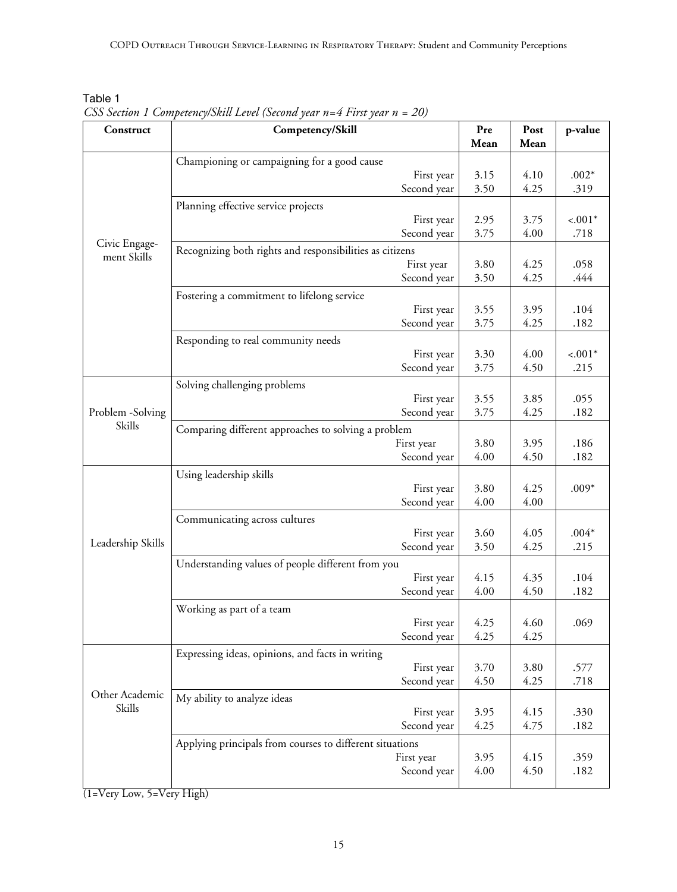| able |  |
|------|--|
|------|--|

*CSS Section 1 Competency/Skill Level (Second year n=4 First year n = 20)*

| Construct         | Competency/Skill                                                       | Pre          | Post         | p-value          |
|-------------------|------------------------------------------------------------------------|--------------|--------------|------------------|
|                   |                                                                        | Mean         | Mean         |                  |
|                   | Championing or campaigning for a good cause                            |              |              |                  |
|                   | First year                                                             | 3.15<br>3.50 | 4.10<br>4.25 | $.002*$          |
|                   | Second year<br>Planning effective service projects                     |              |              | .319             |
|                   |                                                                        |              |              |                  |
|                   | First year<br>Second year                                              | 2.95<br>3.75 | 3.75<br>4.00 | $-.001*$<br>.718 |
| Civic Engage-     |                                                                        |              |              |                  |
| ment Skills       | Recognizing both rights and responsibilities as citizens<br>First year | 3.80         | 4.25         | .058             |
|                   | Second year                                                            | 3.50         | 4.25         | .444             |
|                   |                                                                        |              |              |                  |
|                   | Fostering a commitment to lifelong service<br>First year               | 3.55         | 3.95         | .104             |
|                   | Second year                                                            | 3.75         | 4.25         | .182             |
|                   | Responding to real community needs                                     |              |              |                  |
|                   | First year                                                             | 3.30         | 4.00         | $-.001*$         |
|                   | Second year                                                            | 3.75         | 4.50         | .215             |
|                   | Solving challenging problems                                           |              |              |                  |
|                   | First year                                                             | 3.55         | 3.85         | .055             |
| Problem -Solving  | Second year                                                            | 3.75         | 4.25         | .182             |
| Skills            | Comparing different approaches to solving a problem                    |              |              |                  |
|                   | First year                                                             | 3.80         | 3.95         | .186             |
|                   | Second year                                                            | 4.00         | 4.50         | .182             |
|                   | Using leadership skills                                                |              |              |                  |
|                   | First year                                                             | 3.80         | 4.25         | $.009*$          |
|                   | Second year                                                            | 4.00         | 4.00         |                  |
|                   | Communicating across cultures                                          |              |              |                  |
|                   | First year                                                             | 3.60         | 4.05         | $.004*$          |
| Leadership Skills | Second year                                                            | 3.50         | 4.25         | .215             |
|                   | Understanding values of people different from you                      |              |              |                  |
|                   | First year                                                             | 4.15         | 4.35         | .104             |
|                   | Second year                                                            | 4.00         | 4.50         | .182             |
|                   | Working as part of a team                                              |              |              |                  |
|                   | First year                                                             | 4.25         | 4.60         | .069             |
|                   | Second year                                                            | 4.25         | 4.25         |                  |
|                   | Expressing ideas, opinions, and facts in writing                       |              |              |                  |
|                   | First year                                                             | 3.70         | 3.80         | .577             |
|                   | Second year                                                            | 4.50         | 4.25         | .718             |
| Other Academic    | My ability to analyze ideas                                            |              |              |                  |
| Skills            | First year                                                             | 3.95         | 4.15         | .330             |
|                   | Second year                                                            | 4.25         | 4.75         | .182             |
|                   | Applying principals from courses to different situations               |              |              |                  |
|                   | First year                                                             | 3.95         | 4.15         | .359             |
|                   | Second year                                                            | 4.00         | 4.50         | .182             |
|                   |                                                                        |              |              |                  |

(1=Very Low, 5=Very High)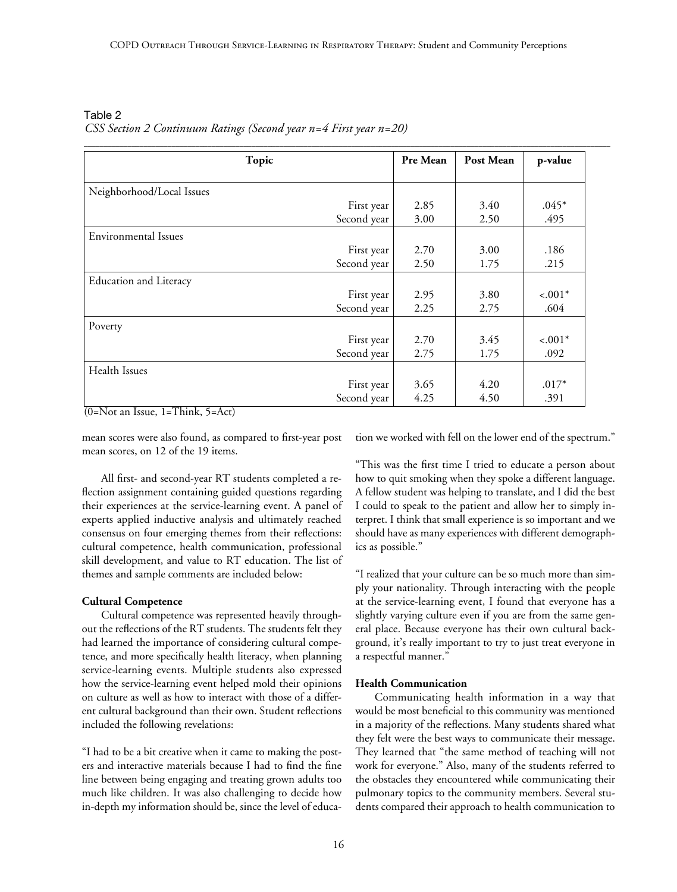\_\_\_\_\_\_\_\_\_\_\_\_\_\_\_\_\_\_\_\_\_\_\_\_\_\_\_\_\_\_\_\_\_\_\_\_\_\_\_\_\_\_\_\_\_\_\_\_\_\_\_\_\_\_\_\_\_\_\_\_\_\_\_\_\_\_\_\_\_\_\_\_\_\_\_\_\_\_\_\_\_\_\_\_\_\_\_\_\_\_\_\_\_\_\_\_\_\_\_\_\_\_\_\_\_\_\_\_\_\_\_\_\_\_\_\_\_\_\_\_\_\_\_\_\_\_\_\_\_\_\_\_

| Topic                         |             | Pre Mean | Post Mean | p-value  |
|-------------------------------|-------------|----------|-----------|----------|
|                               |             |          |           |          |
| Neighborhood/Local Issues     |             |          |           |          |
|                               | First year  | 2.85     | 3.40      | $.045*$  |
|                               | Second year | 3.00     | 2.50      | .495     |
| Environmental Issues          |             |          |           |          |
|                               | First year  | 2.70     | 3.00      | .186     |
|                               | Second year | 2.50     | 1.75      | .215     |
| <b>Education and Literacy</b> |             |          |           |          |
|                               | First year  | 2.95     | 3.80      | $-.001*$ |
|                               | Second year | 2.25     | 2.75      | .604     |
| Poverty                       |             |          |           |          |
|                               | First year  | 2.70     | 3.45      | $-.001*$ |
|                               | Second year | 2.75     | 1.75      | .092     |
| Health Issues                 |             |          |           |          |
|                               | First year  | 3.65     | 4.20      | $.017*$  |
|                               | Second year | 4.25     | 4.50      | .391     |

Table 2 *CSS Section 2 Continuum Ratings (Second year n=4 First year n=20)*

 $(0=Not an Issue, 1=Think, 5=Act)$ 

mean scores were also found, as compared to first-year post mean scores, on 12 of the 19 items.

All first- and second-year RT students completed a reflection assignment containing guided questions regarding their experiences at the service-learning event. A panel of experts applied inductive analysis and ultimately reached consensus on four emerging themes from their reflections: cultural competence, health communication, professional skill development, and value to RT education. The list of themes and sample comments are included below:

# **Cultural Competence**

Cultural competence was represented heavily throughout the reflections of the RT students. The students felt they had learned the importance of considering cultural competence, and more specifically health literacy, when planning service-learning events. Multiple students also expressed how the service-learning event helped mold their opinions on culture as well as how to interact with those of a different cultural background than their own. Student reflections included the following revelations:

"I had to be a bit creative when it came to making the posters and interactive materials because I had to find the fine line between being engaging and treating grown adults too much like children. It was also challenging to decide how in-depth my information should be, since the level of education we worked with fell on the lower end of the spectrum."

"This was the first time I tried to educate a person about how to quit smoking when they spoke a different language. A fellow student was helping to translate, and I did the best I could to speak to the patient and allow her to simply interpret. I think that small experience is so important and we should have as many experiences with different demographics as possible."

"I realized that your culture can be so much more than simply your nationality. Through interacting with the people at the service-learning event, I found that everyone has a slightly varying culture even if you are from the same general place. Because everyone has their own cultural background, it's really important to try to just treat everyone in a respectful manner."

#### **Health Communication**

Communicating health information in a way that would be most beneficial to this community was mentioned in a majority of the reflections. Many students shared what they felt were the best ways to communicate their message. They learned that "the same method of teaching will not work for everyone." Also, many of the students referred to the obstacles they encountered while communicating their pulmonary topics to the community members. Several students compared their approach to health communication to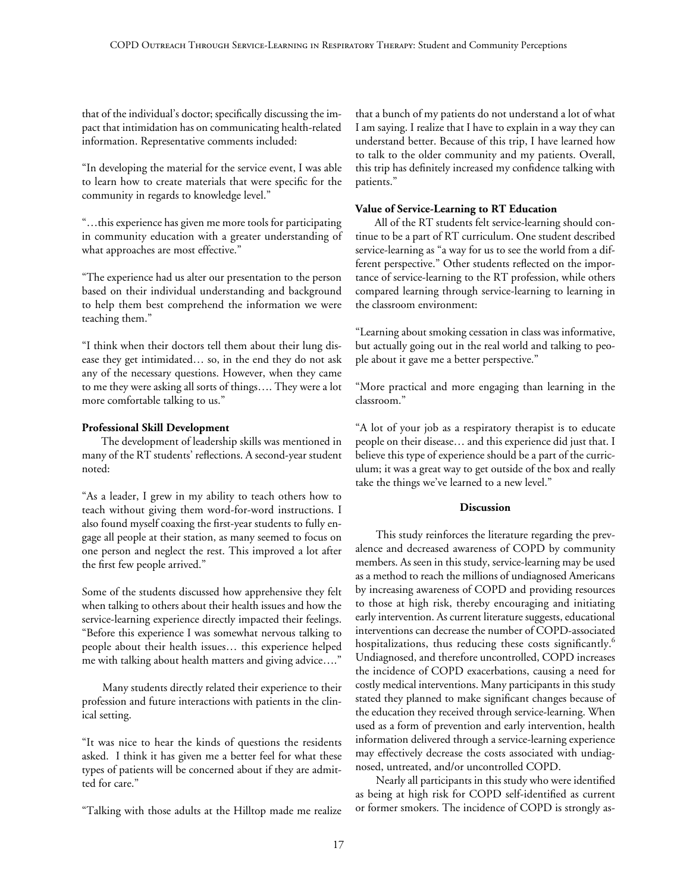that of the individual's doctor; specifically discussing the impact that intimidation has on communicating health-related information. Representative comments included:

"In developing the material for the service event, I was able to learn how to create materials that were specific for the community in regards to knowledge level."

"…this experience has given me more tools for participating in community education with a greater understanding of what approaches are most effective."

"The experience had us alter our presentation to the person based on their individual understanding and background to help them best comprehend the information we were teaching them."

"I think when their doctors tell them about their lung disease they get intimidated… so, in the end they do not ask any of the necessary questions. However, when they came to me they were asking all sorts of things…. They were a lot more comfortable talking to us."

# **Professional Skill Development**

The development of leadership skills was mentioned in many of the RT students' reflections. A second-year student noted:

"As a leader, I grew in my ability to teach others how to teach without giving them word-for-word instructions. I also found myself coaxing the first-year students to fully engage all people at their station, as many seemed to focus on one person and neglect the rest. This improved a lot after the first few people arrived."

Some of the students discussed how apprehensive they felt when talking to others about their health issues and how the service-learning experience directly impacted their feelings. "Before this experience I was somewhat nervous talking to people about their health issues… this experience helped me with talking about health matters and giving advice…."

Many students directly related their experience to their profession and future interactions with patients in the clinical setting.

"It was nice to hear the kinds of questions the residents asked. I think it has given me a better feel for what these types of patients will be concerned about if they are admitted for care."

"Talking with those adults at the Hilltop made me realize

that a bunch of my patients do not understand a lot of what I am saying. I realize that I have to explain in a way they can understand better. Because of this trip, I have learned how to talk to the older community and my patients. Overall, this trip has definitely increased my confidence talking with patients."

# **Value of Service-Learning to RT Education**

All of the RT students felt service-learning should continue to be a part of RT curriculum. One student described service-learning as "a way for us to see the world from a different perspective." Other students reflected on the importance of service-learning to the RT profession, while others compared learning through service-learning to learning in the classroom environment:

"Learning about smoking cessation in class was informative, but actually going out in the real world and talking to people about it gave me a better perspective."

"More practical and more engaging than learning in the classroom."

"A lot of your job as a respiratory therapist is to educate people on their disease… and this experience did just that. I believe this type of experience should be a part of the curriculum; it was a great way to get outside of the box and really take the things we've learned to a new level."

# **Discussion**

This study reinforces the literature regarding the prevalence and decreased awareness of COPD by community members. As seen in this study, service-learning may be used as a method to reach the millions of undiagnosed Americans by increasing awareness of COPD and providing resources to those at high risk, thereby encouraging and initiating early intervention. As current literature suggests, educational interventions can decrease the number of COPD-associated hospitalizations, thus reducing these costs significantly.<sup>6</sup> Undiagnosed, and therefore uncontrolled, COPD increases the incidence of COPD exacerbations, causing a need for costly medical interventions. Many participants in this study stated they planned to make significant changes because of the education they received through service-learning. When used as a form of prevention and early intervention, health information delivered through a service-learning experience may effectively decrease the costs associated with undiagnosed, untreated, and/or uncontrolled COPD.

Nearly all participants in this study who were identified as being at high risk for COPD self-identified as current or former smokers. The incidence of COPD is strongly as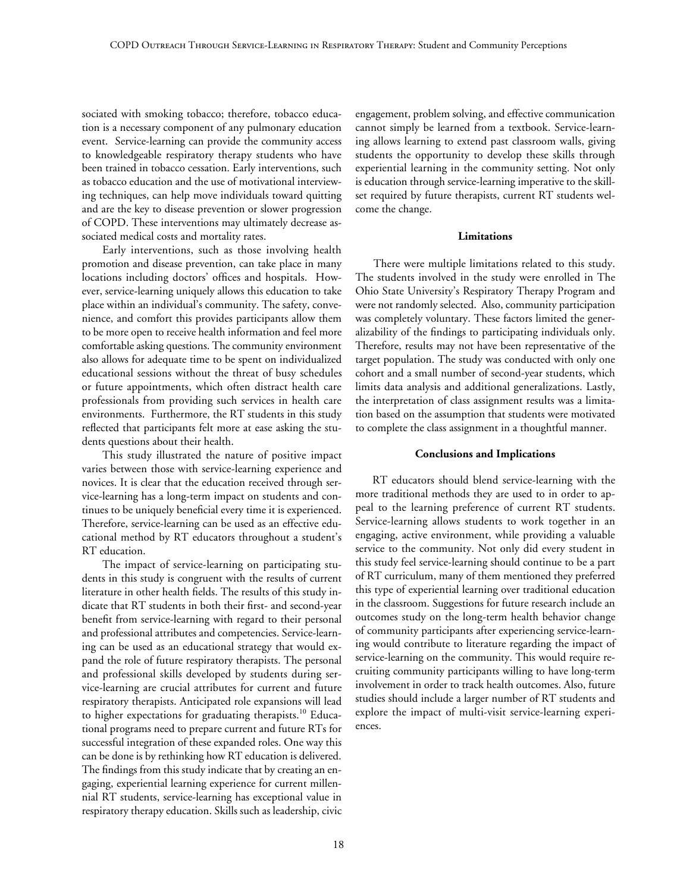sociated with smoking tobacco; therefore, tobacco education is a necessary component of any pulmonary education event. Service-learning can provide the community access to knowledgeable respiratory therapy students who have been trained in tobacco cessation. Early interventions, such as tobacco education and the use of motivational interviewing techniques, can help move individuals toward quitting and are the key to disease prevention or slower progression of COPD. These interventions may ultimately decrease associated medical costs and mortality rates.

Early interventions, such as those involving health promotion and disease prevention, can take place in many locations including doctors' offices and hospitals. However, service-learning uniquely allows this education to take place within an individual's community. The safety, convenience, and comfort this provides participants allow them to be more open to receive health information and feel more comfortable asking questions. The community environment also allows for adequate time to be spent on individualized educational sessions without the threat of busy schedules or future appointments, which often distract health care professionals from providing such services in health care environments. Furthermore, the RT students in this study reflected that participants felt more at ease asking the students questions about their health.

This study illustrated the nature of positive impact varies between those with service-learning experience and novices. It is clear that the education received through service-learning has a long-term impact on students and continues to be uniquely beneficial every time it is experienced. Therefore, service-learning can be used as an effective educational method by RT educators throughout a student's RT education.

The impact of service-learning on participating students in this study is congruent with the results of current literature in other health fields. The results of this study indicate that RT students in both their first- and second-year benefit from service-learning with regard to their personal and professional attributes and competencies. Service-learning can be used as an educational strategy that would expand the role of future respiratory therapists. The personal and professional skills developed by students during service-learning are crucial attributes for current and future respiratory therapists. Anticipated role expansions will lead to higher expectations for graduating therapists.<sup>10</sup> Educational programs need to prepare current and future RTs for successful integration of these expanded roles. One way this can be done is by rethinking how RT education is delivered. The findings from this study indicate that by creating an engaging, experiential learning experience for current millennial RT students, service-learning has exceptional value in respiratory therapy education. Skills such as leadership, civic engagement, problem solving, and effective communication cannot simply be learned from a textbook. Service-learning allows learning to extend past classroom walls, giving students the opportunity to develop these skills through experiential learning in the community setting. Not only is education through service-learning imperative to the skillset required by future therapists, current RT students welcome the change.

#### **Limitations**

There were multiple limitations related to this study. The students involved in the study were enrolled in The Ohio State University's Respiratory Therapy Program and were not randomly selected. Also, community participation was completely voluntary. These factors limited the generalizability of the findings to participating individuals only. Therefore, results may not have been representative of the target population. The study was conducted with only one cohort and a small number of second-year students, which limits data analysis and additional generalizations. Lastly, the interpretation of class assignment results was a limitation based on the assumption that students were motivated to complete the class assignment in a thoughtful manner.

#### **Conclusions and Implications**

RT educators should blend service-learning with the more traditional methods they are used to in order to appeal to the learning preference of current RT students. Service-learning allows students to work together in an engaging, active environment, while providing a valuable service to the community. Not only did every student in this study feel service-learning should continue to be a part of RT curriculum, many of them mentioned they preferred this type of experiential learning over traditional education in the classroom. Suggestions for future research include an outcomes study on the long-term health behavior change of community participants after experiencing service-learning would contribute to literature regarding the impact of service-learning on the community. This would require recruiting community participants willing to have long-term involvement in order to track health outcomes. Also, future studies should include a larger number of RT students and explore the impact of multi-visit service-learning experiences.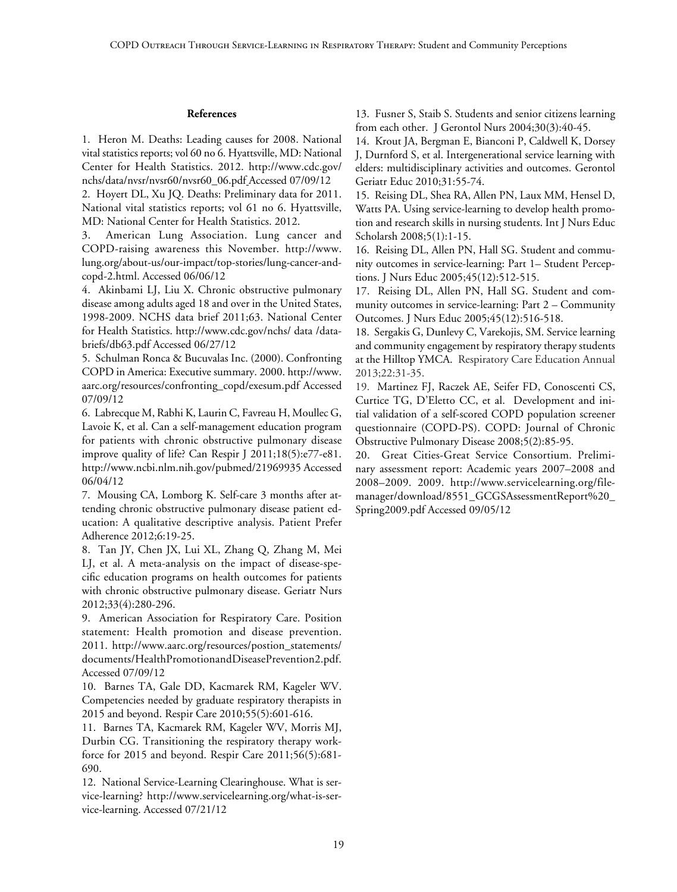#### **References**

1. Heron M. Deaths: Leading causes for 2008. National vital statistics reports; vol 60 no 6. Hyattsville, MD: National Center for Health Statistics. 2012. http://www.cdc.gov/ nchs/data/nvsr/nvsr60/nvsr60\_06.pdf Accessed 07/09/12

2. Hoyert DL, Xu JQ. Deaths: Preliminary data for 2011. National vital statistics reports; vol 61 no 6. Hyattsville, MD: National Center for Health Statistics. 2012.

3. American Lung Association. Lung cancer and COPD-raising awareness this November. http://www. lung.org/about-us/our-impact/top-stories/lung-cancer-andcopd-2.html. Accessed 06/06/12

4. Akinbami LJ, Liu X. Chronic obstructive pulmonary disease among adults aged 18 and over in the United States, 1998-2009. NCHS data brief 2011;63. National Center for Health Statistics. http://www.cdc.gov/nchs/ data /databriefs/db63.pdf Accessed 06/27/12

5. Schulman Ronca & Bucuvalas Inc. (2000). Confronting COPD in America: Executive summary. 2000. http://www. aarc.org/resources/confronting\_copd/exesum.pdf Accessed 07/09/12

6. Labrecque M, Rabhi K, Laurin C, Favreau H, Moullec G, Lavoie K, et al. Can a self-management education program for patients with chronic obstructive pulmonary disease improve quality of life? Can Respir J 2011;18(5):e77-e81. http://www.ncbi.nlm.nih.gov/pubmed/21969935 Accessed 06/04/12

7. Mousing CA, Lomborg K. Self-care 3 months after attending chronic obstructive pulmonary disease patient education: A qualitative descriptive analysis. Patient Prefer Adherence 2012;6:19-25.

8. Tan JY, Chen JX, Lui XL, Zhang Q, Zhang M, Mei LJ, et al. A meta-analysis on the impact of disease-specific education programs on health outcomes for patients with chronic obstructive pulmonary disease. Geriatr Nurs 2012;33(4):280-296.

9. American Association for Respiratory Care. Position statement: Health promotion and disease prevention. 2011. http://www.aarc.org/resources/postion\_statements/ documents/HealthPromotionandDiseasePrevention2.pdf. Accessed 07/09/12

10. Barnes TA, Gale DD, Kacmarek RM, Kageler WV. Competencies needed by graduate respiratory therapists in 2015 and beyond. Respir Care 2010;55(5):601-616.

11. Barnes TA, Kacmarek RM, Kageler WV, Morris MJ, Durbin CG. Transitioning the respiratory therapy workforce for 2015 and beyond. Respir Care 2011;56(5):681- 690.

12. National Service-Learning Clearinghouse. What is service-learning? http://www.servicelearning.org/what-is-service-learning. Accessed 07/21/12

13. Fusner S, Staib S. Students and senior citizens learning from each other. J Gerontol Nurs 2004;30(3):40-45.

14. Krout JA, Bergman E, Bianconi P, Caldwell K, Dorsey J, Durnford S, et al. Intergenerational service learning with elders: multidisciplinary activities and outcomes. [Gerontol](http://www.ncbi.nlm.nih.gov/pubmed/?term=Intergenerational+service+learning+with+elders%3A+multidisciplinary+activities+and+outcomes.)  [Geriatr Educ](http://www.ncbi.nlm.nih.gov/pubmed/?term=Intergenerational+service+learning+with+elders%3A+multidisciplinary+activities+and+outcomes.) 2010;31:55-74.

15. Reising DL, Shea RA, Allen PN, Laux MM, Hensel D, Watts PA. Using service-learning to develop health promotion and research skills in nursing students. [Int J Nurs Educ](http://www.ncbi.nlm.nih.gov/pubmed/?term=Using+service-learning+to+develop+health+promotion+and+research+skills+in+nursing+students.)  [Scholarsh](http://www.ncbi.nlm.nih.gov/pubmed/?term=Using+service-learning+to+develop+health+promotion+and+research+skills+in+nursing+students.) 2008;5(1):1-15.

16. Reising DL, Allen PN, Hall SG. Student and community outcomes in service-learning: Part 1– Student Perceptions. J Nurs Educ 2005;45(12):512-515.

17. Reising DL, Allen PN, Hall SG. Student and community outcomes in service-learning: Part 2 – Community Outcomes. J Nurs Educ 2005;45(12):516-518.

18. Sergakis G, Dunlevy C, Varekojis, SM. Service learning and community engagement by respiratory therapy students at the Hilltop YMCA. Respiratory Care Education Annual 2013;22:31-35.

19. Martinez FJ, Raczek AE, Seifer FD, Conoscenti CS, Curtice TG, D'Eletto CC, et al. Development and initial validation of a self-scored COPD population screener questionnaire (COPD-PS). COPD: Journal of Chronic Obstructive Pulmonary Disease 2008;5(2):85-95.

20. Great Cities-Great Service Consortium. Preliminary assessment report: Academic years 2007–2008 and 2008–2009. 2009. http://www.servicelearning.org/filemanager/download/8551\_GCGSAssessmentReport%20\_ Spring2009.pdf Accessed 09/05/12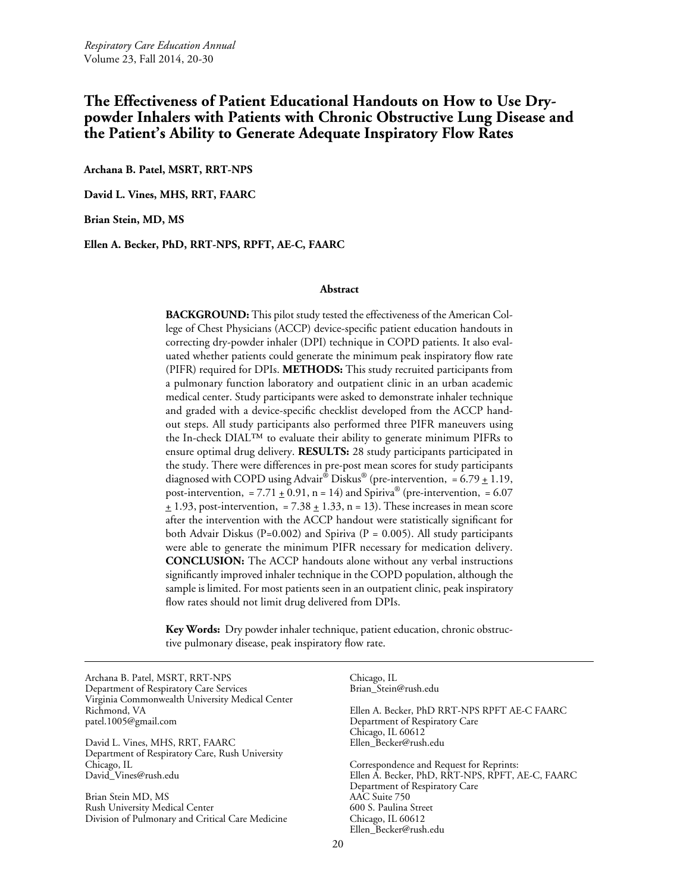# **The Effectiveness of Patient Educational Handouts on How to Use Drypowder Inhalers with Patients with Chronic Obstructive Lung Disease and the Patient's Ability to Generate Adequate Inspiratory Flow Rates**

**Archana B. Patel, MSRT, RRT-NPS**

**David L. Vines, MHS, RRT, FAARC**

**Brian Stein, MD, MS**

**Ellen A. Becker, PhD, RRT-NPS, RPFT, AE-C, FAARC**

#### **Abstract**

**BACKGROUND:** This pilot study tested the effectiveness of the American College of Chest Physicians (ACCP) device-specific patient education handouts in correcting dry-powder inhaler (DPI) technique in COPD patients. It also evaluated whether patients could generate the minimum peak inspiratory flow rate (PIFR) required for DPIs. **METHODS:** This study recruited participants from a pulmonary function laboratory and outpatient clinic in an urban academic medical center. Study participants were asked to demonstrate inhaler technique and graded with a device-specific checklist developed from the ACCP handout steps. All study participants also performed three PIFR maneuvers using the In-check DIAL™ to evaluate their ability to generate minimum PIFRs to ensure optimal drug delivery. **RESULTS:** 28 study participants participated in the study. There were differences in pre-post mean scores for study participants diagnosed with COPD using Advair<sup>®</sup> Diskus<sup>®</sup> (pre-intervention, = 6.79  $\pm$  1.19, post-intervention, = 7.71  $\pm$  0.91, n = 14) and Spiriva<sup>®</sup> (pre-intervention, = 6.07  $\pm$  1.93, post-intervention, = 7.38  $\pm$  1.33, n = 13). These increases in mean score after the intervention with the ACCP handout were statistically significant for both Advair Diskus (P=0.002) and Spiriva (P = 0.005). All study participants were able to generate the minimum PIFR necessary for medication delivery. **CONCLUSION:** The ACCP handouts alone without any verbal instructions significantly improved inhaler technique in the COPD population, although the sample is limited. For most patients seen in an outpatient clinic, peak inspiratory flow rates should not limit drug delivered from DPIs.

**Key Words:** Dry powder inhaler technique, patient education, chronic obstructive pulmonary disease, peak inspiratory flow rate.

Archana B. Patel, MSRT, RRT-NPS Department of Respiratory Care Services Virginia Commonwealth University Medical Center Richmond, VA patel.1005@gmail.com

David L. Vines, MHS, RRT, FAARC Department of Respiratory Care, Rush University Chicago, IL David\_Vines@rush.edu

Brian Stein MD, MS Rush University Medical Center Division of Pulmonary and Critical Care Medicine Chicago, IL Brian\_Stein@rush.edu Ellen A. Becker, PhD RRT-NPS RPFT AE-C FAARC Department of Respiratory Care Chicago, IL 60612 Ellen\_Becker@rush.edu Correspondence and Request for Reprints: Ellen A. Becker, PhD, RRT-NPS, RPFT, AE-C, FAARC Department of Respiratory Care AAC Suite 750 600 S. Paulina Street Chicago, IL 60612 Ellen\_Becker@rush.edu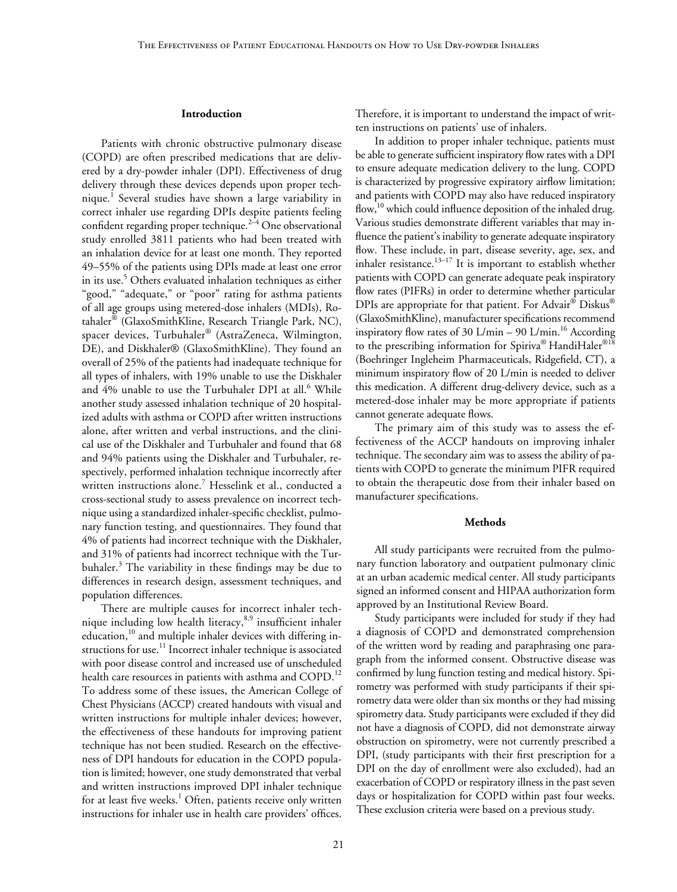#### **Introduction**

Patients with chronic obstructive pulmonary disease (COPD) are often prescribed medications that are delivered by a dry-powder inhaler (DPI). Effectiveness of drug delivery through these devices depends upon proper technique.<sup>1</sup> Several studies have shown a large variability in correct inhaler use regarding DPIs despite patients feeling confident regarding proper technique. $2-4$  One observational study enrolled 3811 patients who had been treated with an inhalation device for at least one month. They reported 49–55% of the patients using DPIs made at least one error in its use.<sup>5</sup> Others evaluated inhalation techniques as either "good," "adequate," or "poor" rating for asthma patients of all age groups using metered-dose inhalers (MDIs), Rotahaler® (GlaxoSmithKline, Research Triangle Park, NC), spacer devices, Turbuhaler® (AstraZeneca, Wilmington, DE), and Diskhaler® (GlaxoSmithKline). They found an overall of 25% of the patients had inadequate technique for all types of inhalers, with 19% unable to use the Diskhaler and  $4\%$  unable to use the Turbuhaler DPI at all. $^6$  While another study assessed inhalation technique of 20 hospitalized adults with asthma or COPD after written instructions alone, after written and verbal instructions, and the clinical use of the Diskhaler and Turbuhaler and found that 68 and 94% patients using the Diskhaler and Turbuhaler, respectively, performed inhalation technique incorrectly after written instructions alone.<sup>7</sup> Hesselink et al., conducted a cross-sectional study to assess prevalence on incorrect technique using a standardized inhaler-specific checklist, pulmonary function testing, and questionnaires. They found that 4% of patients had incorrect technique with the Diskhaler, and 31% of patients had incorrect technique with the Turbuhaler.<sup>3</sup> The variability in these findings may be due to differences in research design, assessment techniques, and population differences.

There are multiple causes for incorrect inhaler technique including low health literacy, $8.9$  insufficient inhaler education,<sup>10</sup> and multiple inhaler devices with differing instructions for use.<sup>11</sup> Incorrect inhaler technique is associated with poor disease control and increased use of unscheduled health care resources in patients with asthma and COPD.<sup>12</sup> To address some of these issues, the American College of Chest Physicians (ACCP) created handouts with visual and written instructions for multiple inhaler devices; however, the effectiveness of these handouts for improving patient technique has not been studied. Research on the effectiveness of DPI handouts for education in the COPD population is limited; however, one study demonstrated that verbal and written instructions improved DPI inhaler technique for at least five weeks. $^1$  Often, patients receive only written instructions for inhaler use in health care providers' offices.

Therefore, it is important to understand the impact of written instructions on patients' use of inhalers.

In addition to proper inhaler technique, patients must be able to generate sufficient inspiratory flow rates with a DPI to ensure adequate medication delivery to the lung. COPD is characterized by progressive expiratory airflow limitation; and patients with COPD may also have reduced inspiratory flow,<sup>10</sup> which could influence deposition of the inhaled drug. Various studies demonstrate different variables that may influence the patient's inability to generate adequate inspiratory flow. These include, in part, disease severity, age, sex, and inhaler resistance.<sup>13-17</sup> It is important to establish whether patients with COPD can generate adequate peak inspiratory flow rates (PIFRs) in order to determine whether particular DPIs are appropriate for that patient. For Advair<sup>®</sup> Diskus<sup>®</sup> (GlaxoSmithKline), manufacturer specifications recommend inspiratory flow rates of 30 L/min  $-$  90 L/min.<sup>16</sup> According to the prescribing information for Spiriva® HandiHaler<sup>®18</sup> (Boehringer Ingleheim Pharmaceuticals, Ridgefield, CT), a minimum inspiratory flow of 20 L/min is needed to deliver this medication. A different drug-delivery device, such as a metered-dose inhaler may be more appropriate if patients cannot generate adequate flows.

The primary aim of this study was to assess the effectiveness of the ACCP handouts on improving inhaler technique. The secondary aim was to assess the ability of patients with COPD to generate the minimum PIFR required to obtain the therapeutic dose from their inhaler based on manufacturer specifications.

#### **Methods**

All study participants were recruited from the pulmonary function laboratory and outpatient pulmonary clinic at an urban academic medical center. All study participants signed an informed consent and HIPAA authorization form approved by an Institutional Review Board.

Study participants were included for study if they had a diagnosis of COPD and demonstrated comprehension of the written word by reading and paraphrasing one paragraph from the informed consent. Obstructive disease was confirmed by lung function testing and medical history. Spirometry was performed with study participants if their spirometry data were older than six months or they had missing spirometry data. Study participants were excluded if they did not have a diagnosis of COPD, did not demonstrate airway obstruction on spirometry, were not currently prescribed a DPI, (study participants with their first prescription for a DPI on the day of enrollment were also excluded), had an exacerbation of COPD or respiratory illness in the past seven days or hospitalization for COPD within past four weeks. These exclusion criteria were based on a previous study.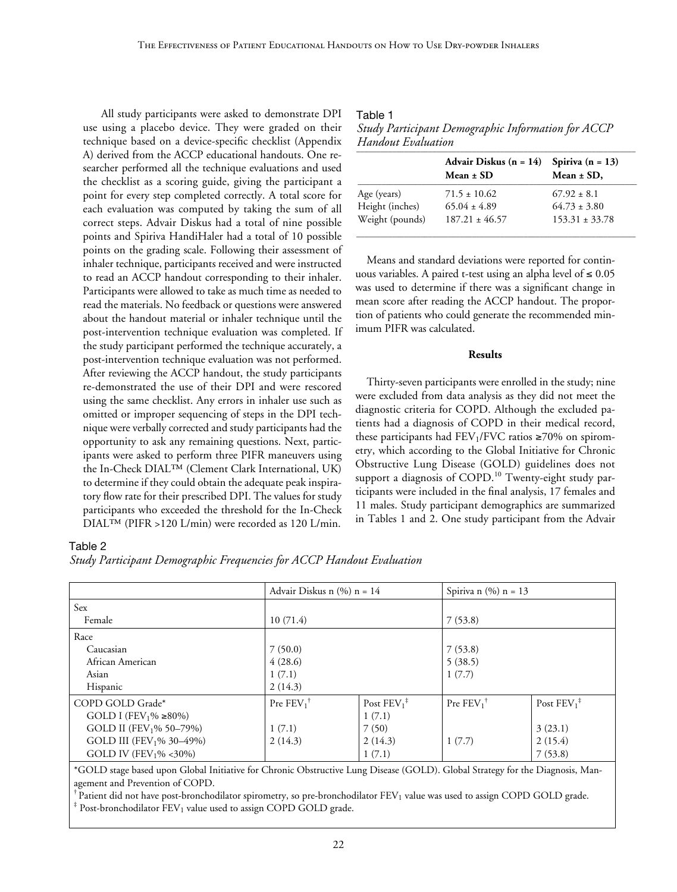All study participants were asked to demonstrate DPI use using a placebo device. They were graded on their technique based on a device-specific checklist (Appendix A) derived from the ACCP educational handouts. One researcher performed all the technique evaluations and used the checklist as a scoring guide, giving the participant a point for every step completed correctly. A total score for each evaluation was computed by taking the sum of all correct steps. Advair Diskus had a total of nine possible points and Spiriva HandiHaler had a total of 10 possible points on the grading scale. Following their assessment of inhaler technique, participants received and were instructed to read an ACCP handout corresponding to their inhaler. Participants were allowed to take as much time as needed to read the materials. No feedback or questions were answered about the handout material or inhaler technique until the post-intervention technique evaluation was completed. If the study participant performed the technique accurately, a post-intervention technique evaluation was not performed. After reviewing the ACCP handout, the study participants re-demonstrated the use of their DPI and were rescored using the same checklist. Any errors in inhaler use such as omitted or improper sequencing of steps in the DPI technique were verbally corrected and study participants had the opportunity to ask any remaining questions. Next, participants were asked to perform three PIFR maneuvers using the In-Check DIAL™ (Clement Clark International, UK) to determine if they could obtain the adequate peak inspiratory flow rate for their prescribed DPI. The values for study participants who exceeded the threshold for the In-Check DIAL™ (PIFR >120 L/min) were recorded as 120 L/min.

| Table 1                                            |
|----------------------------------------------------|
| Study Participant Demographic Information for ACCP |
| Handout Evaluation                                 |

|                 | Advair Diskus $(n = 14)$<br>Mean $\pm$ SD | Spiriva $(n = 13)$<br>Mean $\pm$ SD, |  |
|-----------------|-------------------------------------------|--------------------------------------|--|
| Age (years)     | $71.5 \pm 10.62$                          | $67.92 \pm 8.1$                      |  |
| Height (inches) | $65.04 \pm 4.89$                          | $64.73 \pm 3.80$                     |  |
| Weight (pounds) | $187.21 \pm 46.57$                        | $153.31 \pm 33.78$                   |  |

\_\_\_\_\_\_\_\_\_\_\_\_\_\_\_\_\_\_\_\_\_\_\_\_\_\_\_\_\_\_\_\_\_\_\_\_\_\_\_\_\_\_\_\_\_\_\_\_\_\_\_\_\_\_\_\_\_\_\_\_\_\_\_\_\_\_\_\_\_\_

Means and standard deviations were reported for continuous variables. A paired t-test using an alpha level of  $\leq 0.05$ was used to determine if there was a significant change in mean score after reading the ACCP handout. The proportion of patients who could generate the recommended minimum PIFR was calculated.

# **Results**

Thirty-seven participants were enrolled in the study; nine were excluded from data analysis as they did not meet the diagnostic criteria for COPD. Although the excluded patients had a diagnosis of COPD in their medical record, these participants had  $FEV<sub>1</sub>/FVC$  ratios  $\geq$ 70% on spirometry, which according to the Global Initiative for Chronic Obstructive Lung Disease (GOLD) guidelines does not support a diagnosis of  $COPD<sup>10</sup>$  Twenty-eight study participants were included in the final analysis, 17 females and 11 males. Study participant demographics are summarized in Tables 1 and 2. One study participant from the Advair

#### Table 2

*Study Participant Demographic Frequencies for ACCP Handout Evaluation*

|                                          | Advair Diskus n $(\% )$ n = 14 |                | Spiriva n $(\%)$ n = 13 |                      |
|------------------------------------------|--------------------------------|----------------|-------------------------|----------------------|
| Sex                                      |                                |                |                         |                      |
| Female                                   | 10(71.4)                       |                | 7(53.8)                 |                      |
| Race                                     |                                |                |                         |                      |
| Caucasian                                | 7(50.0)                        |                | 7(53.8)                 |                      |
| African American                         | 4(28.6)                        |                | 5(38.5)                 |                      |
| Asian                                    | 1(7.1)                         |                | 1(7.7)                  |                      |
| Hispanic                                 | 2(14.3)                        |                |                         |                      |
| COPD GOLD Grade*                         | Pre $FEV_1^{\dagger}$          | Post $FEV_1^*$ | Pre $FEV_1^{\dagger}$   | Post $FEV_1^{\ddag}$ |
| GOLD I (FEV <sub>1</sub> % $\geq 80\%$ ) |                                | 1(7.1)         |                         |                      |
| GOLD II (FEV <sub>1</sub> % 50–79%)      | 1(7.1)                         | 7(50)          |                         | 3(23.1)              |
| GOLD III (FEV <sub>1</sub> % 30–49%)     | 2(14.3)                        | 2(14.3)        | 1(7.7)                  | 2(15.4)              |
| GOLD IV (FEV <sub>1</sub> % <30%)        |                                | 1(7.1)         |                         | 7(53.8)              |

\*GOLD stage based upon Global Initiative for Chronic Obstructive Lung Disease (GOLD). Global Strategy for the Diagnosis, Management and Prevention of COPD.

 $^{\dagger}$  Patient did not have post-bronchodilator spirometry, so pre-bronchodilator FEV<sub>1</sub> value was used to assign COPD GOLD grade.

 $*$  Post-bronchodilator FEV<sub>1</sub> value used to assign COPD GOLD grade.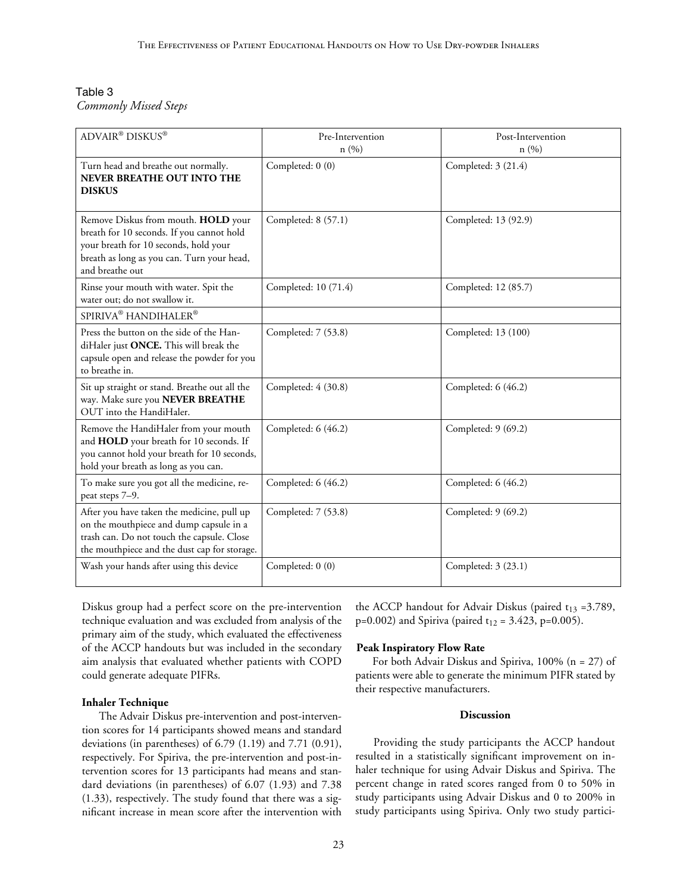# Table 3 *Commonly Missed Steps*

| ADVAIR® DISKUS®                                                                                                                                                                            | Pre-Intervention<br>n(%) | Post-Intervention<br>n(%) |
|--------------------------------------------------------------------------------------------------------------------------------------------------------------------------------------------|--------------------------|---------------------------|
| Turn head and breathe out normally.<br><b>NEVER BREATHE OUT INTO THE</b><br><b>DISKUS</b>                                                                                                  | Completed: 0 (0)         | Completed: 3 (21.4)       |
| Remove Diskus from mouth. HOLD your<br>breath for 10 seconds. If you cannot hold<br>your breath for 10 seconds, hold your<br>breath as long as you can. Turn your head,<br>and breathe out | Completed: 8 (57.1)      | Completed: 13 (92.9)      |
| Rinse your mouth with water. Spit the<br>water out; do not swallow it.                                                                                                                     | Completed: 10 (71.4)     | Completed: 12 (85.7)      |
| SPIRIVA <sup>®</sup> HANDIHALER <sup>®</sup>                                                                                                                                               |                          |                           |
| Press the button on the side of the Han-<br>diHaler just ONCE. This will break the<br>capsule open and release the powder for you<br>to breathe in.                                        | Completed: 7 (53.8)      | Completed: 13 (100)       |
| Sit up straight or stand. Breathe out all the<br>way. Make sure you NEVER BREATHE<br>OUT into the HandiHaler.                                                                              | Completed: 4 (30.8)      | Completed: 6 (46.2)       |
| Remove the HandiHaler from your mouth<br>and HOLD your breath for 10 seconds. If<br>you cannot hold your breath for 10 seconds,<br>hold your breath as long as you can.                    | Completed: 6 (46.2)      | Completed: 9 (69.2)       |
| To make sure you got all the medicine, re-<br>peat steps 7-9.                                                                                                                              | Completed: 6 (46.2)      | Completed: 6 (46.2)       |
| After you have taken the medicine, pull up<br>on the mouthpiece and dump capsule in a<br>trash can. Do not touch the capsule. Close<br>the mouthpiece and the dust cap for storage.        | Completed: 7 (53.8)      | Completed: 9 (69.2)       |
| Wash your hands after using this device                                                                                                                                                    | Completed: 0 (0)         | Completed: 3 (23.1)       |

Diskus group had a perfect score on the pre-intervention technique evaluation and was excluded from analysis of the primary aim of the study, which evaluated the effectiveness of the ACCP handouts but was included in the secondary aim analysis that evaluated whether patients with COPD could generate adequate PIFRs.

# **Inhaler Technique**

The Advair Diskus pre-intervention and post-intervention scores for 14 participants showed means and standard deviations (in parentheses) of 6.79 (1.19) and 7.71 (0.91), respectively. For Spiriva, the pre-intervention and post-intervention scores for 13 participants had means and standard deviations (in parentheses) of 6.07 (1.93) and 7.38 (1.33), respectively. The study found that there was a significant increase in mean score after the intervention with the ACCP handout for Advair Diskus (paired  $t_{13}$  =3.789,  $p=0.002$ ) and Spiriva (paired t<sub>12</sub> = 3.423, p=0.005).

#### **Peak Inspiratory Flow Rate**

For both Advair Diskus and Spiriva, 100% (n = 27) of patients were able to generate the minimum PIFR stated by their respective manufacturers.

# **Discussion**

Providing the study participants the ACCP handout resulted in a statistically significant improvement on inhaler technique for using Advair Diskus and Spiriva. The percent change in rated scores ranged from 0 to 50% in study participants using Advair Diskus and 0 to 200% in study participants using Spiriva. Only two study partici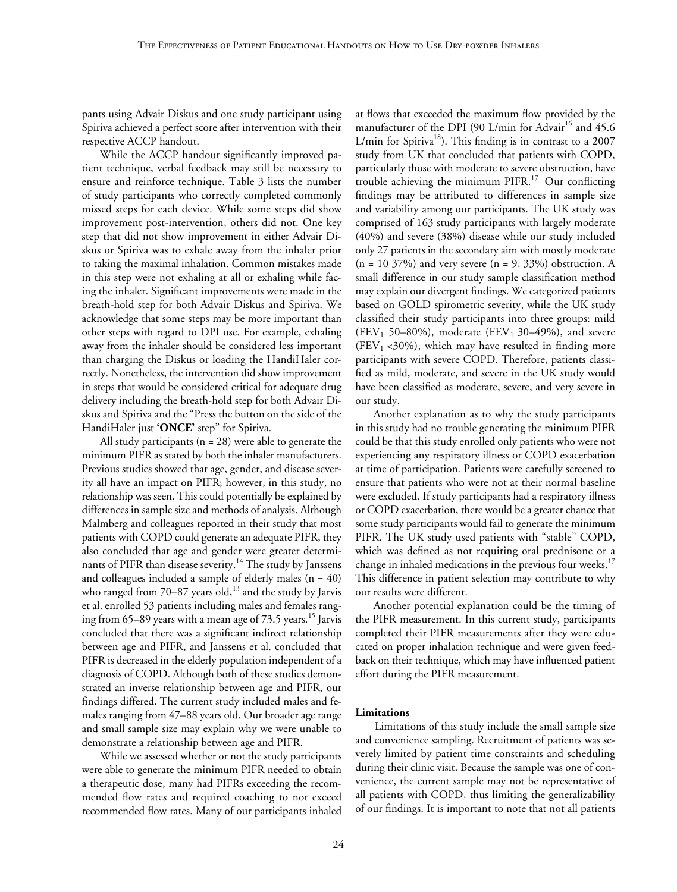pants using Advair Diskus and one study participant using Spiriva achieved a perfect score after intervention with their respective ACCP handout.

While the ACCP handout significantly improved patient technique, verbal feedback may still be necessary to ensure and reinforce technique. Table 3 lists the number of study participants who correctly completed commonly missed steps for each device. While some steps did show improvement post-intervention, others did not. One key step that did not show improvement in either Advair Diskus or Spiriva was to exhale away from the inhaler prior to taking the maximal inhalation. Common mistakes made in this step were not exhaling at all or exhaling while facing the inhaler. Significant improvements were made in the breath-hold step for both Advair Diskus and Spiriva. We acknowledge that some steps may be more important than other steps with regard to DPI use. For example, exhaling away from the inhaler should be considered less important than charging the Diskus or loading the HandiHaler correctly. Nonetheless, the intervention did show improvement in steps that would be considered critical for adequate drug delivery including the breath-hold step for both Advair Diskus and Spiriva and the "Press the button on the side of the HandiHaler just **'ONCE'** step" for Spiriva.

All study participants ( $n = 28$ ) were able to generate the minimum PIFR as stated by both the inhaler manufacturers. Previous studies showed that age, gender, and disease severity all have an impact on PIFR; however, in this study, no relationship was seen. This could potentially be explained by differences in sample size and methods of analysis. Although Malmberg and colleagues reported in their study that most patients with COPD could generate an adequate PIFR, they also concluded that age and gender were greater determinants of PIFR than disease severity.<sup>14</sup> The study by Janssens and colleagues included a sample of elderly males  $(n = 40)$ who ranged from  $70-87$  years old,<sup>13</sup> and the study by Jarvis et al. enrolled 53 patients including males and females ranging from 65–89 years with a mean age of 73.5 years.<sup>15</sup> Jarvis concluded that there was a significant indirect relationship between age and PIFR, and Janssens et al. concluded that PIFR is decreased in the elderly population independent of a diagnosis of COPD. Although both of these studies demonstrated an inverse relationship between age and PIFR, our findings differed. The current study included males and females ranging from 47–88 years old. Our broader age range and small sample size may explain why we were unable to demonstrate a relationship between age and PIFR.

While we assessed whether or not the study participants were able to generate the minimum PIFR needed to obtain a therapeutic dose, many had PIFRs exceeding the recommended flow rates and required coaching to not exceed recommended flow rates. Many of our participants inhaled at flows that exceeded the maximum flow provided by the manufacturer of the DPI (90 L/min for Advair<sup>16</sup> and 45.6 L/min for Spiriva<sup>18</sup>). This finding is in contrast to a  $2007$ study from UK that concluded that patients with COPD, particularly those with moderate to severe obstruction, have trouble achieving the minimum PIFR.17 Our conflicting findings may be attributed to differences in sample size and variability among our participants. The UK study was comprised of 163 study participants with largely moderate (40%) and severe (38%) disease while our study included only 27 patients in the secondary aim with mostly moderate  $(n = 10 37%)$  and very severe  $(n = 9, 33%)$  obstruction. A small difference in our study sample classification method may explain our divergent findings. We categorized patients based on GOLD spirometric severity, while the UK study classified their study participants into three groups: mild (FEV<sub>1</sub> 50–80%), moderate (FEV<sub>1</sub> 30–49%), and severe (FEV<sub>1</sub> <30%), which may have resulted in finding more participants with severe COPD. Therefore, patients classified as mild, moderate, and severe in the UK study would have been classified as moderate, severe, and very severe in our study.

Another explanation as to why the study participants in this study had no trouble generating the minimum PIFR could be that this study enrolled only patients who were not experiencing any respiratory illness or COPD exacerbation at time of participation. Patients were carefully screened to ensure that patients who were not at their normal baseline were excluded. If study participants had a respiratory illness or COPD exacerbation, there would be a greater chance that some study participants would fail to generate the minimum PIFR. The UK study used patients with "stable" COPD, which was defined as not requiring oral prednisone or a change in inhaled medications in the previous four weeks.<sup>17</sup> This difference in patient selection may contribute to why our results were different.

Another potential explanation could be the timing of the PIFR measurement. In this current study, participants completed their PIFR measurements after they were educated on proper inhalation technique and were given feedback on their technique, which may have influenced patient effort during the PIFR measurement.

#### **Limitations**

Limitations of this study include the small sample size and convenience sampling. Recruitment of patients was severely limited by patient time constraints and scheduling during their clinic visit. Because the sample was one of convenience, the current sample may not be representative of all patients with COPD, thus limiting the generalizability of our findings. It is important to note that not all patients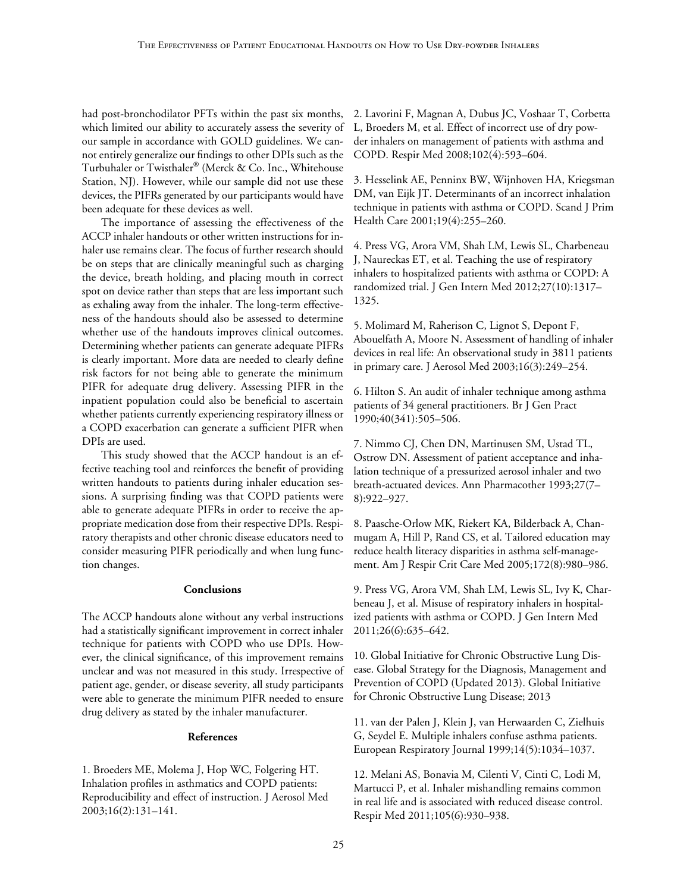had post-bronchodilator PFTs within the past six months, which limited our ability to accurately assess the severity of our sample in accordance with GOLD guidelines. We cannot entirely generalize our findings to other DPIs such as the Turbuhaler or Twisthaler® (Merck & Co. Inc., Whitehouse Station, NJ). However, while our sample did not use these devices, the PIFRs generated by our participants would have been adequate for these devices as well.

The importance of assessing the effectiveness of the ACCP inhaler handouts or other written instructions for inhaler use remains clear. The focus of further research should be on steps that are clinically meaningful such as charging the device, breath holding, and placing mouth in correct spot on device rather than steps that are less important such as exhaling away from the inhaler. The long-term effectiveness of the handouts should also be assessed to determine whether use of the handouts improves clinical outcomes. Determining whether patients can generate adequate PIFRs is clearly important. More data are needed to clearly define risk factors for not being able to generate the minimum PIFR for adequate drug delivery. Assessing PIFR in the inpatient population could also be beneficial to ascertain whether patients currently experiencing respiratory illness or a COPD exacerbation can generate a sufficient PIFR when DPIs are used.

This study showed that the ACCP handout is an effective teaching tool and reinforces the benefit of providing written handouts to patients during inhaler education sessions. A surprising finding was that COPD patients were able to generate adequate PIFRs in order to receive the appropriate medication dose from their respective DPIs. Respiratory therapists and other chronic disease educators need to consider measuring PIFR periodically and when lung function changes.

# **Conclusions**

The ACCP handouts alone without any verbal instructions had a statistically significant improvement in correct inhaler technique for patients with COPD who use DPIs. However, the clinical significance, of this improvement remains unclear and was not measured in this study. Irrespective of patient age, gender, or disease severity, all study participants were able to generate the minimum PIFR needed to ensure drug delivery as stated by the inhaler manufacturer.

# **References**

1. Broeders ME, Molema J, Hop WC, Folgering HT. Inhalation profiles in asthmatics and COPD patients: Reproducibility and effect of instruction. J Aerosol Med 2003;16(2):131–141.

2. Lavorini F, Magnan A, Dubus JC, Voshaar T, Corbetta L, Broeders M, et al. Effect of incorrect use of dry powder inhalers on management of patients with asthma and COPD. Respir Med 2008;102(4):593–604.

3. Hesselink AE, Penninx BW, Wijnhoven HA, Kriegsman DM, van Eijk JT. Determinants of an incorrect inhalation technique in patients with asthma or COPD. Scand J Prim Health Care 2001;19(4):255–260.

4. Press VG, Arora VM, Shah LM, Lewis SL, Charbeneau J, Naureckas ET, et al. Teaching the use of respiratory inhalers to hospitalized patients with asthma or COPD: A randomized trial. J Gen Intern Med 2012;27(10):1317– 1325.

5. Molimard M, Raherison C, Lignot S, Depont F, Abouelfath A, Moore N. Assessment of handling of inhaler devices in real life: An observational study in 3811 patients in primary care. J Aerosol Med 2003;16(3):249–254.

6. Hilton S. An audit of inhaler technique among asthma patients of 34 general practitioners. Br J Gen Pract 1990;40(341):505–506.

7. Nimmo CJ, Chen DN, Martinusen SM, Ustad TL, Ostrow DN. Assessment of patient acceptance and inhalation technique of a pressurized aerosol inhaler and two breath-actuated devices. Ann Pharmacother 1993;27(7– 8):922–927.

8. Paasche-Orlow MK, Riekert KA, Bilderback A, Chanmugam A, Hill P, Rand CS, et al. Tailored education may reduce health literacy disparities in asthma self-management. Am J Respir Crit Care Med 2005;172(8):980–986.

9. Press VG, Arora VM, Shah LM, Lewis SL, Ivy K, Charbeneau J, et al. Misuse of respiratory inhalers in hospitalized patients with asthma or COPD. J Gen Intern Med 2011;26(6):635–642.

10. Global Initiative for Chronic Obstructive Lung Disease. Global Strategy for the Diagnosis, Management and Prevention of COPD (Updated 2013). Global Initiative for Chronic Obstructive Lung Disease; 2013

11. van der Palen J, Klein J, van Herwaarden C, Zielhuis G, Seydel E. Multiple inhalers confuse asthma patients. European Respiratory Journal 1999;14(5):1034–1037.

12. Melani AS, Bonavia M, Cilenti V, Cinti C, Lodi M, Martucci P, et al. Inhaler mishandling remains common in real life and is associated with reduced disease control. Respir Med 2011;105(6):930–938.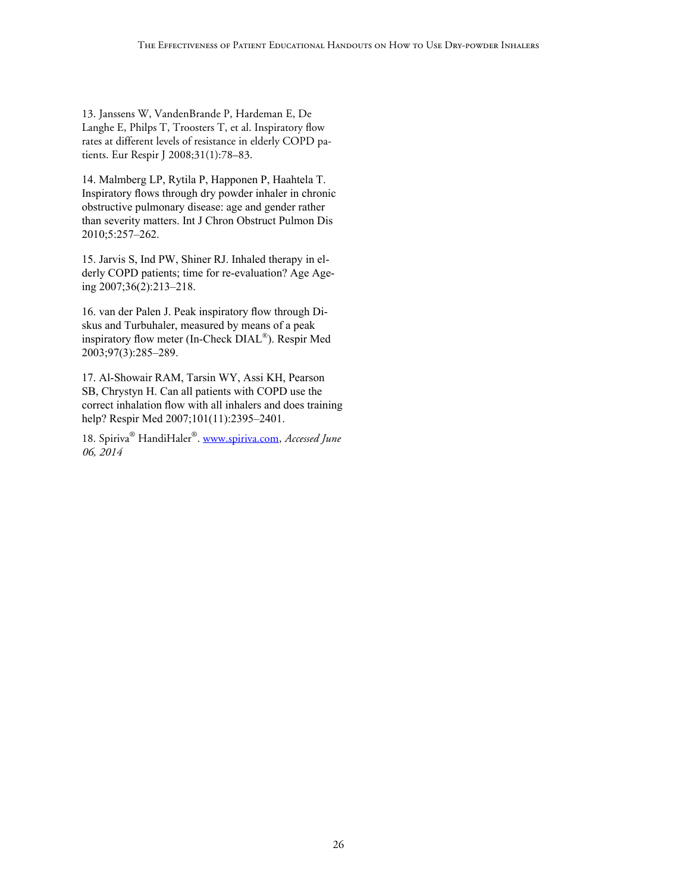13. Janssens W, VandenBrande P, Hardeman E, De Langhe E, Philps T, Troosters T, et al. Inspiratory flow rates at different levels of resistance in elderly COPD patients. Eur Respir J 2008;31(1):78–83.

14. Malmberg LP, Rytila P, Happonen P, Haahtela T. Inspiratory flows through dry powder inhaler in chronic obstructive pulmonary disease: age and gender rather than severity matters. Int J Chron Obstruct Pulmon Dis 2010;5:257–262.

15. Jarvis S, Ind PW, Shiner RJ. Inhaled therapy in elderly COPD patients; time for re-evaluation? Age Ageing 2007;36(2):213–218.

16. van der Palen J. Peak inspiratory flow through Diskus and Turbuhaler, measured by means of a peak inspiratory flow meter (In-Check DIAL®). Respir Med 2003;97(3):285–289.

17. Al-Showair RAM, Tarsin WY, Assi KH, Pearson SB, Chrystyn H. Can all patients with COPD use the correct inhalation flow with all inhalers and does training help? Respir Med 2007;101(11):2395-2401.

18. Spiriva® HandiHaler®. [www.spiriva.com,](http://www.spiriva.com) *Accessed June 06, 2014*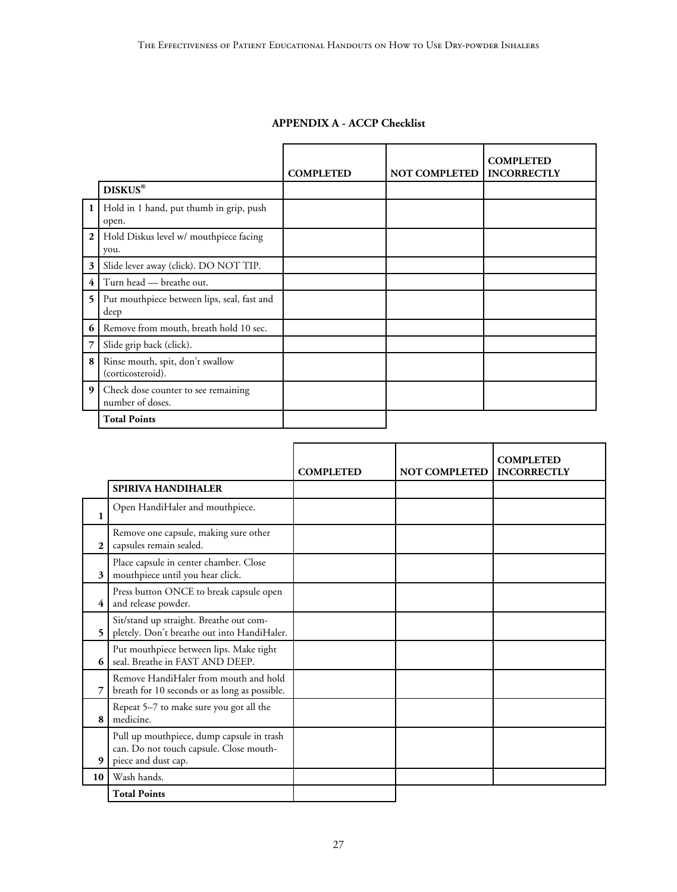|                |                                                         | <b>COMPLETED</b> | <b>NOT COMPLETED</b> | <b>COMPLETED</b><br><b>INCORRECTLY</b> |
|----------------|---------------------------------------------------------|------------------|----------------------|----------------------------------------|
|                | <b>DISKUS®</b>                                          |                  |                      |                                        |
| $\mathbf{1}$   | Hold in 1 hand, put thumb in grip, push<br>open.        |                  |                      |                                        |
| $\mathbf{2}$   | Hold Diskus level w/ mouthpiece facing<br>you.          |                  |                      |                                        |
| 3              | Slide lever away (click). DO NOT TIP.                   |                  |                      |                                        |
| $\overline{4}$ | Turn head — breathe out.                                |                  |                      |                                        |
| 5              | Put mouthpiece between lips, seal, fast and<br>deep     |                  |                      |                                        |
| 6              | Remove from mouth, breath hold 10 sec.                  |                  |                      |                                        |
| 7              | Slide grip back (click).                                |                  |                      |                                        |
| 8              | Rinse mouth, spit, don't swallow<br>(corticosteroid).   |                  |                      |                                        |
| 9              | Check dose counter to see remaining<br>number of doses. |                  |                      |                                        |
|                | <b>Total Points</b>                                     |                  |                      |                                        |

# **APPENDIX A - ACCP Checklist**

|              |                                                                                                             | <b>COMPLETED</b> | <b>NOT COMPLETED</b> | <b>COMPLETED</b><br><b>INCORRECTLY</b> |
|--------------|-------------------------------------------------------------------------------------------------------------|------------------|----------------------|----------------------------------------|
|              | <b>SPIRIVA HANDIHALER</b>                                                                                   |                  |                      |                                        |
| 1            | Open HandiHaler and mouthpiece.                                                                             |                  |                      |                                        |
| $\mathbf{2}$ | Remove one capsule, making sure other<br>capsules remain sealed.                                            |                  |                      |                                        |
| 3            | Place capsule in center chamber. Close<br>mouthpiece until you hear click.                                  |                  |                      |                                        |
| 4            | Press button ONCE to break capsule open<br>and release powder.                                              |                  |                      |                                        |
| 5            | Sit/stand up straight. Breathe out com-<br>pletely. Don't breathe out into HandiHaler.                      |                  |                      |                                        |
| 6            | Put mouthpiece between lips. Make tight<br>seal. Breathe in FAST AND DEEP.                                  |                  |                      |                                        |
| 7            | Remove HandiHaler from mouth and hold<br>breath for 10 seconds or as long as possible.                      |                  |                      |                                        |
| 8            | Repeat 5-7 to make sure you got all the<br>medicine.                                                        |                  |                      |                                        |
| 9            | Pull up mouthpiece, dump capsule in trash<br>can. Do not touch capsule. Close mouth-<br>piece and dust cap. |                  |                      |                                        |
| 10           | Wash hands.                                                                                                 |                  |                      |                                        |
|              | <b>Total Points</b>                                                                                         |                  |                      |                                        |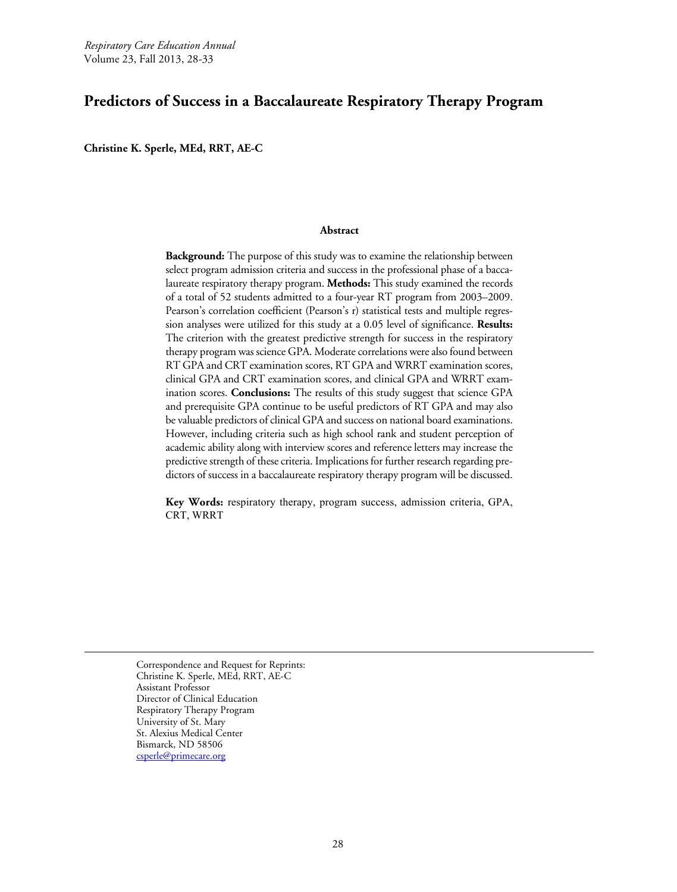# **Predictors of Success in a Baccalaureate Respiratory Therapy Program**

**Christine K. Sperle, MEd, RRT, AE-C** 

#### **Abstract**

**Background:** The purpose of this study was to examine the relationship between select program admission criteria and success in the professional phase of a baccalaureate respiratory therapy program. **Methods:** This study examined the records of a total of 52 students admitted to a four-year RT program from 2003–2009. Pearson's correlation coefficient (Pearson's r) statistical tests and multiple regression analyses were utilized for this study at a 0.05 level of significance. **Results:**  The criterion with the greatest predictive strength for success in the respiratory therapy program was science GPA. Moderate correlations were also found between RT GPA and CRT examination scores, RT GPA and WRRT examination scores, clinical GPA and CRT examination scores, and clinical GPA and WRRT examination scores. **Conclusions:** The results of this study suggest that science GPA and prerequisite GPA continue to be useful predictors of RT GPA and may also be valuable predictors of clinical GPA and success on national board examinations. However, including criteria such as high school rank and student perception of academic ability along with interview scores and reference letters may increase the predictive strength of these criteria. Implications for further research regarding predictors of success in a baccalaureate respiratory therapy program will be discussed.

**Key Words:** respiratory therapy, program success, admission criteria, GPA, CRT, WRRT

Correspondence and Request for Reprints: Christine K. Sperle, MEd, RRT, AE-C Assistant Professor Director of Clinical Education Respiratory Therapy Program University of St. Mary St. Alexius Medical Center Bismarck, ND 58506 [csperle@primecare.org](mailto:csperle@primecare.org)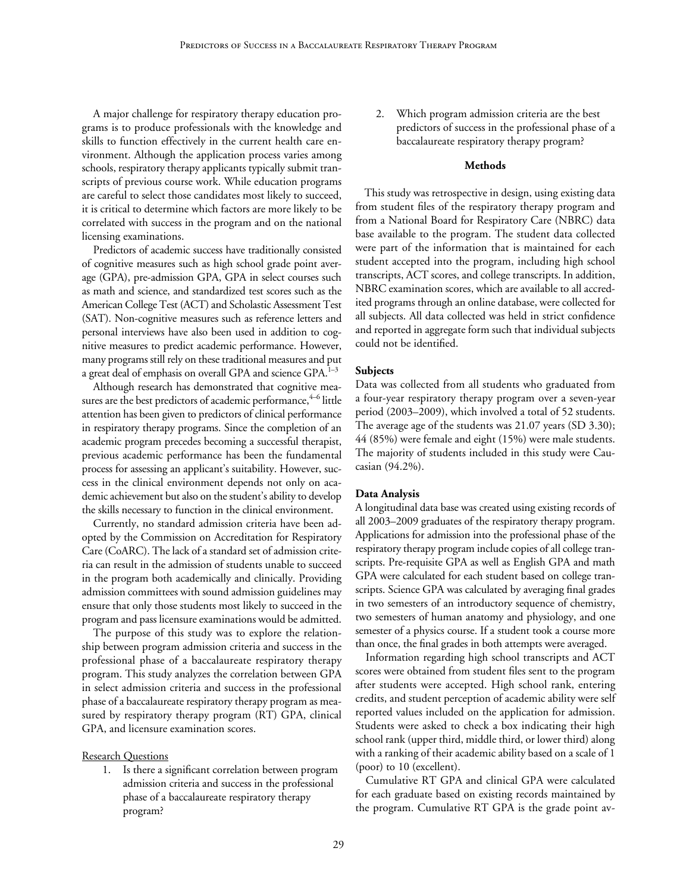A major challenge for respiratory therapy education programs is to produce professionals with the knowledge and skills to function effectively in the current health care environment. Although the application process varies among schools, respiratory therapy applicants typically submit transcripts of previous course work. While education programs are careful to select those candidates most likely to succeed, it is critical to determine which factors are more likely to be correlated with success in the program and on the national licensing examinations.

Predictors of academic success have traditionally consisted of cognitive measures such as high school grade point average (GPA), pre-admission GPA, GPA in select courses such as math and science, and standardized test scores such as the American College Test (ACT) and Scholastic Assessment Test (SAT). Non-cognitive measures such as reference letters and personal interviews have also been used in addition to cognitive measures to predict academic performance. However, many programs still rely on these traditional measures and put a great deal of emphasis on overall GPA and science GPA.<sup>1-3</sup>

Although research has demonstrated that cognitive measures are the best predictors of academic performance, $4-6$  little attention has been given to predictors of clinical performance in respiratory therapy programs. Since the completion of an academic program precedes becoming a successful therapist, previous academic performance has been the fundamental process for assessing an applicant's suitability. However, success in the clinical environment depends not only on academic achievement but also on the student's ability to develop the skills necessary to function in the clinical environment.

Currently, no standard admission criteria have been adopted by the Commission on Accreditation for Respiratory Care (CoARC). The lack of a standard set of admission criteria can result in the admission of students unable to succeed in the program both academically and clinically. Providing admission committees with sound admission guidelines may ensure that only those students most likely to succeed in the program and pass licensure examinations would be admitted.

The purpose of this study was to explore the relationship between program admission criteria and success in the professional phase of a baccalaureate respiratory therapy program. This study analyzes the correlation between GPA in select admission criteria and success in the professional phase of a baccalaureate respiratory therapy program as measured by respiratory therapy program (RT) GPA, clinical GPA, and licensure examination scores.

#### Research Questions

1. Is there a significant correlation between program admission criteria and success in the professional phase of a baccalaureate respiratory therapy program?

2. Which program admission criteria are the best predictors of success in the professional phase of a baccalaureate respiratory therapy program?

# **Methods**

This study was retrospective in design, using existing data from student files of the respiratory therapy program and from a National Board for Respiratory Care (NBRC) data base available to the program. The student data collected were part of the information that is maintained for each student accepted into the program, including high school transcripts, ACT scores, and college transcripts. In addition, NBRC examination scores, which are available to all accredited programs through an online database, were collected for all subjects. All data collected was held in strict confidence and reported in aggregate form such that individual subjects could not be identified.

#### **Subjects**

Data was collected from all students who graduated from a four-year respiratory therapy program over a seven-year period (2003–2009), which involved a total of 52 students. The average age of the students was 21.07 years (SD 3.30); 44 (85%) were female and eight (15%) were male students. The majority of students included in this study were Caucasian (94.2%).

# **Data Analysis**

A longitudinal data base was created using existing records of all 2003–2009 graduates of the respiratory therapy program. Applications for admission into the professional phase of the respiratory therapy program include copies of all college transcripts. Pre-requisite GPA as well as English GPA and math GPA were calculated for each student based on college transcripts. Science GPA was calculated by averaging final grades in two semesters of an introductory sequence of chemistry, two semesters of human anatomy and physiology, and one semester of a physics course. If a student took a course more than once, the final grades in both attempts were averaged.

Information regarding high school transcripts and ACT scores were obtained from student files sent to the program after students were accepted. High school rank, entering credits, and student perception of academic ability were self reported values included on the application for admission. Students were asked to check a box indicating their high school rank (upper third, middle third, or lower third) along with a ranking of their academic ability based on a scale of 1 (poor) to 10 (excellent).

Cumulative RT GPA and clinical GPA were calculated for each graduate based on existing records maintained by the program. Cumulative RT GPA is the grade point av-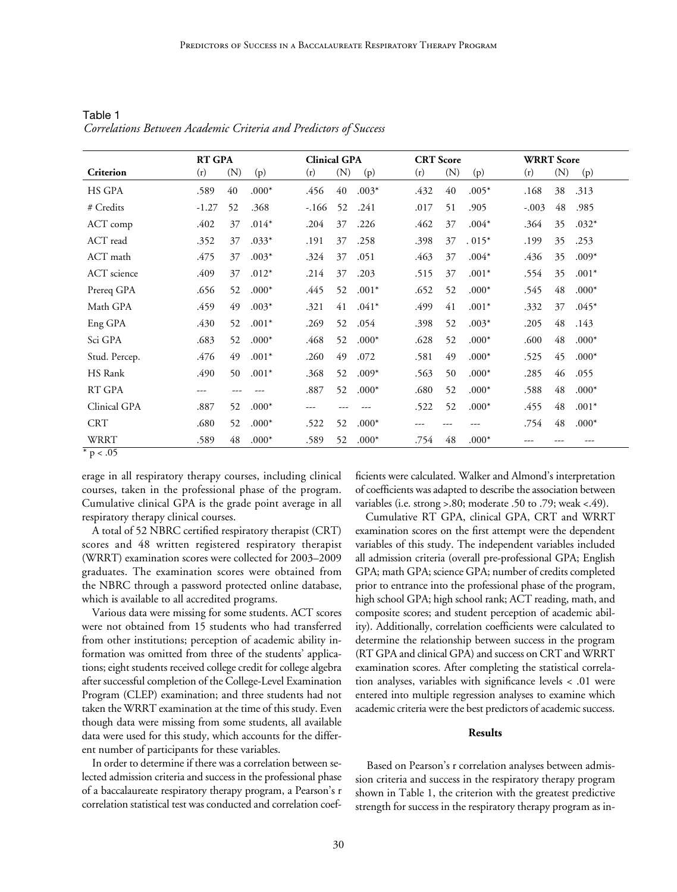|                       | <b>RT GPA</b> |     |         | <b>Clinical GPA</b> |     |         | <b>CRT</b> Score |     |         | <b>WRRT</b> Score |     |         |
|-----------------------|---------------|-----|---------|---------------------|-----|---------|------------------|-----|---------|-------------------|-----|---------|
| Criterion             | (r)           | (N) | (p)     | (r)                 | (N) | (p)     | (r)              | (N) | (p)     | (r)               | (N) | (p)     |
| HS GPA                | .589          | 40  | $.000*$ | .456                | 40  | $.003*$ | .432             | 40  | $.005*$ | .168              | 38  | .313    |
| # Credits             | $-1.27$       | 52  | .368    | $-.166$             | 52  | .241    | .017             | 51  | .905    | $-.003$           | 48  | .985    |
| ACT comp              | .402          | 37  | $.014*$ | .204                | 37  | .226    | .462             | 37  | $.004*$ | .364              | 35  | $.032*$ |
| ACT read              | .352          | 37  | $.033*$ | .191                | 37  | .258    | .398             | 37  | $.015*$ | .199              | 35  | .253    |
| ACT math              | .475          | 37  | $.003*$ | .324                | 37  | .051    | .463             | 37  | $.004*$ | .436              | 35  | $.009*$ |
| ACT science           | .409          | 37  | $.012*$ | .214                | 37  | .203    | .515             | 37  | $.001*$ | .554              | 35  | $.001*$ |
| Prereq GPA            | .656          | 52  | $.000*$ | .445                | 52  | $.001*$ | .652             | 52  | $.000*$ | .545              | 48  | $.000*$ |
| Math GPA              | .459          | 49  | $.003*$ | .321                | 41  | $.041*$ | .499             | 41  | $.001*$ | .332              | 37  | $.045*$ |
| Eng GPA               | .430          | 52  | $.001*$ | .269                | 52  | .054    | .398             | 52  | $.003*$ | .205              | 48  | .143    |
| Sci GPA               | .683          | 52  | $.000*$ | .468                | 52  | $.000*$ | .628             | 52  | $.000*$ | .600              | 48  | $.000*$ |
| Stud. Percep.         | .476          | 49  | $.001*$ | .260                | 49  | .072    | .581             | 49  | $.000*$ | .525              | 45  | $.000*$ |
| HS Rank               | .490          | 50  | $.001*$ | .368                | 52  | $.009*$ | .563             | 50  | $.000*$ | .285              | 46  | .055    |
| RT GPA                | ---           |     |         | .887                | 52  | $.000*$ | .680             | 52  | $.000*$ | .588              | 48  | $.000*$ |
| Clinical GPA          | .887          | 52  | $.000*$ | ---                 |     |         | .522             | 52  | $.000*$ | .455              | 48  | $.001*$ |
| <b>CRT</b>            | .680          | 52  | $.000*$ | .522                | 52  | $.000*$ |                  |     |         | .754              | 48  | $.000*$ |
| <b>WRRT</b><br>$\sim$ | .589          | 48  | $.000*$ | .589                | 52  | $.000*$ | .754             | 48  | $.000*$ |                   |     |         |

Table 1 *Correlations Between Academic Criteria and Predictors of Success*

\* p < .05

erage in all respiratory therapy courses, including clinical courses, taken in the professional phase of the program. Cumulative clinical GPA is the grade point average in all respiratory therapy clinical courses.

A total of 52 NBRC certified respiratory therapist (CRT) scores and 48 written registered respiratory therapist (WRRT) examination scores were collected for 2003–2009 graduates. The examination scores were obtained from the NBRC through a password protected online database, which is available to all accredited programs.

Various data were missing for some students. ACT scores were not obtained from 15 students who had transferred from other institutions; perception of academic ability information was omitted from three of the students' applications; eight students received college credit for college algebra after successful completion of the College-Level Examination Program (CLEP) examination; and three students had not taken the WRRT examination at the time of this study. Even though data were missing from some students, all available data were used for this study, which accounts for the different number of participants for these variables.

In order to determine if there was a correlation between selected admission criteria and success in the professional phase of a baccalaureate respiratory therapy program, a Pearson's r correlation statistical test was conducted and correlation coefficients were calculated. Walker and Almond's interpretation of coefficients was adapted to describe the association between variables (i.e. strong >.80; moderate .50 to .79; weak <.49).

Cumulative RT GPA, clinical GPA, CRT and WRRT examination scores on the first attempt were the dependent variables of this study. The independent variables included all admission criteria (overall pre-professional GPA; English GPA; math GPA; science GPA; number of credits completed prior to entrance into the professional phase of the program, high school GPA; high school rank; ACT reading, math, and composite scores; and student perception of academic ability). Additionally, correlation coefficients were calculated to determine the relationship between success in the program (RT GPA and clinical GPA) and success on CRT and WRRT examination scores. After completing the statistical correlation analyses, variables with significance levels < .01 were entered into multiple regression analyses to examine which academic criteria were the best predictors of academic success.

# **Results**

Based on Pearson's r correlation analyses between admission criteria and success in the respiratory therapy program shown in Table 1, the criterion with the greatest predictive strength for success in the respiratory therapy program as in-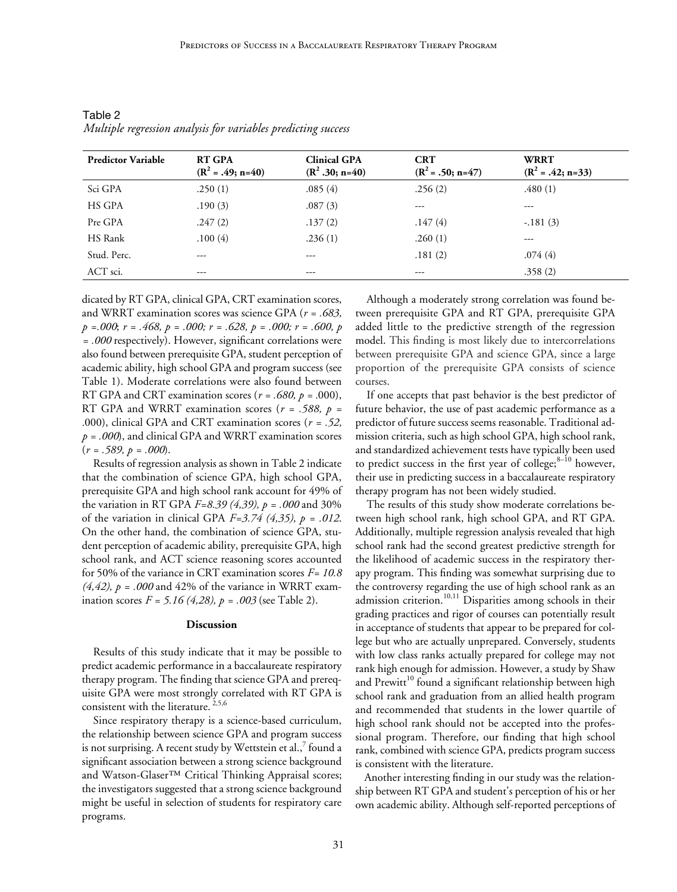| <b>Predictor Variable</b> | <b>RT GPA</b><br>$(R^2 = .49; n=40)$ | <b>Clinical GPA</b><br>$(R^2 .30; n=40)$ | <b>CRT</b><br>$(R^2 = .50; n=47)$ | <b>WRRT</b><br>$(R2 = .42; n=33)$ |
|---------------------------|--------------------------------------|------------------------------------------|-----------------------------------|-----------------------------------|
| Sci GPA                   | .250(1)                              | .085(4)                                  | .256(2)                           | .480(1)                           |
| HS GPA                    | .190(3)                              | .087(3)                                  | $- - -$                           | ---                               |
| Pre GPA                   | .247(2)                              | .137(2)                                  | .147(4)                           | $-.181(3)$                        |
| HS Rank                   | .100(4)                              | .236(1)                                  | .260(1)                           | ---                               |
| Stud. Perc.               | $---$                                | ---                                      | .181(2)                           | .074(4)                           |
| ACT sci.                  | $---$                                | ---                                      | ---                               | .358(2)                           |

Table 2 *Multiple regression analysis for variables predicting success*

dicated by RT GPA, clinical GPA, CRT examination scores, and WRRT examination scores was science GPA (*r = .683, p =.000*; *r = .468, p = .000; r = .628, p = .000; r = .600, p = .000* respectively). However, significant correlations were also found between prerequisite GPA, student perception of academic ability, high school GPA and program success (see Table 1). Moderate correlations were also found between RT GPA and CRT examination scores (*r = .680, p = .*000), RT GPA and WRRT examination scores (*r = .588, p = .*000), clinical GPA and CRT examination scores (*r = .52, p = .000*), and clinical GPA and WRRT examination scores (*r = .589, p = .000*).

Results of regression analysis as shown in Table 2 indicate that the combination of science GPA, high school GPA, prerequisite GPA and high school rank account for 49% of the variation in RT GPA *F=8.39 (4,39), p = .000* and 30% of the variation in clinical GPA *F=3.74 (4,35), p = .012*. On the other hand, the combination of science GPA, student perception of academic ability, prerequisite GPA, high school rank, and ACT science reasoning scores accounted for 50% of the variance in CRT examination scores *F= 10.8*   $(4,42)$ ,  $p = .000$  and 42% of the variance in WRRT examination scores *F = 5.16 (4,28), p = .003* (see Table 2).

#### **Discussion**

Results of this study indicate that it may be possible to predict academic performance in a baccalaureate respiratory therapy program. The finding that science GPA and prerequisite GPA were most strongly correlated with RT GPA is consistent with the literature. 2,5,6

Since respiratory therapy is a science-based curriculum, the relationship between science GPA and program success is not surprising. A recent study by Wettstein et al., $^7$  found a significant association between a strong science background and Watson-Glaser™ Critical Thinking Appraisal scores; the investigators suggested that a strong science background might be useful in selection of students for respiratory care programs.

Although a moderately strong correlation was found between prerequisite GPA and RT GPA, prerequisite GPA added little to the predictive strength of the regression model. This finding is most likely due to intercorrelations between prerequisite GPA and science GPA, since a large proportion of the prerequisite GPA consists of science courses.

If one accepts that past behavior is the best predictor of future behavior, the use of past academic performance as a predictor of future success seems reasonable. Traditional admission criteria, such as high school GPA, high school rank, and standardized achievement tests have typically been used to predict success in the first year of college; $8-10$  however, their use in predicting success in a baccalaureate respiratory therapy program has not been widely studied.

The results of this study show moderate correlations between high school rank, high school GPA, and RT GPA. Additionally, multiple regression analysis revealed that high school rank had the second greatest predictive strength for the likelihood of academic success in the respiratory therapy program. This finding was somewhat surprising due to the controversy regarding the use of high school rank as an admission criterion.<sup>10,11</sup> Disparities among schools in their grading practices and rigor of courses can potentially result in acceptance of students that appear to be prepared for college but who are actually unprepared. Conversely, students with low class ranks actually prepared for college may not rank high enough for admission. However, a study by Shaw and Prewitt<sup>10</sup> found a significant relationship between high school rank and graduation from an allied health program and recommended that students in the lower quartile of high school rank should not be accepted into the professional program. Therefore, our finding that high school rank, combined with science GPA, predicts program success is consistent with the literature.

Another interesting finding in our study was the relationship between RT GPA and student's perception of his or her own academic ability. Although self-reported perceptions of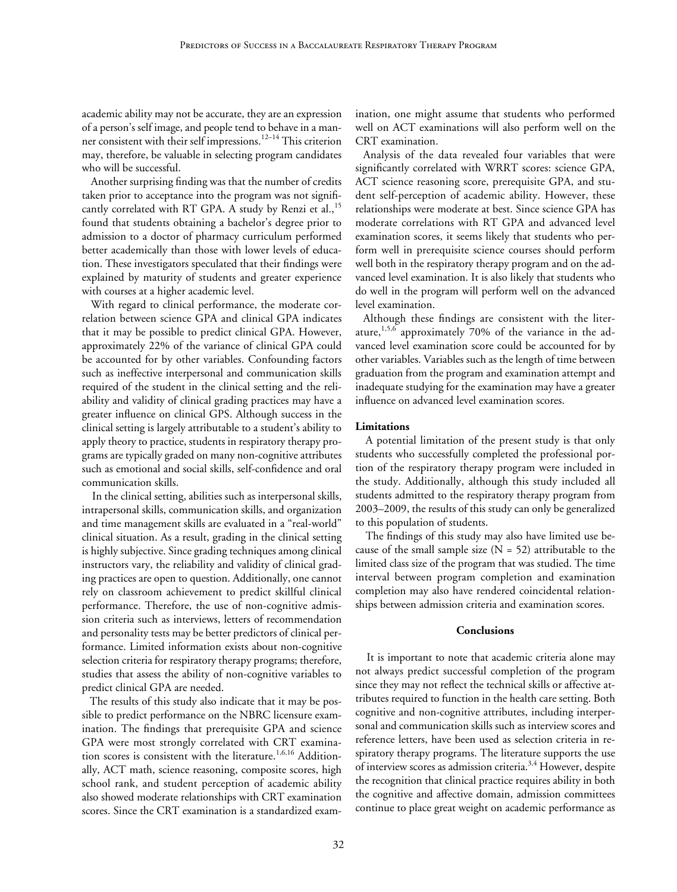academic ability may not be accurate, they are an expression of a person's self image, and people tend to behave in a manner consistent with their self impressions.<sup>12–14</sup> This criterion may, therefore, be valuable in selecting program candidates who will be successful.

Another surprising finding was that the number of credits taken prior to acceptance into the program was not significantly correlated with RT GPA. A study by Renzi et al.,<sup>15</sup> found that students obtaining a bachelor's degree prior to admission to a doctor of pharmacy curriculum performed better academically than those with lower levels of education. These investigators speculated that their findings were explained by maturity of students and greater experience with courses at a higher academic level.

With regard to clinical performance, the moderate correlation between science GPA and clinical GPA indicates that it may be possible to predict clinical GPA. However, approximately 22% of the variance of clinical GPA could be accounted for by other variables. Confounding factors such as ineffective interpersonal and communication skills required of the student in the clinical setting and the reliability and validity of clinical grading practices may have a greater influence on clinical GPS. Although success in the clinical setting is largely attributable to a student's ability to apply theory to practice, students in respiratory therapy programs are typically graded on many non-cognitive attributes such as emotional and social skills, self-confidence and oral communication skills.

In the clinical setting, abilities such as interpersonal skills, intrapersonal skills, communication skills, and organization and time management skills are evaluated in a "real-world" clinical situation. As a result, grading in the clinical setting is highly subjective. Since grading techniques among clinical instructors vary, the reliability and validity of clinical grading practices are open to question. Additionally, one cannot rely on classroom achievement to predict skillful clinical performance. Therefore, the use of non-cognitive admission criteria such as interviews, letters of recommendation and personality tests may be better predictors of clinical performance. Limited information exists about non-cognitive selection criteria for respiratory therapy programs; therefore, studies that assess the ability of non-cognitive variables to predict clinical GPA are needed.

The results of this study also indicate that it may be possible to predict performance on the NBRC licensure examination. The findings that prerequisite GPA and science GPA were most strongly correlated with CRT examination scores is consistent with the literature.<sup>1,6,16</sup> Additionally, ACT math, science reasoning, composite scores, high school rank, and student perception of academic ability also showed moderate relationships with CRT examination scores. Since the CRT examination is a standardized examination, one might assume that students who performed well on ACT examinations will also perform well on the CRT examination.

Analysis of the data revealed four variables that were significantly correlated with WRRT scores: science GPA, ACT science reasoning score, prerequisite GPA, and student self-perception of academic ability. However, these relationships were moderate at best. Since science GPA has moderate correlations with RT GPA and advanced level examination scores, it seems likely that students who perform well in prerequisite science courses should perform well both in the respiratory therapy program and on the advanced level examination. It is also likely that students who do well in the program will perform well on the advanced level examination.

Although these findings are consistent with the literature,<sup>1,5,6</sup> approximately 70% of the variance in the advanced level examination score could be accounted for by other variables. Variables such as the length of time between graduation from the program and examination attempt and inadequate studying for the examination may have a greater influence on advanced level examination scores.

#### **Limitations**

A potential limitation of the present study is that only students who successfully completed the professional portion of the respiratory therapy program were included in the study. Additionally, although this study included all students admitted to the respiratory therapy program from 2003–2009, the results of this study can only be generalized to this population of students.

The findings of this study may also have limited use because of the small sample size  $(N = 52)$  attributable to the limited class size of the program that was studied. The time interval between program completion and examination completion may also have rendered coincidental relationships between admission criteria and examination scores.

#### **Conclusions**

It is important to note that academic criteria alone may not always predict successful completion of the program since they may not reflect the technical skills or affective attributes required to function in the health care setting. Both cognitive and non-cognitive attributes, including interpersonal and communication skills such as interview scores and reference letters, have been used as selection criteria in respiratory therapy programs. The literature supports the use of interview scores as admission criteria.<sup>3,4</sup> However, despite the recognition that clinical practice requires ability in both the cognitive and affective domain, admission committees continue to place great weight on academic performance as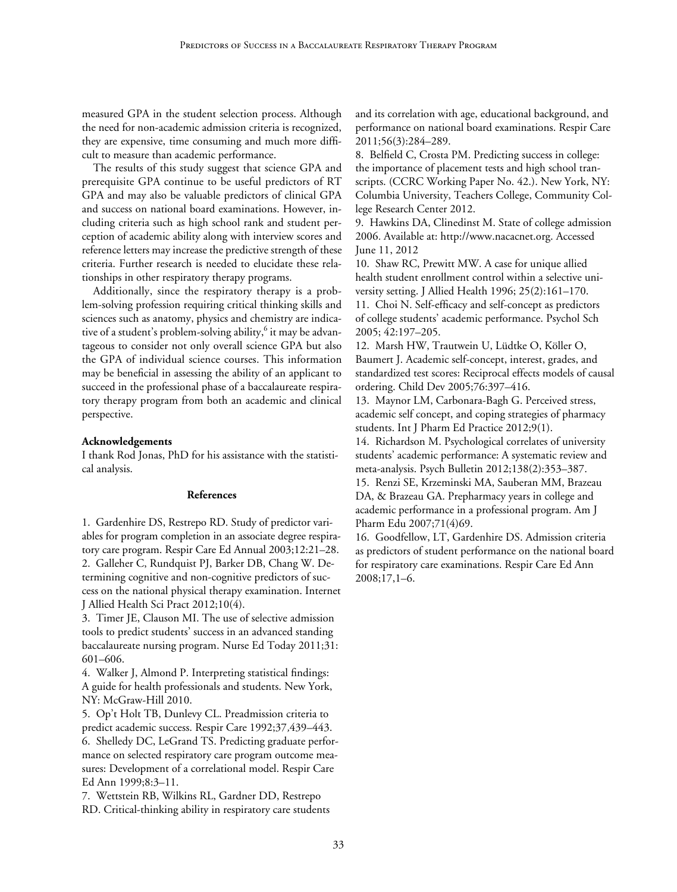measured GPA in the student selection process. Although the need for non-academic admission criteria is recognized, they are expensive, time consuming and much more difficult to measure than academic performance.

The results of this study suggest that science GPA and prerequisite GPA continue to be useful predictors of RT GPA and may also be valuable predictors of clinical GPA and success on national board examinations. However, including criteria such as high school rank and student perception of academic ability along with interview scores and reference letters may increase the predictive strength of these criteria. Further research is needed to elucidate these relationships in other respiratory therapy programs.

Additionally, since the respiratory therapy is a problem-solving profession requiring critical thinking skills and sciences such as anatomy, physics and chemistry are indicative of a student's problem-solving ability,<sup>6</sup> it may be advantageous to consider not only overall science GPA but also the GPA of individual science courses. This information may be beneficial in assessing the ability of an applicant to succeed in the professional phase of a baccalaureate respiratory therapy program from both an academic and clinical perspective.

#### **Acknowledgements**

I thank Rod Jonas, PhD for his assistance with the statistical analysis.

#### **References**

1. Gardenhire DS, Restrepo RD. Study of predictor variables for program completion in an associate degree respiratory care program. Respir Care Ed Annual 2003;12:21–28. 2. Galleher C, Rundquist PJ, Barker DB, Chang W. Determining cognitive and non-cognitive predictors of success on the national physical therapy examination. Internet J Allied Health Sci Pract 2012;10(4).

3. Timer JE, Clauson MI. The use of selective admission tools to predict students' success in an advanced standing baccalaureate nursing program. Nurse Ed Today 2011;31: 601–606.

4. Walker J, Almond P. Interpreting statistical findings: A guide for health professionals and students. New York, NY: McGraw-Hill 2010.

5. Op't Holt TB, Dunlevy CL. Preadmission criteria to predict academic success. Respir Care 1992;37*,*439–443. 6. Shelledy DC, LeGrand TS. Predicting graduate performance on selected respiratory care program outcome measures: Development of a correlational model. Respir Care Ed Ann 1999;8:3–11.

7. Wettstein RB, Wilkins RL, Gardner DD, Restrepo RD. Critical-thinking ability in respiratory care students and its correlation with age, educational background, and performance on national board examinations. [Respir Care](http://www.ingentaconnect.com/content/jrcc/rc) 2011;56(3):284–289.

8. Belfield C, Crosta PM. Predicting success in college: the importance of placement tests and high school transcripts. (CCRC Working Paper No. 42.). New York, NY: Columbia University, Teachers College, Community College Research Center 2012.

9. Hawkins DA, Clinedinst M. State of college admission 2006*.* Available at: [http://www.nacacnet.org.](http://www.nacacnet.org/) Accessed June 11, 2012

10. Shaw RC, Prewitt MW. A case for unique allied health student enrollment control within a selective university setting. J Allied Health 1996; 25(2):161–170. 11. Choi N. Self-efficacy and self-concept as predictors of college students' academic performance. Psychol Sch 2005; 42:197–205.

12. Marsh HW, Trautwein U, Lüdtke O, Köller O, Baumert J. Academic self-concept, interest, grades, and standardized test scores: Reciprocal effects models of causal ordering. Child Dev 2005;76:397–416.

13. Maynor LM, Carbonara-Bagh G. Perceived stress, academic self concept, and coping strategies of pharmacy students. Int J Pharm Ed Practice 2012;9(1).

14. Richardson M. Psychological correlates of university students' academic performance: A systematic review and meta-analysis. Psych Bulletin 2012;138(2):353–387.

15. Renzi SE, Krzeminski MA, Sauberan MM, Brazeau DA, & Brazeau GA. Prepharmacy years in college and academic performance in a professional program. Am J Pharm Edu 2007;71(4)69.

16. Goodfellow, LT, Gardenhire DS. Admission criteria as predictors of student performance on the national board for respiratory care examinations. Respir Care Ed Ann 2008;17,1–6.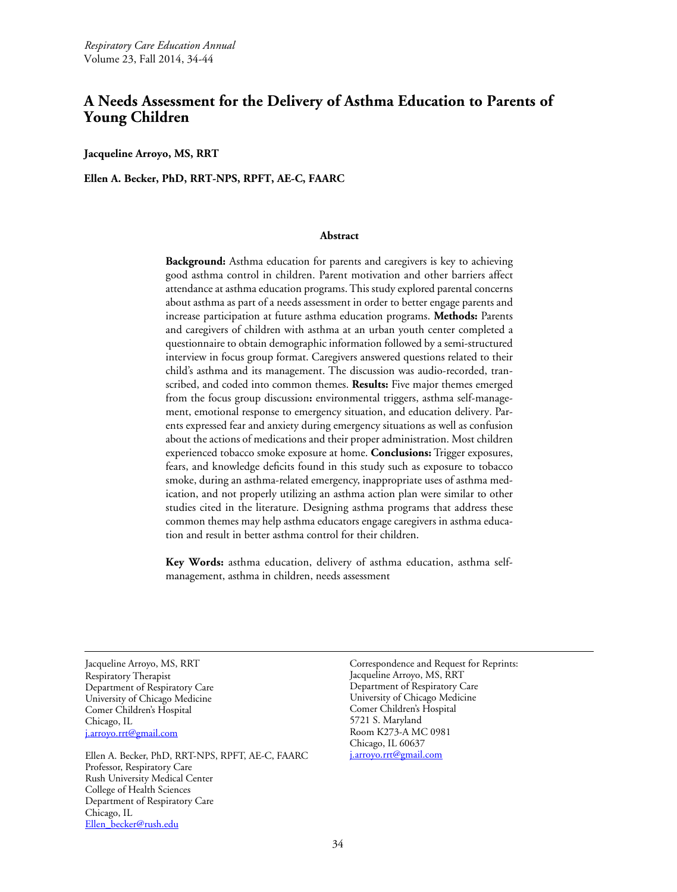# **A Needs Assessment for the Delivery of Asthma Education to Parents of Young Children**

**Jacqueline Arroyo, MS, RRT**

**Ellen A. Becker, PhD, RRT-NPS, RPFT, AE-C, FAARC** 

# **Abstract**

**Background:** Asthma education for parents and caregivers is key to achieving good asthma control in children. Parent motivation and other barriers affect attendance at asthma education programs. This study explored parental concerns about asthma as part of a needs assessment in order to better engage parents and increase participation at future asthma education programs. **Methods:** Parents and caregivers of children with asthma at an urban youth center completed a questionnaire to obtain demographic information followed by a semi-structured interview in focus group format. Caregivers answered questions related to their child's asthma and its management. The discussion was audio-recorded, transcribed, and coded into common themes. **Results:** Five major themes emerged from the focus group discussion**:** environmental triggers, asthma self-management, emotional response to emergency situation, and education delivery*.* Parents expressed fear and anxiety during emergency situations as well as confusion about the actions of medications and their proper administration. Most children experienced tobacco smoke exposure at home. **Conclusions:** Trigger exposures, fears, and knowledge deficits found in this study such as exposure to tobacco smoke, during an asthma-related emergency, inappropriate uses of asthma medication, and not properly utilizing an asthma action plan were similar to other studies cited in the literature. Designing asthma programs that address these common themes may help asthma educators engage caregivers in asthma education and result in better asthma control for their children.

**Key Words:** asthma education, delivery of asthma education, asthma selfmanagement, asthma in children, needs assessment

Jacqueline Arroyo, MS, RRT Respiratory Therapist Department of Respiratory Care University of Chicago Medicine Comer Children's Hospital Chicago, IL [j.arroyo.rrt@gmail.com](mailto:j.arroyo.rrt@gmail.com)

Ellen A. Becker, PhD, RRT-NPS, RPFT, AE-C, FAARC Professor, Respiratory Care Rush University Medical Center College of Health Sciences Department of Respiratory Care Chicago, IL [Ellen\\_becker@rush.edu](mailto:Ellen_becker@rush.edu)

Correspondence and Request for Reprints: Jacqueline Arroyo, MS, RRT Department of Respiratory Care University of Chicago Medicine Comer Children's Hospital 5721 S. Maryland Room K273-A MC 0981 Chicago, IL 60637 [j.arroyo.rrt@gmail.com](mailto:j.arroyo.rrt@gmail.com)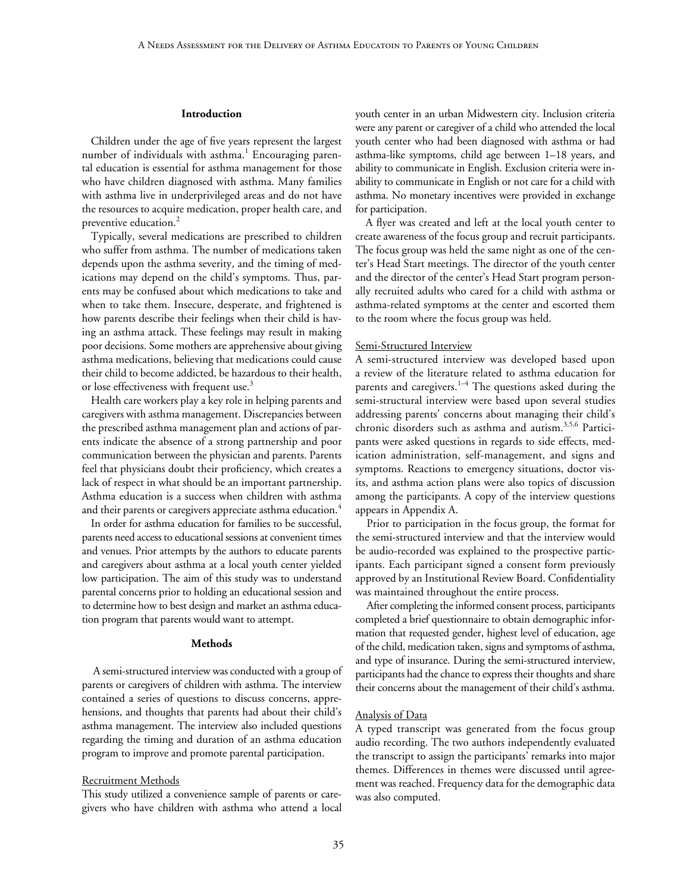#### **Introduction**

Children under the age of five years represent the largest number of individuals with asthma.<sup>1</sup> Encouraging parental education is essential for asthma management for those who have children diagnosed with asthma. Many families with asthma live in underprivileged areas and do not have the resources to acquire medication, proper health care, and preventive education.<sup>2</sup>

Typically, several medications are prescribed to children who suffer from asthma. The number of medications taken depends upon the asthma severity, and the timing of medications may depend on the child's symptoms. Thus, parents may be confused about which medications to take and when to take them. Insecure, desperate, and frightened is how parents describe their feelings when their child is having an asthma attack. These feelings may result in making poor decisions. Some mothers are apprehensive about giving asthma medications, believing that medications could cause their child to become addicted, be hazardous to their health, or lose effectiveness with frequent use.<sup>3</sup>

Health care workers play a key role in helping parents and caregivers with asthma management. Discrepancies between the prescribed asthma management plan and actions of parents indicate the absence of a strong partnership and poor communication between the physician and parents. Parents feel that physicians doubt their proficiency, which creates a lack of respect in what should be an important partnership. Asthma education is a success when children with asthma and their parents or caregivers appreciate asthma education.<sup>4</sup>

In order for asthma education for families to be successful, parents need access to educational sessions at convenient times and venues. Prior attempts by the authors to educate parents and caregivers about asthma at a local youth center yielded low participation. The aim of this study was to understand parental concerns prior to holding an educational session and to determine how to best design and market an asthma education program that parents would want to attempt.

#### **Methods**

A semi-structured interview was conducted with a group of parents or caregivers of children with asthma. The interview contained a series of questions to discuss concerns, apprehensions, and thoughts that parents had about their child's asthma management. The interview also included questions regarding the timing and duration of an asthma education program to improve and promote parental participation.

#### Recruitment Methods

This study utilized a convenience sample of parents or caregivers who have children with asthma who attend a local

youth center in an urban Midwestern city. Inclusion criteria were any parent or caregiver of a child who attended the local youth center who had been diagnosed with asthma or had asthma-like symptoms, child age between 1–18 years, and ability to communicate in English. Exclusion criteria were inability to communicate in English or not care for a child with asthma. No monetary incentives were provided in exchange for participation.

A flyer was created and left at the local youth center to create awareness of the focus group and recruit participants. The focus group was held the same night as one of the center's Head Start meetings. The director of the youth center and the director of the center's Head Start program personally recruited adults who cared for a child with asthma or asthma-related symptoms at the center and escorted them to the room where the focus group was held.

# Semi-Structured Interview

A semi-structured interview was developed based upon a review of the literature related to asthma education for parents and caregivers.<sup>1-4</sup> The questions asked during the semi-structural interview were based upon several studies addressing parents' concerns about managing their child's chronic disorders such as asthma and autism.3,5,6 Participants were asked questions in regards to side effects, medication administration, self-management, and signs and symptoms. Reactions to emergency situations, doctor visits, and asthma action plans were also topics of discussion among the participants. A copy of the interview questions appears in Appendix A.

Prior to participation in the focus group, the format for the semi-structured interview and that the interview would be audio-recorded was explained to the prospective participants. Each participant signed a consent form previously approved by an Institutional Review Board. Confidentiality was maintained throughout the entire process.

After completing the informed consent process, participants completed a brief questionnaire to obtain demographic information that requested gender, highest level of education, age of the child, medication taken, signs and symptoms of asthma, and type of insurance. During the semi-structured interview, participants had the chance to express their thoughts and share their concerns about the management of their child's asthma.

#### Analysis of Data

A typed transcript was generated from the focus group audio recording. The two authors independently evaluated the transcript to assign the participants' remarks into major themes. Differences in themes were discussed until agreement was reached. Frequency data for the demographic data was also computed.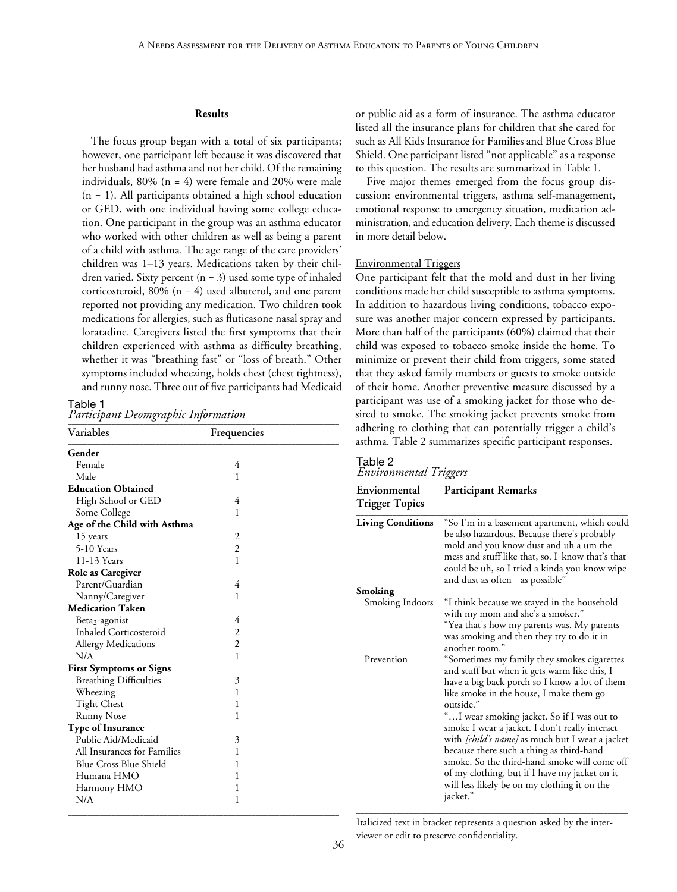#### **Results**

The focus group began with a total of six participants; however, one participant left because it was discovered that her husband had asthma and not her child. Of the remaining individuals,  $80\%$  (n = 4) were female and  $20\%$  were male  $(n = 1)$ . All participants obtained a high school education or GED, with one individual having some college education. One participant in the group was an asthma educator who worked with other children as well as being a parent of a child with asthma. The age range of the care providers' children was 1–13 years. Medications taken by their children varied. Sixty percent  $(n = 3)$  used some type of inhaled corticosteroid, 80% (n = 4) used albuterol, and one parent reported not providing any medication. Two children took medications for allergies, such as fluticasone nasal spray and loratadine. Caregivers listed the first symptoms that their children experienced with asthma as difficulty breathing, whether it was "breathing fast" or "loss of breath." Other symptoms included wheezing, holds chest (chest tightness), and runny nose. Three out of five participants had Medicaid

Table 1

*Participant Deomgraphic Information* \_\_\_\_\_\_\_\_\_\_\_\_\_\_\_\_\_\_\_\_\_\_\_\_\_\_\_\_\_\_\_\_\_\_\_\_\_\_\_\_\_\_\_\_\_\_\_\_\_\_\_\_\_\_\_\_\_\_\_\_\_\_\_\_\_\_\_\_

| Variables                      | Frequencies    |  |
|--------------------------------|----------------|--|
| Gender                         |                |  |
| Female                         | 4              |  |
| Male                           | 1              |  |
| <b>Education Obtained</b>      |                |  |
| High School or GED             | 4              |  |
| Some College                   | 1              |  |
| Age of the Child with Asthma   |                |  |
| 15 years                       | 2              |  |
| 5-10 Years                     | $\overline{2}$ |  |
| 11-13 Years                    | 1              |  |
| <b>Role as Caregiver</b>       |                |  |
| Parent/Guardian                | 4              |  |
| Nanny/Caregiver                | 1              |  |
| <b>Medication Taken</b>        |                |  |
| Beta <sub>2</sub> -agonist     | 4              |  |
| Inhaled Corticosteroid         | $\overline{2}$ |  |
| <b>Allergy Medications</b>     | $\overline{2}$ |  |
| N/A                            | 1              |  |
| <b>First Symptoms or Signs</b> |                |  |
| <b>Breathing Difficulties</b>  | 3              |  |
| Wheezing                       | 1              |  |
| <b>Tight Chest</b>             | 1              |  |
| <b>Runny Nose</b>              | 1              |  |
| <b>Type of Insurance</b>       |                |  |
| Public Aid/Medicaid            | 3              |  |
| All Insurances for Families    | 1              |  |
| <b>Blue Cross Blue Shield</b>  | 1              |  |
| Humana HMO                     | 1              |  |
| Harmony HMO                    | 1              |  |
| N/A                            | 1              |  |

or public aid as a form of insurance. The asthma educator listed all the insurance plans for children that she cared for such as All Kids Insurance for Families and Blue Cross Blue Shield. One participant listed "not applicable" as a response to this question. The results are summarized in Table 1.

Five major themes emerged from the focus group discussion: environmental triggers, asthma self-management, emotional response to emergency situation, medication administration, and education delivery. Each theme is discussed in more detail below.

#### Environmental Triggers

One participant felt that the mold and dust in her living conditions made her child susceptible to asthma symptoms. In addition to hazardous living conditions, tobacco exposure was another major concern expressed by participants. More than half of the participants (60%) claimed that their child was exposed to tobacco smoke inside the home. To minimize or prevent their child from triggers, some stated that they asked family members or guests to smoke outside of their home. Another preventive measure discussed by a participant was use of a smoking jacket for those who desired to smoke. The smoking jacket prevents smoke from adhering to clothing that can potentially trigger a child's asthma. Table 2 summarizes specific participant responses.

| Environmental Triggers<br>Envionmental | <b>Participant Remarks</b>                                                                                                                                                                                                                                                                                                                               |
|----------------------------------------|----------------------------------------------------------------------------------------------------------------------------------------------------------------------------------------------------------------------------------------------------------------------------------------------------------------------------------------------------------|
| <b>Trigger Topics</b>                  |                                                                                                                                                                                                                                                                                                                                                          |
| <b>Living Conditions</b>               | "So I'm in a basement apartment, which could<br>be also hazardous. Because there's probably<br>mold and you know dust and uh a um the<br>mess and stuff like that, so. I know that's that<br>could be uh, so I tried a kinda you know wipe<br>and dust as often as possible"                                                                             |
| Smoking                                |                                                                                                                                                                                                                                                                                                                                                          |
| Smoking Indoors                        | "I think because we stayed in the household<br>with my mom and she's a smoker."<br>"Yea that's how my parents was. My parents<br>was smoking and then they try to do it in<br>another room."                                                                                                                                                             |
| Prevention                             | "Sometimes my family they smokes cigarettes<br>and stuff but when it gets warm like this, I<br>have a big back porch so I know a lot of them<br>like smoke in the house, I make them go<br>outside."                                                                                                                                                     |
|                                        | "I wear smoking jacket. So if I was out to<br>smoke I wear a jacket. I don't really interact<br>with [child's name] as much but I wear a jacket<br>because there such a thing as third-hand<br>smoke. So the third-hand smoke will come off<br>of my clothing, but if I have my jacket on it<br>will less likely be on my clothing it on the<br>jacket." |

Italicized text in bracket represents a question asked by the interviewer or edit to preserve confidentiality.

\_\_\_\_\_\_\_\_\_\_\_\_\_\_\_\_\_\_\_\_\_\_\_\_\_\_\_\_\_\_\_\_\_\_\_\_\_\_\_\_\_\_\_\_\_\_\_\_\_\_\_\_\_\_\_\_\_\_\_\_\_\_\_\_\_\_\_\_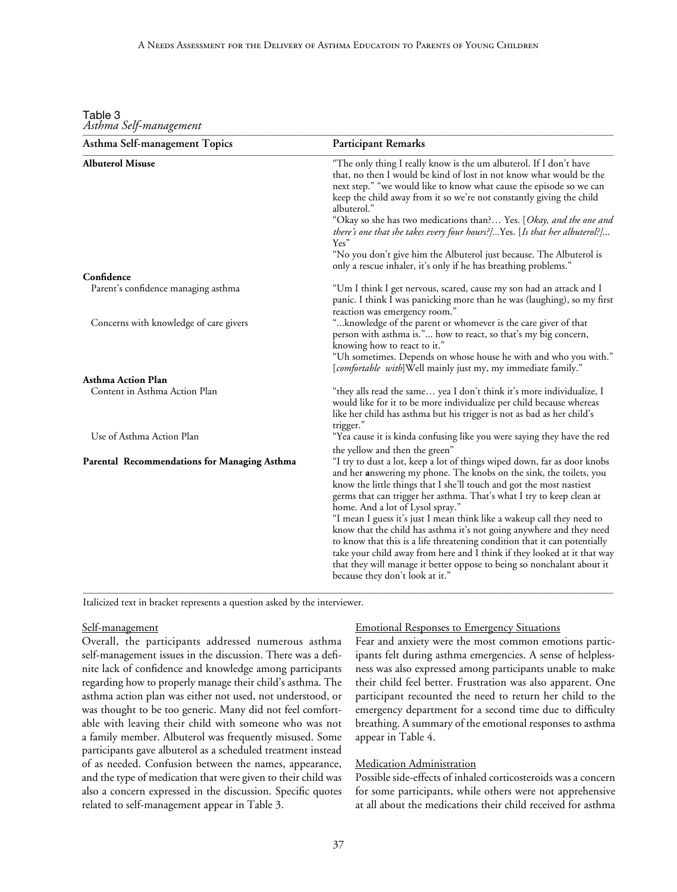| Table 3 |                        |
|---------|------------------------|
|         | Asthma Self-management |

| Asthma Self-management Topics                       | <b>Participant Remarks</b>                                                                                                                                                                                                                                                                                                                                                                                                                                                                                                                                                                                                                                                                                                                                                                     |
|-----------------------------------------------------|------------------------------------------------------------------------------------------------------------------------------------------------------------------------------------------------------------------------------------------------------------------------------------------------------------------------------------------------------------------------------------------------------------------------------------------------------------------------------------------------------------------------------------------------------------------------------------------------------------------------------------------------------------------------------------------------------------------------------------------------------------------------------------------------|
| <b>Albuterol Misuse</b>                             | "The only thing I really know is the um albuterol. If I don't have<br>that, no then I would be kind of lost in not know what would be the<br>next step." "we would like to know what cause the episode so we can<br>keep the child away from it so we're not constantly giving the child<br>albuterol."<br>"Okay so she has two medications than? Yes. [ <i>Okay, and the one and</i>                                                                                                                                                                                                                                                                                                                                                                                                          |
|                                                     | there's one that she takes every four hours?]Yes. [Is that her albuterol?]<br>Yes"<br>"No you don't give him the Albuterol just because. The Albuterol is                                                                                                                                                                                                                                                                                                                                                                                                                                                                                                                                                                                                                                      |
|                                                     | only a rescue inhaler, it's only if he has breathing problems."                                                                                                                                                                                                                                                                                                                                                                                                                                                                                                                                                                                                                                                                                                                                |
| Confidence                                          |                                                                                                                                                                                                                                                                                                                                                                                                                                                                                                                                                                                                                                                                                                                                                                                                |
| Parent's confidence managing asthma                 | "Um I think I get nervous, scared, cause my son had an attack and I<br>panic. I think I was panicking more than he was (laughing), so my first                                                                                                                                                                                                                                                                                                                                                                                                                                                                                                                                                                                                                                                 |
| Concerns with knowledge of care givers              | reaction was emergency room."<br>" knowledge of the parent or whomever is the care giver of that<br>person with asthma is." how to react, so that's my big concern,<br>knowing how to react to it."<br>"Uh sometimes. Depends on whose house he with and who you with."                                                                                                                                                                                                                                                                                                                                                                                                                                                                                                                        |
|                                                     | [comfortable with]Well mainly just my, my immediate family."                                                                                                                                                                                                                                                                                                                                                                                                                                                                                                                                                                                                                                                                                                                                   |
| Asthma Action Plan                                  |                                                                                                                                                                                                                                                                                                                                                                                                                                                                                                                                                                                                                                                                                                                                                                                                |
| Content in Asthma Action Plan                       | "they alls read the same yea I don't think it's more individualize, I<br>would like for it to be more individualize per child because whereas<br>like her child has asthma but his trigger is not as bad as her child's<br>trigger."                                                                                                                                                                                                                                                                                                                                                                                                                                                                                                                                                           |
| Use of Asthma Action Plan                           | "Yea cause it is kinda confusing like you were saying they have the red                                                                                                                                                                                                                                                                                                                                                                                                                                                                                                                                                                                                                                                                                                                        |
| <b>Parental Recommendations for Managing Asthma</b> | the yellow and then the green"<br>"I try to dust a lot, keep a lot of things wiped down, far as door knobs<br>and her answering my phone. The knobs on the sink, the toilets, you<br>know the little things that I she'll touch and got the most nastiest<br>germs that can trigger her asthma. That's what I try to keep clean at<br>home. And a lot of Lysol spray."<br>"I mean I guess it's just I mean think like a wakeup call they need to<br>know that the child has asthma it's not going anywhere and they need<br>to know that this is a life threatening condition that it can potentially<br>take your child away from here and I think if they looked at it that way<br>that they will manage it better oppose to being so nonchalant about it<br>because they don't look at it." |

Italicized text in bracket represents a question asked by the interviewer.

# Self-management

Overall, the participants addressed numerous asthma self-management issues in the discussion. There was a definite lack of confidence and knowledge among participants regarding how to properly manage their child's asthma. The asthma action plan was either not used, not understood, or was thought to be too generic. Many did not feel comfortable with leaving their child with someone who was not a family member. Albuterol was frequently misused. Some participants gave albuterol as a scheduled treatment instead of as needed. Confusion between the names, appearance, and the type of medication that were given to their child was also a concern expressed in the discussion. Specific quotes related to self-management appear in Table 3.

## Emotional Responses to Emergency Situations

Fear and anxiety were the most common emotions participants felt during asthma emergencies. A sense of helplessness was also expressed among participants unable to make their child feel better. Frustration was also apparent. One participant recounted the need to return her child to the emergency department for a second time due to difficulty breathing. A summary of the emotional responses to asthma appear in Table 4.

# Medication Administration

Possible side-effects of inhaled corticosteroids was a concern for some participants, while others were not apprehensive at all about the medications their child received for asthma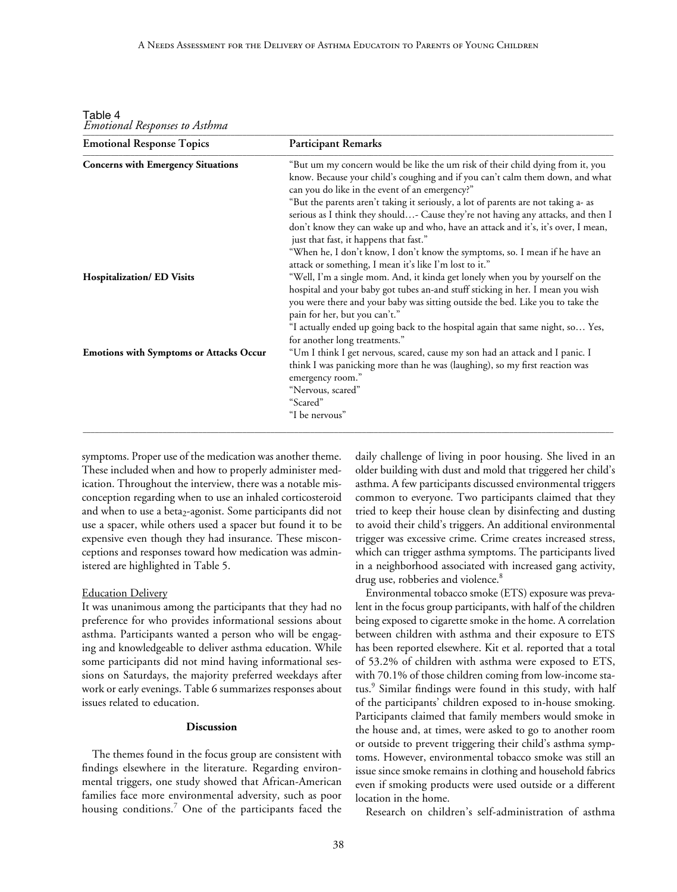Table 4 *Emotional Responses to Asthma* \_\_\_\_\_\_\_\_\_\_\_\_\_\_\_\_\_\_\_\_\_\_\_\_\_\_\_\_\_\_\_\_\_\_\_\_\_\_\_\_\_\_\_\_\_\_\_\_\_\_\_\_\_\_\_\_\_\_\_\_\_\_\_\_\_\_\_\_\_\_\_\_\_\_\_\_\_\_\_\_\_\_\_\_\_\_\_\_\_\_\_\_\_\_\_\_\_\_\_\_\_\_\_\_\_\_\_\_\_\_\_\_\_\_\_\_\_\_\_\_\_\_\_\_\_\_\_\_\_\_\_\_\_

| <b>Emotional Response Topics</b>               | <b>Participant Remarks</b>                                                                                                                                                                                                                                                                                                                                                                                                                                                                                                                                                                                                                                         |
|------------------------------------------------|--------------------------------------------------------------------------------------------------------------------------------------------------------------------------------------------------------------------------------------------------------------------------------------------------------------------------------------------------------------------------------------------------------------------------------------------------------------------------------------------------------------------------------------------------------------------------------------------------------------------------------------------------------------------|
| <b>Concerns with Emergency Situations</b>      | "But um my concern would be like the um risk of their child dying from it, you<br>know. Because your child's coughing and if you can't calm them down, and what<br>can you do like in the event of an emergency?"<br>"But the parents aren't taking it seriously, a lot of parents are not taking a- as<br>serious as I think they should- Cause they're not having any attacks, and then I<br>don't know they can wake up and who, have an attack and it's, it's over, I mean,<br>just that fast, it happens that fast."<br>"When he, I don't know, I don't know the symptoms, so. I mean if he have an<br>attack or something, I mean it's like I'm lost to it." |
| <b>Hospitalization/ ED Visits</b>              | "Well, I'm a single mom. And, it kinda get lonely when you by yourself on the<br>hospital and your baby got tubes an-and stuff sticking in her. I mean you wish<br>you were there and your baby was sitting outside the bed. Like you to take the<br>pain for her, but you can't."<br>"I actually ended up going back to the hospital again that same night, so Yes,                                                                                                                                                                                                                                                                                               |
| <b>Emotions with Symptoms or Attacks Occur</b> | for another long treatments."<br>"Um I think I get nervous, scared, cause my son had an attack and I panic. I<br>think I was panicking more than he was (laughing), so my first reaction was<br>emergency room."<br>"Nervous, scared"<br>"Scared"<br>"I be nervous"                                                                                                                                                                                                                                                                                                                                                                                                |

symptoms. Proper use of the medication was another theme. These included when and how to properly administer medication. Throughout the interview, there was a notable misconception regarding when to use an inhaled corticosteroid and when to use a beta<sub>2</sub>-agonist. Some participants did not use a spacer, while others used a spacer but found it to be expensive even though they had insurance. These misconceptions and responses toward how medication was administered are highlighted in Table 5.

# **Education Delivery**

It was unanimous among the participants that they had no preference for who provides informational sessions about asthma. Participants wanted a person who will be engaging and knowledgeable to deliver asthma education. While some participants did not mind having informational sessions on Saturdays, the majority preferred weekdays after work or early evenings. Table 6 summarizes responses about issues related to education.

# **Discussion**

The themes found in the focus group are consistent with findings elsewhere in the literature. Regarding environmental triggers, one study showed that African-American families face more environmental adversity, such as poor housing conditions.<sup>7</sup> One of the participants faced the daily challenge of living in poor housing. She lived in an older building with dust and mold that triggered her child's asthma. A few participants discussed environmental triggers common to everyone. Two participants claimed that they tried to keep their house clean by disinfecting and dusting to avoid their child's triggers. An additional environmental trigger was excessive crime. Crime creates increased stress, which can trigger asthma symptoms. The participants lived in a neighborhood associated with increased gang activity, drug use, robberies and violence.<sup>8</sup>

Environmental tobacco smoke (ETS) exposure was prevalent in the focus group participants, with half of the children being exposed to cigarette smoke in the home. A correlation between children with asthma and their exposure to ETS has been reported elsewhere. Kit et al. reported that a total of 53.2% of children with asthma were exposed to ETS, with 70.1% of those children coming from low-income status.<sup>9</sup> Similar findings were found in this study, with half of the participants' children exposed to in-house smoking. Participants claimed that family members would smoke in the house and, at times, were asked to go to another room or outside to prevent triggering their child's asthma symptoms. However, environmental tobacco smoke was still an issue since smoke remains in clothing and household fabrics even if smoking products were used outside or a different location in the home.

Research on children's self-administration of asthma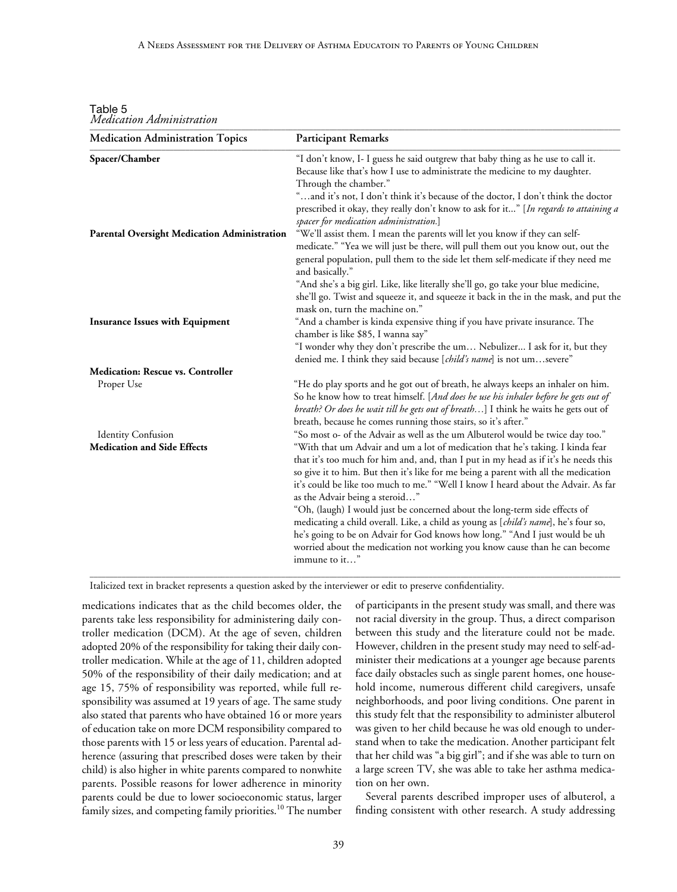| <b>Medication Administration Topics</b>                         | <b>Participant Remarks</b>                                                                                                                                                                                                                                                                                                                                                                                                                                                                                                                                                                                                                                                                                                                                                                                               |
|-----------------------------------------------------------------|--------------------------------------------------------------------------------------------------------------------------------------------------------------------------------------------------------------------------------------------------------------------------------------------------------------------------------------------------------------------------------------------------------------------------------------------------------------------------------------------------------------------------------------------------------------------------------------------------------------------------------------------------------------------------------------------------------------------------------------------------------------------------------------------------------------------------|
| Spacer/Chamber                                                  | "I don't know, I- I guess he said outgrew that baby thing as he use to call it.<br>Because like that's how I use to administrate the medicine to my daughter.<br>Through the chamber."                                                                                                                                                                                                                                                                                                                                                                                                                                                                                                                                                                                                                                   |
|                                                                 | "and it's not, I don't think it's because of the doctor, I don't think the doctor<br>prescribed it okay, they really don't know to ask for it" [In regards to attaining a<br>spacer for medication administration.]                                                                                                                                                                                                                                                                                                                                                                                                                                                                                                                                                                                                      |
| <b>Parental Oversight Medication Administration</b>             | "We'll assist them. I mean the parents will let you know if they can self-                                                                                                                                                                                                                                                                                                                                                                                                                                                                                                                                                                                                                                                                                                                                               |
|                                                                 | medicate." "Yea we will just be there, will pull them out you know out, out the<br>general population, pull them to the side let them self-medicate if they need me<br>and basically."                                                                                                                                                                                                                                                                                                                                                                                                                                                                                                                                                                                                                                   |
|                                                                 | "And she's a big girl. Like, like literally she'll go, go take your blue medicine,<br>she'll go. Twist and squeeze it, and squeeze it back in the in the mask, and put the<br>mask on, turn the machine on."                                                                                                                                                                                                                                                                                                                                                                                                                                                                                                                                                                                                             |
| <b>Insurance Issues with Equipment</b>                          | "And a chamber is kinda expensive thing if you have private insurance. The<br>chamber is like \$85, I wanna say"                                                                                                                                                                                                                                                                                                                                                                                                                                                                                                                                                                                                                                                                                                         |
|                                                                 | "I wonder why they don't prescribe the um Nebulizer I ask for it, but they<br>denied me. I think they said because [child's name] is not umsevere"                                                                                                                                                                                                                                                                                                                                                                                                                                                                                                                                                                                                                                                                       |
| <b>Medication: Rescue vs. Controller</b>                        |                                                                                                                                                                                                                                                                                                                                                                                                                                                                                                                                                                                                                                                                                                                                                                                                                          |
| Proper Use                                                      | "He do play sports and he got out of breath, he always keeps an inhaler on him.<br>So he know how to treat himself. [And does he use his inhaler before he gets out of<br>breath? Or does he wait till he gets out of breath] I think he waits he gets out of<br>breath, because he comes running those stairs, so it's after."                                                                                                                                                                                                                                                                                                                                                                                                                                                                                          |
| <b>Identity Confusion</b><br><b>Medication and Side Effects</b> | "So most o- of the Advair as well as the um Albuterol would be twice day too."<br>"With that um Advair and um a lot of medication that he's taking. I kinda fear<br>that it's too much for him and, and, than I put in my head as if it's he needs this<br>so give it to him. But then it's like for me being a parent with all the medication<br>it's could be like too much to me." "Well I know I heard about the Advair. As far<br>as the Advair being a steroid"<br>"Oh, (laugh) I would just be concerned about the long-term side effects of<br>medicating a child overall. Like, a child as young as [child's name], he's four so,<br>he's going to be on Advair for God knows how long." "And I just would be uh<br>worried about the medication not working you know cause than he can become<br>immune to it" |

Table 5 *Medication Administration* \_\_\_\_\_\_\_\_\_\_\_\_\_\_\_\_\_\_\_\_\_\_\_\_\_\_\_\_\_\_\_\_\_\_\_\_\_\_\_\_\_\_\_\_\_\_\_\_\_\_\_\_\_\_\_\_\_\_\_\_\_\_\_\_\_\_\_\_\_\_\_\_\_\_\_\_\_\_\_\_\_\_\_\_\_\_\_\_\_\_\_\_\_\_\_\_\_\_\_\_\_\_\_\_\_\_\_\_\_\_\_\_\_\_\_\_\_\_\_\_\_\_\_\_\_\_\_\_\_\_\_\_\_

Italicized text in bracket represents a question asked by the interviewer or edit to preserve confidentiality.

medications indicates that as the child becomes older, the parents take less responsibility for administering daily controller medication (DCM). At the age of seven, children adopted 20% of the responsibility for taking their daily controller medication. While at the age of 11, children adopted 50% of the responsibility of their daily medication; and at age 15, 75% of responsibility was reported, while full responsibility was assumed at 19 years of age. The same study also stated that parents who have obtained 16 or more years of education take on more DCM responsibility compared to those parents with 15 or less years of education. Parental adherence (assuring that prescribed doses were taken by their child) is also higher in white parents compared to nonwhite parents. Possible reasons for lower adherence in minority parents could be due to lower socioeconomic status, larger family sizes, and competing family priorities.<sup>10</sup> The number of participants in the present study was small, and there was not racial diversity in the group. Thus, a direct comparison between this study and the literature could not be made. However, children in the present study may need to self-administer their medications at a younger age because parents face daily obstacles such as single parent homes, one household income, numerous different child caregivers, unsafe neighborhoods, and poor living conditions. One parent in this study felt that the responsibility to administer albuterol was given to her child because he was old enough to understand when to take the medication. Another participant felt that her child was "a big girl"; and if she was able to turn on a large screen TV, she was able to take her asthma medication on her own.

Several parents described improper uses of albuterol, a finding consistent with other research. A study addressing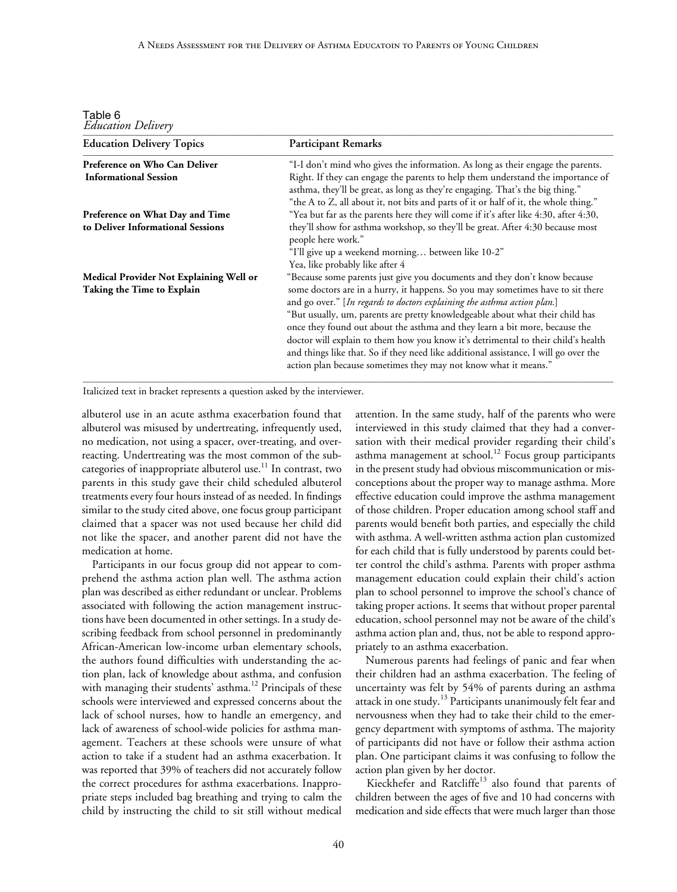Table 6 *Education Delivery*

| <b>Education Delivery Topics</b>        | <b>Participant Remarks</b>                                                                                                                                                                                                                               |
|-----------------------------------------|----------------------------------------------------------------------------------------------------------------------------------------------------------------------------------------------------------------------------------------------------------|
| Preference on Who Can Deliver           | "I-I don't mind who gives the information. As long as their engage the parents.                                                                                                                                                                          |
| <b>Informational Session</b>            | Right. If they can engage the parents to help them understand the importance of<br>asthma, they'll be great, as long as they're engaging. That's the big thing."<br>"the A to Z, all about it, not bits and parts of it or half of it, the whole thing." |
| Preference on What Day and Time         | "Yea but far as the parents here they will come if it's after like 4:30, after 4:30,                                                                                                                                                                     |
| to Deliver Informational Sessions       | they'll show for asthma workshop, so they'll be great. After 4:30 because most<br>people here work."                                                                                                                                                     |
|                                         | "I'll give up a weekend morning between like 10-2"                                                                                                                                                                                                       |
|                                         | Yea, like probably like after 4                                                                                                                                                                                                                          |
| Medical Provider Not Explaining Well or | "Because some parents just give you documents and they don't know because                                                                                                                                                                                |
| Taking the Time to Explain              | some doctors are in a hurry, it happens. So you may sometimes have to sit there<br>and go over." [In regards to doctors explaining the asthma action plan.]                                                                                              |
|                                         | "But usually, um, parents are pretty knowledgeable about what their child has<br>once they found out about the asthma and they learn a bit more, because the                                                                                             |
|                                         | doctor will explain to them how you know it's detrimental to their child's health<br>and things like that. So if they need like additional assistance, I will go over the<br>action plan because sometimes they may not know what it means."             |

Italicized text in bracket represents a question asked by the interviewer.

albuterol use in an acute asthma exacerbation found that albuterol was misused by undertreating, infrequently used, no medication, not using a spacer, over-treating, and overreacting. Undertreating was the most common of the subcategories of inappropriate albuterol use.<sup>11</sup> In contrast, two parents in this study gave their child scheduled albuterol treatments every four hours instead of as needed. In findings similar to the study cited above, one focus group participant claimed that a spacer was not used because her child did not like the spacer, and another parent did not have the medication at home.

Participants in our focus group did not appear to comprehend the asthma action plan well. The asthma action plan was described as either redundant or unclear. Problems associated with following the action management instructions have been documented in other settings. In a study describing feedback from school personnel in predominantly African-American low-income urban elementary schools, the authors found difficulties with understanding the action plan, lack of knowledge about asthma, and confusion with managing their students' asthma.<sup>12</sup> Principals of these schools were interviewed and expressed concerns about the lack of school nurses, how to handle an emergency, and lack of awareness of school-wide policies for asthma management. Teachers at these schools were unsure of what action to take if a student had an asthma exacerbation. It was reported that 39% of teachers did not accurately follow the correct procedures for asthma exacerbations. Inappropriate steps included bag breathing and trying to calm the child by instructing the child to sit still without medical attention. In the same study, half of the parents who were interviewed in this study claimed that they had a conversation with their medical provider regarding their child's asthma management at school.<sup>12</sup> Focus group participants in the present study had obvious miscommunication or misconceptions about the proper way to manage asthma. More effective education could improve the asthma management of those children. Proper education among school staff and parents would benefit both parties, and especially the child with asthma. A well-written asthma action plan customized for each child that is fully understood by parents could better control the child's asthma. Parents with proper asthma management education could explain their child's action plan to school personnel to improve the school's chance of taking proper actions. It seems that without proper parental education, school personnel may not be aware of the child's asthma action plan and, thus, not be able to respond appropriately to an asthma exacerbation.

Numerous parents had feelings of panic and fear when their children had an asthma exacerbation. The feeling of uncertainty was felt by 54% of parents during an asthma attack in one study.13 Participants unanimously felt fear and nervousness when they had to take their child to the emergency department with symptoms of asthma. The majority of participants did not have or follow their asthma action plan. One participant claims it was confusing to follow the action plan given by her doctor.

Kieckhefer and Ratcliffe<sup>13</sup> also found that parents of children between the ages of five and 10 had concerns with medication and side effects that were much larger than those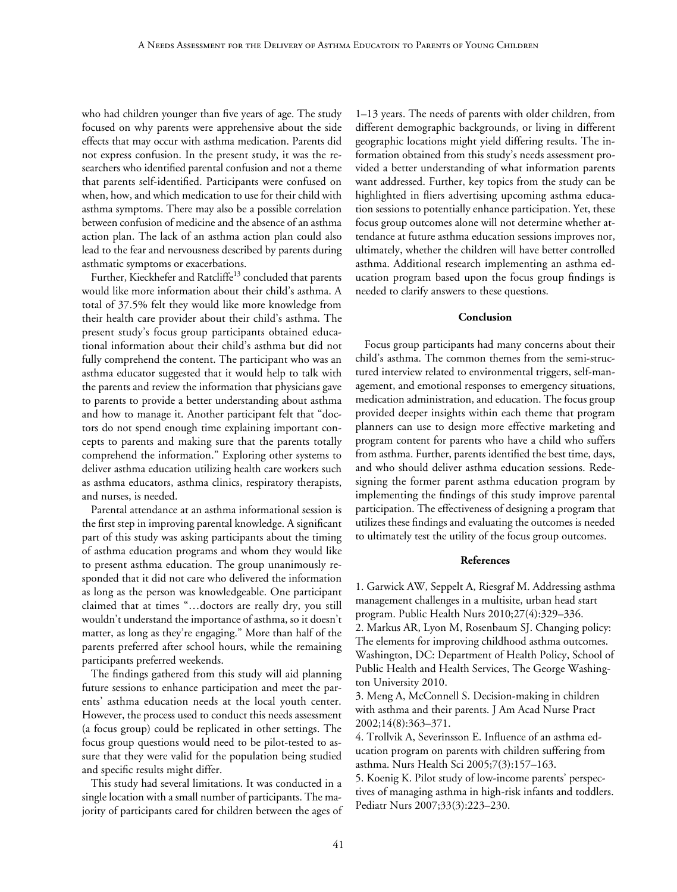who had children younger than five years of age. The study focused on why parents were apprehensive about the side effects that may occur with asthma medication. Parents did not express confusion. In the present study, it was the researchers who identified parental confusion and not a theme that parents self-identified. Participants were confused on when, how, and which medication to use for their child with asthma symptoms. There may also be a possible correlation between confusion of medicine and the absence of an asthma action plan. The lack of an asthma action plan could also lead to the fear and nervousness described by parents during asthmatic symptoms or exacerbations.

Further, Kieckhefer and Ratcliffe<sup>13</sup> concluded that parents would like more information about their child's asthma. A total of 37.5% felt they would like more knowledge from their health care provider about their child's asthma. The present study's focus group participants obtained educational information about their child's asthma but did not fully comprehend the content. The participant who was an asthma educator suggested that it would help to talk with the parents and review the information that physicians gave to parents to provide a better understanding about asthma and how to manage it. Another participant felt that "doctors do not spend enough time explaining important concepts to parents and making sure that the parents totally comprehend the information." Exploring other systems to deliver asthma education utilizing health care workers such as asthma educators, asthma clinics, respiratory therapists, and nurses, is needed.

Parental attendance at an asthma informational session is the first step in improving parental knowledge. A significant part of this study was asking participants about the timing of asthma education programs and whom they would like to present asthma education. The group unanimously responded that it did not care who delivered the information as long as the person was knowledgeable. One participant claimed that at times "…doctors are really dry, you still wouldn't understand the importance of asthma, so it doesn't matter, as long as they're engaging." More than half of the parents preferred after school hours, while the remaining participants preferred weekends.

The findings gathered from this study will aid planning future sessions to enhance participation and meet the parents' asthma education needs at the local youth center. However, the process used to conduct this needs assessment (a focus group) could be replicated in other settings. The focus group questions would need to be pilot-tested to assure that they were valid for the population being studied and specific results might differ.

This study had several limitations. It was conducted in a single location with a small number of participants. The majority of participants cared for children between the ages of

1–13 years. The needs of parents with older children, from different demographic backgrounds, or living in different geographic locations might yield differing results. The information obtained from this study's needs assessment provided a better understanding of what information parents want addressed. Further, key topics from the study can be highlighted in fliers advertising upcoming asthma education sessions to potentially enhance participation. Yet, these focus group outcomes alone will not determine whether attendance at future asthma education sessions improves nor, ultimately, whether the children will have better controlled asthma. Additional research implementing an asthma education program based upon the focus group findings is needed to clarify answers to these questions.

#### **Conclusion**

Focus group participants had many concerns about their child's asthma. The common themes from the semi-structured interview related to environmental triggers, self-management, and emotional responses to emergency situations, medication administration, and education. The focus group provided deeper insights within each theme that program planners can use to design more effective marketing and program content for parents who have a child who suffers from asthma. Further, parents identified the best time, days, and who should deliver asthma education sessions. Redesigning the former parent asthma education program by implementing the findings of this study improve parental participation. The effectiveness of designing a program that utilizes these findings and evaluating the outcomes is needed to ultimately test the utility of the focus group outcomes.

#### **References**

1. Garwick AW, Seppelt A, Riesgraf M. Addressing asthma management challenges in a multisite, urban head start program. Public Health Nurs 2010;27(4):329–336. 2. Markus AR, Lyon M, Rosenbaum SJ. Changing policy: The elements for improving childhood asthma outcomes. Washington, DC: Department of Health Policy, School of Public Health and Health Services, The George Washington University 2010.

3. Meng A, McConnell S. Decision-making in children with asthma and their parents. J Am Acad Nurse Pract 2002;14(8):363–371.

4. Trollvik A, Severinsson E. Influence of an asthma education program on parents with children suffering from asthma. Nurs Health Sci 2005;7(3):157–163.

5. Koenig K. Pilot study of low-income parents' perspectives of managing asthma in high-risk infants and toddlers. Pediatr Nurs 2007;33(3):223–230.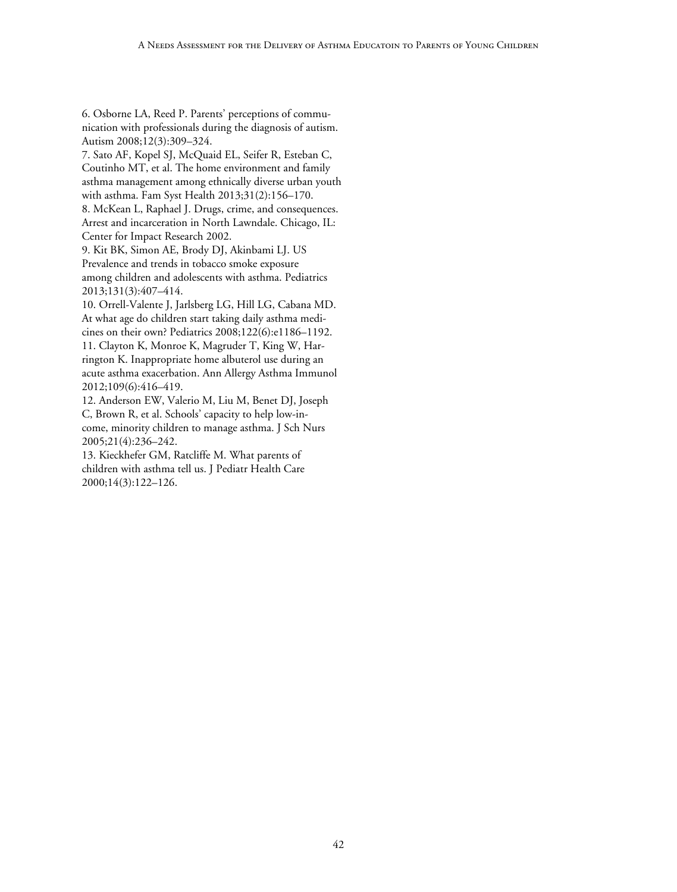6. Osborne LA, Reed P. Parents' perceptions of communication with professionals during the diagnosis of autism. Autism 2008;12(3):309–324.

7. Sato AF, Kopel SJ, McQuaid EL, Seifer R, Esteban C, Coutinho MT, et al. The home environment and family asthma management among ethnically diverse urban youth with asthma. Fam Syst Health 2013;31(2):156–170.

8. McKean L, Raphael J. Drugs, crime, and consequences. Arrest and incarceration in North Lawndale. Chicago, IL: Center for Impact Research 2002.

9. Kit BK, Simon AE, Brody DJ, Akinbami LJ. US Prevalence and trends in tobacco smoke exposure among children and adolescents with asthma. Pediatrics 2013;131(3):407–414.

10. Orrell-Valente J, Jarlsberg LG, Hill LG, Cabana MD. At what age do children start taking daily asthma medicines on their own? Pediatrics 2008;122(6):e1186–1192. 11. Clayton K, Monroe K, Magruder T, King W, Harrington K. Inappropriate home albuterol use during an acute asthma exacerbation. Ann Allergy Asthma Immunol 2012;109(6):416–419.

12. Anderson EW, Valerio M, Liu M, Benet DJ, Joseph C, Brown R, et al. Schools' capacity to help low-income, minority children to manage asthma. J Sch Nurs 2005;21(4):236–242.

13. Kieckhefer GM, Ratcliffe M. What parents of children with asthma tell us. J Pediatr Health Care 2000;14(3):122–126.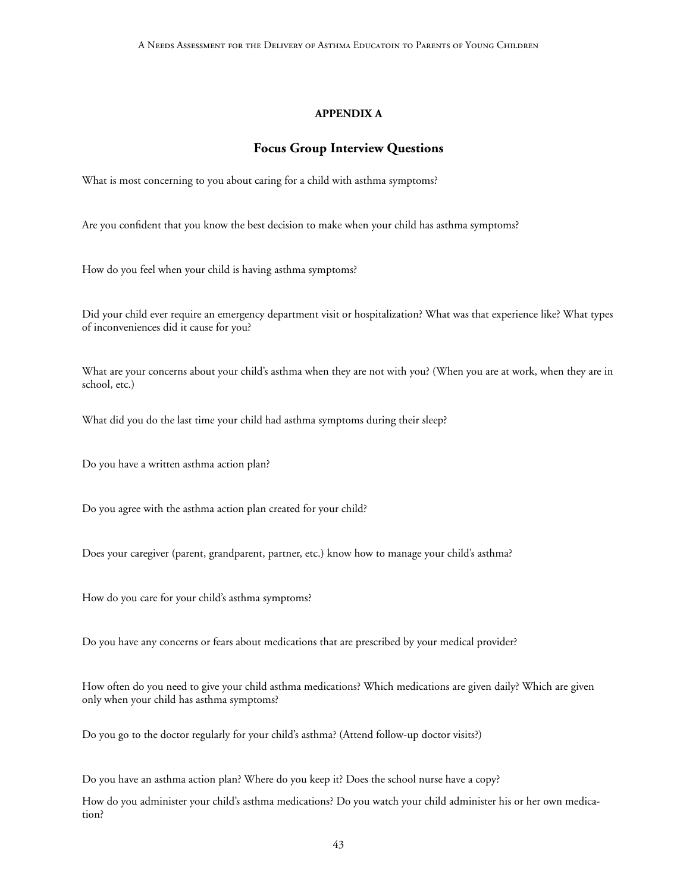# **APPENDIX A**

# **Focus Group Interview Questions**

What is most concerning to you about caring for a child with asthma symptoms?

Are you confident that you know the best decision to make when your child has asthma symptoms?

How do you feel when your child is having asthma symptoms?

Did your child ever require an emergency department visit or hospitalization? What was that experience like? What types of inconveniences did it cause for you?

What are your concerns about your child's asthma when they are not with you? (When you are at work, when they are in school, etc.)

What did you do the last time your child had asthma symptoms during their sleep?

Do you have a written asthma action plan?

Do you agree with the asthma action plan created for your child?

Does your caregiver (parent, grandparent, partner, etc.) know how to manage your child's asthma?

How do you care for your child's asthma symptoms?

Do you have any concerns or fears about medications that are prescribed by your medical provider?

How often do you need to give your child asthma medications? Which medications are given daily? Which are given only when your child has asthma symptoms?

Do you go to the doctor regularly for your child's asthma? (Attend follow-up doctor visits?)

Do you have an asthma action plan? Where do you keep it? Does the school nurse have a copy?

How do you administer your child's asthma medications? Do you watch your child administer his or her own medication?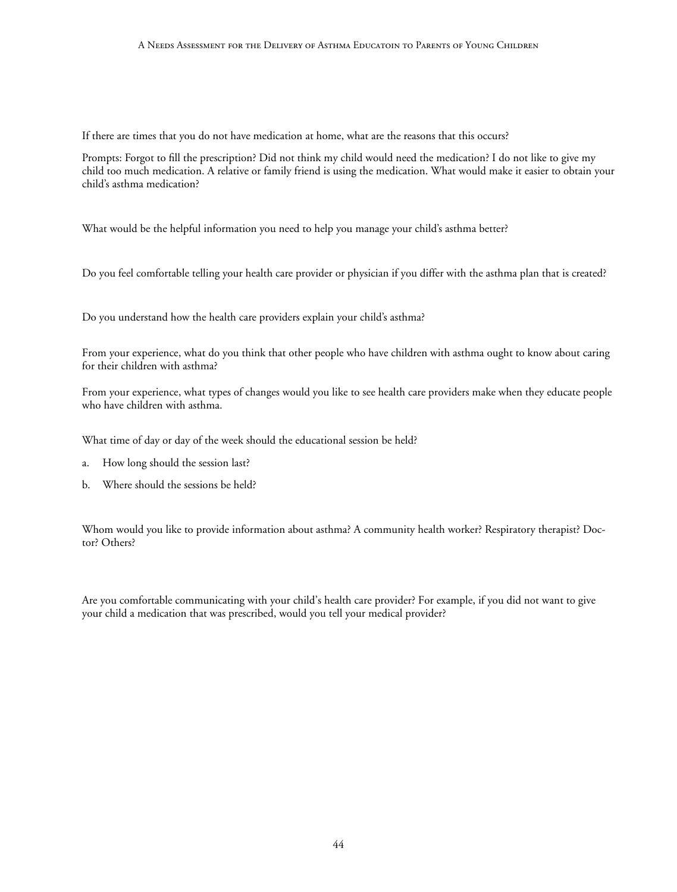#### A Needs Assessment for the Delivery of Asthma Educatoin to Parents of Young Children

If there are times that you do not have medication at home, what are the reasons that this occurs?

Prompts: Forgot to fill the prescription? Did not think my child would need the medication? I do not like to give my child too much medication. A relative or family friend is using the medication. What would make it easier to obtain your child's asthma medication?

What would be the helpful information you need to help you manage your child's asthma better?

Do you feel comfortable telling your health care provider or physician if you differ with the asthma plan that is created?

Do you understand how the health care providers explain your child's asthma?

From your experience, what do you think that other people who have children with asthma ought to know about caring for their children with asthma?

From your experience, what types of changes would you like to see health care providers make when they educate people who have children with asthma.

What time of day or day of the week should the educational session be held?

- a. How long should the session last?
- b. Where should the sessions be held?

Whom would you like to provide information about asthma? A community health worker? Respiratory therapist? Doctor? Others?

Are you comfortable communicating with your child's health care provider? For example, if you did not want to give your child a medication that was prescribed, would you tell your medical provider?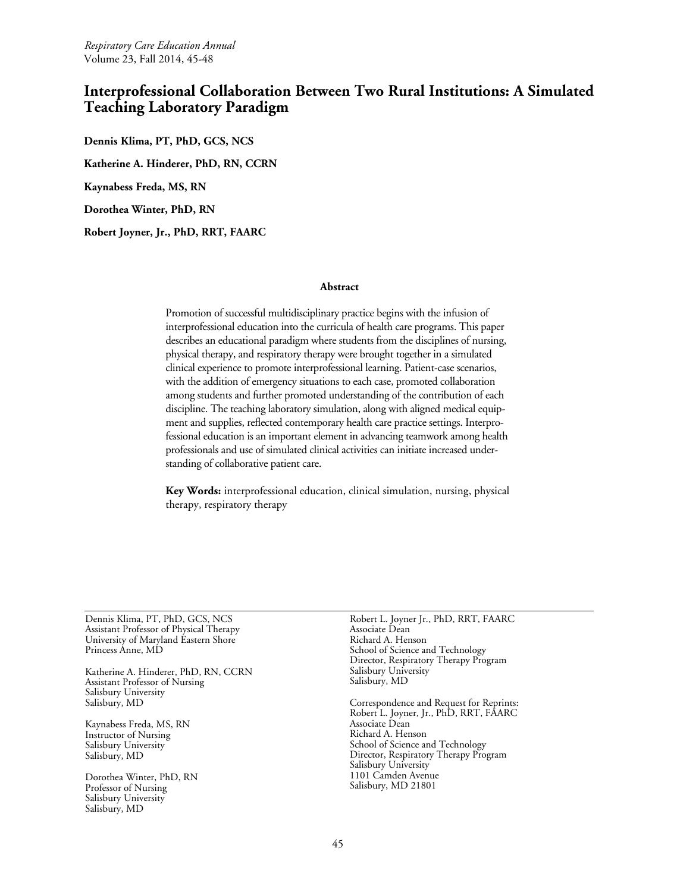# **Interprofessional Collaboration Between Two Rural Institutions: A Simulated Teaching Laboratory Paradigm**

**Dennis Klima, PT, PhD, GCS, NCS Katherine A. Hinderer, PhD, RN, CCRN Kaynabess Freda, MS, RN Dorothea Winter, PhD, RN Robert Joyner, Jr., PhD, RRT, FAARC**

#### **Abstract**

Promotion of successful multidisciplinary practice begins with the infusion of interprofessional education into the curricula of health care programs. This paper describes an educational paradigm where students from the disciplines of nursing, physical therapy, and respiratory therapy were brought together in a simulated clinical experience to promote interprofessional learning. Patient-case scenarios, with the addition of emergency situations to each case, promoted collaboration among students and further promoted understanding of the contribution of each discipline. The teaching laboratory simulation, along with aligned medical equipment and supplies, reflected contemporary health care practice settings. Interprofessional education is an important element in advancing teamwork among health professionals and use of simulated clinical activities can initiate increased understanding of collaborative patient care.

**Key Words:** interprofessional education, clinical simulation, nursing, physical therapy, respiratory therapy

Dennis Klima, PT, PhD, GCS, NCS Assistant Professor of Physical Therapy University of Maryland Eastern Shore Princess Anne, MD

Katherine A. Hinderer, PhD, RN, CCRN Assistant Professor of Nursing Salisbury University Salisbury, MD

Kaynabess Freda, MS, RN Instructor of Nursing Salisbury University Salisbury, MD

Dorothea Winter, PhD, RN Professor of Nursing Salisbury University Salisbury, MD

Robert L. Joyner Jr., PhD, RRT, FAARC Associate Dean Richard A. Henson School of Science and Technology Director, Respiratory Therapy Program Salisbury University Salisbury, MD

Correspondence and Request for Reprints: Robert L. Joyner, Jr., PhD, RRT, FAARC Associate Dean Richard A. Henson School of Science and Technology Director, Respiratory Therapy Program Salisbury University 1101 Camden Avenue Salisbury, MD 21801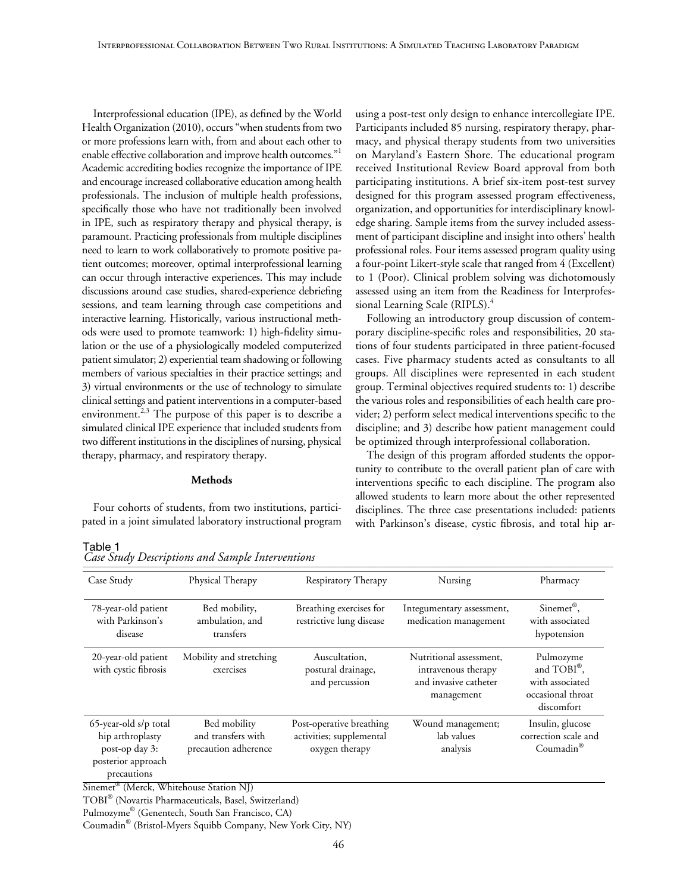Interprofessional education (IPE), as defined by the World Health Organization (2010), occurs "when students from two or more professions learn with, from and about each other to enable effective collaboration and improve health outcomes."<sup>1</sup> Academic accrediting bodies recognize the importance of IPE and encourage increased collaborative education among health professionals. The inclusion of multiple health professions, specifically those who have not traditionally been involved in IPE, such as respiratory therapy and physical therapy, is paramount. Practicing professionals from multiple disciplines need to learn to work collaboratively to promote positive patient outcomes; moreover, optimal interprofessional learning can occur through interactive experiences. This may include discussions around case studies, shared-experience debriefing sessions, and team learning through case competitions and interactive learning. Historically, various instructional methods were used to promote teamwork: 1) high-fidelity simulation or the use of a physiologically modeled computerized patient simulator; 2) experiential team shadowing or following members of various specialties in their practice settings; and 3) virtual environments or the use of technology to simulate clinical settings and patient interventions in a computer-based environment.<sup>2,3</sup> The purpose of this paper is to describe a simulated clinical IPE experience that included students from two different institutions in the disciplines of nursing, physical therapy, pharmacy, and respiratory therapy.

# **Methods**

Four cohorts of students, from two institutions, participated in a joint simulated laboratory instructional program using a post-test only design to enhance intercollegiate IPE. Participants included 85 nursing, respiratory therapy, pharmacy, and physical therapy students from two universities on Maryland's Eastern Shore. The educational program received Institutional Review Board approval from both participating institutions. A brief six-item post-test survey designed for this program assessed program effectiveness, organization, and opportunities for interdisciplinary knowledge sharing. Sample items from the survey included assessment of participant discipline and insight into others' health professional roles. Four items assessed program quality using a four-point Likert-style scale that ranged from 4 (Excellent) to 1 (Poor). Clinical problem solving was dichotomously assessed using an item from the Readiness for Interprofessional Learning Scale (RIPLS).<sup>4</sup>

Following an introductory group discussion of contemporary discipline-specific roles and responsibilities, 20 stations of four students participated in three patient-focused cases. Five pharmacy students acted as consultants to all groups. All disciplines were represented in each student group. Terminal objectives required students to: 1) describe the various roles and responsibilities of each health care provider; 2) perform select medical interventions specific to the discipline; and 3) describe how patient management could be optimized through interprofessional collaboration.

The design of this program afforded students the opportunity to contribute to the overall patient plan of care with interventions specific to each discipline. The program also allowed students to learn more about the other represented disciplines. The three case presentations included: patients with Parkinson's disease, cystic fibrosis, and total hip ar-

# Table 1

*Case Study Descriptions and Sample Interventions* 

| Case Study                                                                                       | Physical Therapy                                           | Respiratory Therapy                                                    | Nursing                                                                               | Pharmacy                                                                                   |
|--------------------------------------------------------------------------------------------------|------------------------------------------------------------|------------------------------------------------------------------------|---------------------------------------------------------------------------------------|--------------------------------------------------------------------------------------------|
| 78-year-old patient<br>with Parkinson's<br>disease                                               | Bed mobility,<br>ambulation, and<br>transfers              | Breathing exercises for<br>restrictive lung disease                    | Integumentary assessment,<br>medication management                                    | Sinemet®,<br>with associated<br>hypotension                                                |
| 20-year-old patient<br>with cystic fibrosis                                                      | Mobility and stretching<br>exercises                       | Auscultation,<br>postural drainage,<br>and percussion                  | Nutritional assessment.<br>intravenous therapy<br>and invasive catheter<br>management | Pulmozyme<br>and TOBI <sup>®</sup> ,<br>with associated<br>occasional throat<br>discomfort |
| 65-year-old s/p total<br>hip arthroplasty<br>post-op day 3:<br>posterior approach<br>precautions | Bed mobility<br>and transfers with<br>precaution adherence | Post-operative breathing<br>activities; supplemental<br>oxygen therapy | Wound management;<br>lab values<br>analysis                                           | Insulin, glucose<br>correction scale and<br>Coumadin <sup>®</sup>                          |

Sinemet® (Merck, Whitehouse Station NJ)

TOBI® (Novartis Pharmaceuticals, Basel, Switzerland)

Pulmozyme® (Genentech, South San Francisco, CA)

Coumadin® (Bristol-Myers Squibb Company, New York City, NY)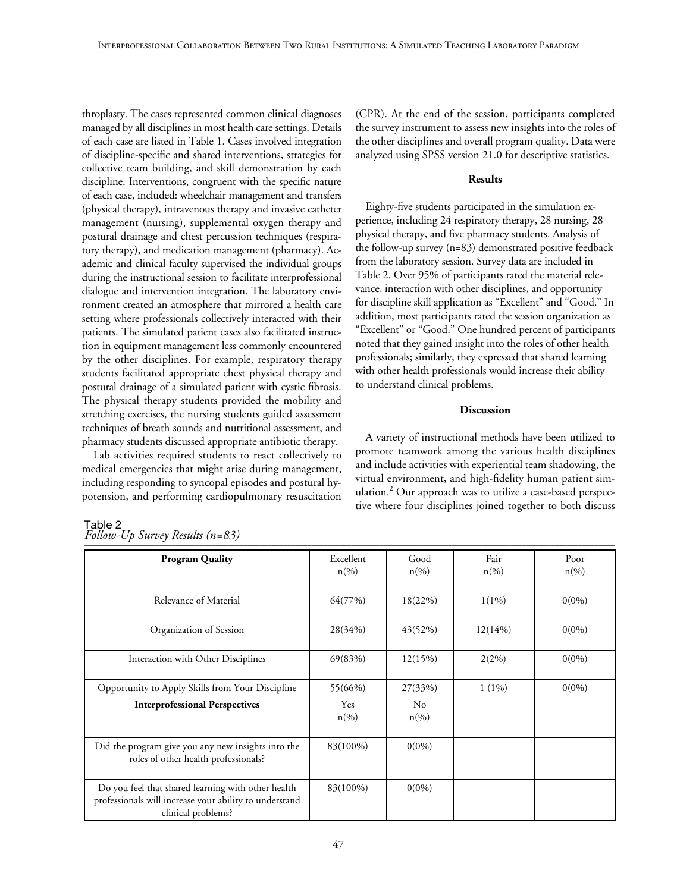throplasty. The cases represented common clinical diagnoses managed by all disciplines in most health care settings. Details of each case are listed in Table 1. Cases involved integration of discipline-specific and shared interventions, strategies for collective team building, and skill demonstration by each discipline. Interventions, congruent with the specific nature of each case, included: wheelchair management and transfers (physical therapy), intravenous therapy and invasive catheter management (nursing), supplemental oxygen therapy and postural drainage and chest percussion techniques (respiratory therapy), and medication management (pharmacy). Academic and clinical faculty supervised the individual groups during the instructional session to facilitate interprofessional dialogue and intervention integration. The laboratory environment created an atmosphere that mirrored a health care setting where professionals collectively interacted with their patients. The simulated patient cases also facilitated instruction in equipment management less commonly encountered by the other disciplines. For example, respiratory therapy students facilitated appropriate chest physical therapy and postural drainage of a simulated patient with cystic fibrosis. The physical therapy students provided the mobility and stretching exercises, the nursing students guided assessment techniques of breath sounds and nutritional assessment, and pharmacy students discussed appropriate antibiotic therapy.

Lab activities required students to react collectively to medical emergencies that might arise during management, including responding to syncopal episodes and postural hypotension, and performing cardiopulmonary resuscitation (CPR). At the end of the session, participants completed the survey instrument to assess new insights into the roles of the other disciplines and overall program quality. Data were analyzed using SPSS version 21.0 for descriptive statistics.

# **Results**

Eighty-five students participated in the simulation experience, including 24 respiratory therapy, 28 nursing, 28 physical therapy, and five pharmacy students. Analysis of the follow-up survey (n=83) demonstrated positive feedback from the laboratory session. Survey data are included in Table 2. Over 95% of participants rated the material relevance, interaction with other disciplines, and opportunity for discipline skill application as "Excellent" and "Good." In addition, most participants rated the session organization as "Excellent" or "Good." One hundred percent of participants noted that they gained insight into the roles of other health professionals; similarly, they expressed that shared learning with other health professionals would increase their ability to understand clinical problems.

# **Discussion**

A variety of instructional methods have been utilized to promote teamwork among the various health disciplines and include activities with experiential team shadowing, the virtual environment, and high-fidelity human patient simulation.<sup>2</sup> Our approach was to utilize a case-based perspective where four disciplines joined together to both discuss

| <b>Program Quality</b>                                                                                                             | Excellent<br>$n\left(\%\right)$  | Good<br>$n\left(\%\right)$ | Fair<br>$n\left(\%\right)$ | Poor<br>$n\left(\%\right)$ |
|------------------------------------------------------------------------------------------------------------------------------------|----------------------------------|----------------------------|----------------------------|----------------------------|
| Relevance of Material                                                                                                              | 64(77%)                          | 18(22%)                    | $1(1\%)$                   | $0(0\%)$                   |
| Organization of Session                                                                                                            | 28(34%)                          | 43(52%)                    | 12(14%)                    | $0(0\%)$                   |
| Interaction with Other Disciplines                                                                                                 | 69(83%)                          | 12(15%)                    | 2(2%)                      | $0(0\%)$                   |
| Opportunity to Apply Skills from Your Discipline                                                                                   | 55(66%)                          | 27(33%)                    | $1(1\%)$                   | $0(0\%)$                   |
| <b>Interprofessional Perspectives</b>                                                                                              | <b>Yes</b><br>$n\left(\%\right)$ | No<br>$n\left(\%\right)$   |                            |                            |
| Did the program give you any new insights into the<br>roles of other health professionals?                                         | 83(100%)                         | $0(0\%)$                   |                            |                            |
| Do you feel that shared learning with other health<br>professionals will increase your ability to understand<br>clinical problems? | 83(100%)                         | $0(0\%)$                   |                            |                            |

#### Table 2 *Follow-Up Survey Results (n=83)*  $\Gamma$  show by fusives  $(w \cup z)$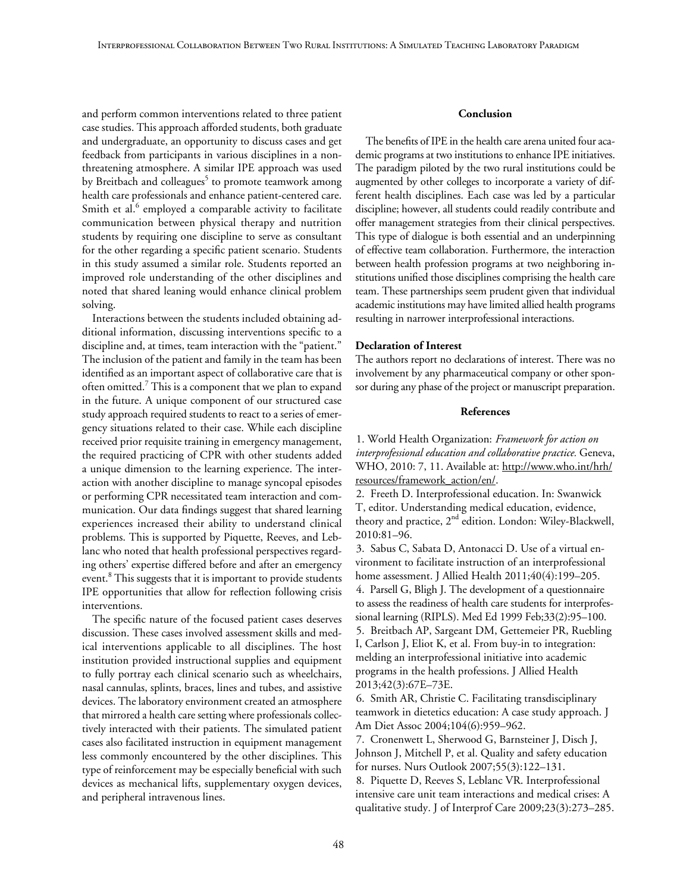and perform common interventions related to three patient case studies. This approach afforded students, both graduate and undergraduate, an opportunity to discuss cases and get feedback from participants in various disciplines in a nonthreatening atmosphere. A similar IPE approach was used by Breitbach and colleagues<sup>5</sup> to promote teamwork among health care professionals and enhance patient-centered care. Smith et al.<sup>6</sup> employed a comparable activity to facilitate communication between physical therapy and nutrition students by requiring one discipline to serve as consultant for the other regarding a specific patient scenario. Students in this study assumed a similar role. Students reported an improved role understanding of the other disciplines and noted that shared leaning would enhance clinical problem solving.

Interactions between the students included obtaining additional information, discussing interventions specific to a discipline and, at times, team interaction with the "patient." The inclusion of the patient and family in the team has been identified as an important aspect of collaborative care that is often omitted.<sup>7</sup> This is a component that we plan to expand in the future. A unique component of our structured case study approach required students to react to a series of emergency situations related to their case. While each discipline received prior requisite training in emergency management, the required practicing of CPR with other students added a unique dimension to the learning experience. The interaction with another discipline to manage syncopal episodes or performing CPR necessitated team interaction and communication. Our data findings suggest that shared learning experiences increased their ability to understand clinical problems. This is supported by Piquette, Reeves, and Leblanc who noted that health professional perspectives regarding others' expertise differed before and after an emergency event.<sup>8</sup> This suggests that it is important to provide students IPE opportunities that allow for reflection following crisis interventions.

The specific nature of the focused patient cases deserves discussion. These cases involved assessment skills and medical interventions applicable to all disciplines. The host institution provided instructional supplies and equipment to fully portray each clinical scenario such as wheelchairs, nasal cannulas, splints, braces, lines and tubes, and assistive devices. The laboratory environment created an atmosphere that mirrored a health care setting where professionals collectively interacted with their patients. The simulated patient cases also facilitated instruction in equipment management less commonly encountered by the other disciplines. This type of reinforcement may be especially beneficial with such devices as mechanical lifts, supplementary oxygen devices, and peripheral intravenous lines.

## **Conclusion**

The benefits of IPE in the health care arena united four academic programs at two institutions to enhance IPE initiatives. The paradigm piloted by the two rural institutions could be augmented by other colleges to incorporate a variety of different health disciplines. Each case was led by a particular discipline; however, all students could readily contribute and offer management strategies from their clinical perspectives. This type of dialogue is both essential and an underpinning of effective team collaboration. Furthermore, the interaction between health profession programs at two neighboring institutions unified those disciplines comprising the health care team. These partnerships seem prudent given that individual academic institutions may have limited allied health programs resulting in narrower interprofessional interactions.

#### **Declaration of Interest**

The authors report no declarations of interest. There was no involvement by any pharmaceutical company or other sponsor during any phase of the project or manuscript preparation.

# **References**

1. World Health Organization: *Framework for action on interprofessional education and collaborative practice.* Geneva, WHO, 2010: 7, 11. Available at: http://www.who.int/hrh/ resources/framework\_action/en/.

2. Freeth D. Interprofessional education. In: Swanwick T, editor. Understanding medical education, evidence, theory and practice,  $2<sup>nd</sup>$  edition. London: Wiley-Blackwell, 2010:81–96.

3. Sabus C, Sabata D, Antonacci D. Use of a virtual environment to facilitate instruction of an interprofessional home assessment. J Allied Health 2011;40(4):199–205. 4. Parsell G, Bligh J. The development of a questionnaire to assess the readiness of health care students for interprofessional learning (RIPLS). Med Ed 1999 Feb;33(2):95–100. 5. Breitbach AP, Sargeant DM, Gettemeier PR, Ruebling I, Carlson J, Eliot K, et al. From buy-in to integration: melding an interprofessional initiative into academic programs in the health professions. J Allied Health 2013;42(3):67E–73E.

6. Smith AR, Christie C. Facilitating transdisciplinary teamwork in dietetics education: A case study approach. J Am Diet Assoc 2004;104(6):959–962.

7. Cronenwett L, Sherwood G, Barnsteiner J, Disch J, Johnson J, Mitchell P, et al. Quality and safety education for nurses. Nurs Outlook 2007;55(3):122–131.

8. Piquette D, Reeves S, Leblanc VR. Interprofessional intensive care unit team interactions and medical crises: A qualitative study. J of Interprof Care 2009;23(3):273–285.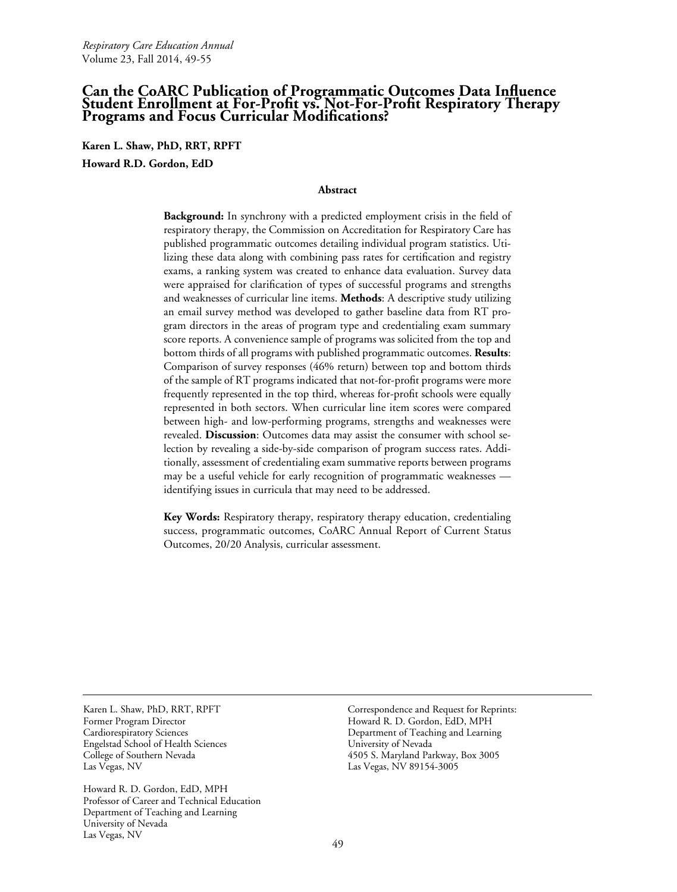# **Can the CoARC Publication of Programmatic Outcomes Data Influence Student Enrollment at For-Profit vs. Not-For-Profit Respiratory Therapy Programs and Focus Curricular Modifications?**

**Karen L. Shaw, PhD, RRT, RPFT Howard R.D. Gordon, EdD**

#### **Abstract**

**Background:** In synchrony with a predicted employment crisis in the field of respiratory therapy, the Commission on Accreditation for Respiratory Care has published programmatic outcomes detailing individual program statistics. Utilizing these data along with combining pass rates for certification and registry exams, a ranking system was created to enhance data evaluation. Survey data were appraised for clarification of types of successful programs and strengths and weaknesses of curricular line items. **Methods**: A descriptive study utilizing an email survey method was developed to gather baseline data from RT program directors in the areas of program type and credentialing exam summary score reports. A convenience sample of programs was solicited from the top and bottom thirds of all programs with published programmatic outcomes. **Results**: Comparison of survey responses (46% return) between top and bottom thirds of the sample of RT programs indicated that not-for-profit programs were more frequently represented in the top third, whereas for-profit schools were equally represented in both sectors. When curricular line item scores were compared between high- and low-performing programs, strengths and weaknesses were revealed. **Discussion**: Outcomes data may assist the consumer with school selection by revealing a side-by-side comparison of program success rates. Additionally, assessment of credentialing exam summative reports between programs may be a useful vehicle for early recognition of programmatic weaknesses identifying issues in curricula that may need to be addressed.

**Key Words:** Respiratory therapy, respiratory therapy education, credentialing success, programmatic outcomes, CoARC Annual Report of Current Status Outcomes, 20/20 Analysis, curricular assessment.

Karen L. Shaw, PhD, RRT, RPFT Former Program Director Cardiorespiratory Sciences Engelstad School of Health Sciences College of Southern Nevada Las Vegas, NV

Howard R. D. Gordon, EdD, MPH Professor of Career and Technical Education Department of Teaching and Learning University of Nevada Las Vegas, NV

Correspondence and Request for Reprints: Howard R. D. Gordon, EdD, MPH Department of Teaching and Learning University of Nevada 4505 S. Maryland Parkway, Box 3005 Las Vegas, NV 89154-3005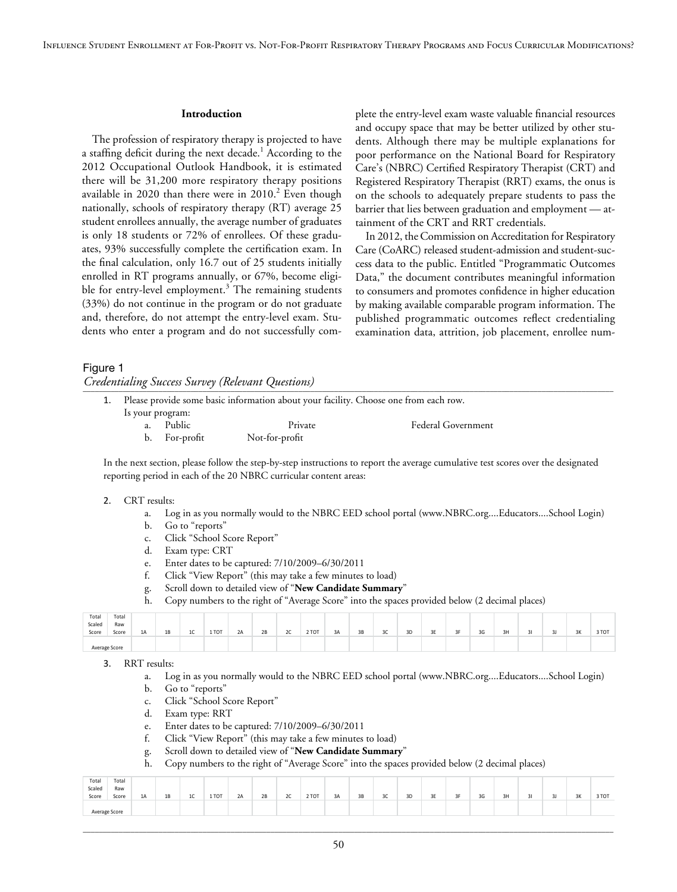#### **Introduction**

The profession of respiratory therapy is projected to have a staffing deficit during the next decade.<sup>1</sup> According to the 2012 Occupational Outlook Handbook, it is estimated there will be 31,200 more respiratory therapy positions available in 2020 than there were in  $2010.<sup>2</sup>$  Even though nationally, schools of respiratory therapy (RT) average 25 student enrollees annually, the average number of graduates is only 18 students or 72% of enrollees. Of these graduates, 93% successfully complete the certification exam. In the final calculation, only 16.7 out of 25 students initially enrolled in RT programs annually, or 67%, become eligible for entry-level employment.<sup>3</sup> The remaining students (33%) do not continue in the program or do not graduate and, therefore, do not attempt the entry-level exam. Students who enter a program and do not successfully complete the entry-level exam waste valuable financial resources and occupy space that may be better utilized by other students. Although there may be multiple explanations for poor performance on the National Board for Respiratory Care's (NBRC) Certified Respiratory Therapist (CRT) and Registered Respiratory Therapist (RRT) exams, the onus is on the schools to adequately prepare students to pass the barrier that lies between graduation and employment — attainment of the CRT and RRT credentials.

In 2012, the Commission on Accreditation for Respiratory Care (CoARC) released student-admission and student-success data to the public. Entitled "Programmatic Outcomes Data," the document contributes meaningful information to consumers and promotes confidence in higher education by making available comparable program information. The published programmatic outcomes reflect credentialing examination data, attrition, job placement, enrollee num-

#### Figure 1

*Credentialing Success Survey (Relevant Questions)* \_\_\_\_\_\_\_\_\_\_\_\_\_\_\_\_\_\_\_\_\_\_\_\_\_\_\_\_\_\_\_\_\_\_\_\_\_\_\_\_\_\_\_\_\_\_\_\_\_\_\_\_\_\_\_\_\_\_\_\_\_\_\_\_\_\_\_\_\_\_\_\_\_\_\_\_\_\_\_\_\_\_\_\_\_\_\_\_\_\_\_\_\_\_\_\_\_\_\_\_\_\_\_\_\_\_\_\_\_\_\_\_\_\_\_\_\_\_\_\_\_\_\_\_\_\_\_\_\_\_\_\_\_

|                  |               | 1. Please provide some basic information about your facility. Choose one from each row. |                           |  |
|------------------|---------------|-----------------------------------------------------------------------------------------|---------------------------|--|
| Is your program: |               |                                                                                         |                           |  |
|                  | Public        | Private                                                                                 | <b>Federal Government</b> |  |
|                  | b. For-profit | Not-for-profit                                                                          |                           |  |

In the next section, please follow the step-by-step instructions to report the average cumulative test scores over the designated reporting period in each of the 20 NBRC curricular content areas:

#### 2. CRT results:

- a. Log in as you normally would to the NBRC EED school portal [\(www.NBRC.org....Educators....School](http://www.NBRC.org....Educators....School) Login)
- b. Go to "reports"
- c. Click "School Score Report"
- d. Exam type: CRT
- e. Enter dates to be captured: 7/10/2009–6/30/2011
- f. Click "View Report" (this may take a few minutes to load)
- g. Scroll down to detailed view of "**New Candidate Summary**"
- h. Copy numbers to the right of "Average Score" into the spaces provided below (2 decimal places)

| Total         | Total |    |    |                     |       |    |    |    |       |    |    |    |    |                       |    |    |    |    |    |       |
|---------------|-------|----|----|---------------------|-------|----|----|----|-------|----|----|----|----|-----------------------|----|----|----|----|----|-------|
| Scaled        | Raw   |    |    |                     |       |    |    |    |       |    |    |    |    |                       |    |    |    |    |    |       |
| Score         | Score | 1A | 1B | 1 <sup>c</sup><br>v | 1 TOT | 2A | 2B | 2C | 2 TOT | 3A | 3B | 3C | 3D | or.<br><b>JL</b><br>╌ | 3F | 3G | 3H | 3J | 3K | 3 TOT |
|               |       |    |    |                     |       |    |    |    |       |    |    |    |    |                       |    |    |    |    |    |       |
| Average Score |       |    |    |                     |       |    |    |    |       |    |    |    |    |                       |    |    |    |    |    |       |

#### 3. RRT results:

- a. Log in as you normally would to the NBRC EED school portal [\(www.NBRC.org....Educators....School](http://www.NBRC.org....Educators....School) Login)
- b. Go to "reports"
- c. Click "School Score Report"
- d. Exam type: RRT
- e. Enter dates to be captured: 7/10/2009–6/30/2011
- f. Click "View Report" (this may take a few minutes to load)
- g. Scroll down to detailed view of "**New Candidate Summary**"
- h. Copy numbers to the right of "Average Score" into the spaces provided below (2 decimal places)

| Total  | Total         |    |    |                       |       |    |    |              |       |    |    |    |    |             |    |    |    |        |   |    |       |
|--------|---------------|----|----|-----------------------|-------|----|----|--------------|-------|----|----|----|----|-------------|----|----|----|--------|---|----|-------|
| Scaled | Raw           |    |    |                       |       |    |    |              |       |    |    |    |    |             |    |    |    |        |   |    |       |
| Score  | Score         | 1A | 1B | $\overline{a}$<br>10. | 1 TOT | 2A | 2B | $\sim$<br>zc | 2 TOT | 3A | 3B | 3C | 3D | $\sim$<br>╌ | 3F | 3G | 3H | $\sim$ | - | 3K | 3 TOT |
|        |               |    |    |                       |       |    |    |              |       |    |    |    |    |             |    |    |    |        |   |    |       |
|        | Average Score |    |    |                       |       |    |    |              |       |    |    |    |    |             |    |    |    |        |   |    |       |

\_\_\_\_\_\_\_\_\_\_\_\_\_\_\_\_\_\_\_\_\_\_\_\_\_\_\_\_\_\_\_\_\_\_\_\_\_\_\_\_\_\_\_\_\_\_\_\_\_\_\_\_\_\_\_\_\_\_\_\_\_\_\_\_\_\_\_\_\_\_\_\_\_\_\_\_\_\_\_\_\_\_\_\_\_\_\_\_\_\_\_\_\_\_\_\_\_\_\_\_\_\_\_\_\_\_\_\_\_\_\_\_\_\_\_\_\_\_\_\_\_\_\_\_\_\_\_\_\_\_\_\_\_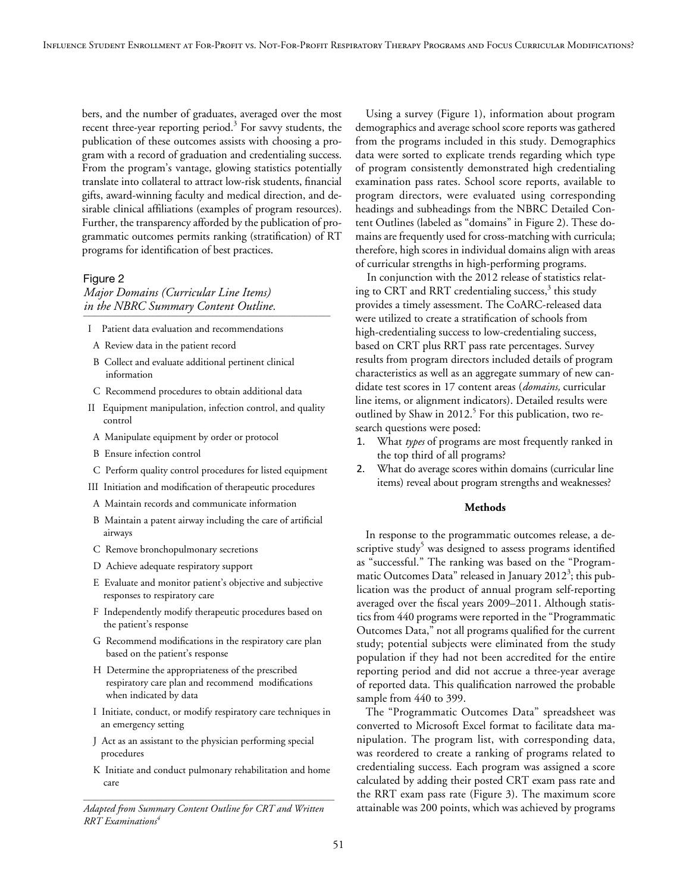bers, and the number of graduates, averaged over the most recent three-year reporting period.<sup>3</sup> For savvy students, the publication of these outcomes assists with choosing a program with a record of graduation and credentialing success. From the program's vantage, glowing statistics potentially translate into collateral to attract low-risk students, financial gifts, award-winning faculty and medical direction, and desirable clinical affiliations (examples of program resources). Further, the transparency afforded by the publication of programmatic outcomes permits ranking (stratification) of RT programs for identification of best practices.

# Figure 2

# *Major Domains (Curricular Line Items) in the NBRC Summary Content Outline.* \_\_\_\_\_\_\_\_\_\_\_\_\_\_\_\_\_\_\_\_\_\_\_\_\_\_\_\_\_\_\_\_\_\_\_\_\_\_\_\_\_\_\_\_\_\_\_\_\_\_\_\_\_\_\_\_\_\_\_\_\_\_

- I Patient data evaluation and recommendations
- A Review data in the patient record
- B Collect and evaluate additional pertinent clinical information
- C Recommend procedures to obtain additional data
- II Equipment manipulation, infection control, and quality control
- A Manipulate equipment by order or protocol
- B Ensure infection control
- C Perform quality control procedures for listed equipment
- III Initiation and modification of therapeutic procedures
- A Maintain records and communicate information
- B Maintain a patent airway including the care of artificial airways
- C Remove bronchopulmonary secretions
- D Achieve adequate respiratory support
- E Evaluate and monitor patient's objective and subjective responses to respiratory care
- F Independently modify therapeutic procedures based on the patient's response
- G Recommend modifications in the respiratory care plan based on the patient's response
- H Determine the appropriateness of the prescribed respiratory care plan and recommend modifications when indicated by data
- I Initiate, conduct, or modify respiratory care techniques in an emergency setting
- J Act as an assistant to the physician performing special procedures
- K Initiate and conduct pulmonary rehabilitation and home care \_\_\_\_\_\_\_\_\_\_\_\_\_\_\_\_\_\_\_\_\_\_\_\_\_\_\_\_\_\_\_\_\_\_\_\_\_\_\_\_\_\_\_\_\_\_\_\_\_\_\_\_\_\_\_\_\_\_\_\_\_\_\_

*Adapted from Summary Content Outline for CRT and Written RRT Examinations4*

Using a survey (Figure 1), information about program demographics and average school score reports was gathered from the programs included in this study. Demographics data were sorted to explicate trends regarding which type of program consistently demonstrated high credentialing examination pass rates. School score reports, available to program directors, were evaluated using corresponding headings and subheadings from the NBRC Detailed Content Outlines (labeled as "domains" in Figure 2). These domains are frequently used for cross-matching with curricula; therefore, high scores in individual domains align with areas of curricular strengths in high-performing programs.

In conjunction with the 2012 release of statistics relating to CRT and RRT credentialing success,<sup>3</sup> this study provides a timely assessment. The CoARC-released data were utilized to create a stratification of schools from high-credentialing success to low-credentialing success, based on CRT plus RRT pass rate percentages. Survey results from program directors included details of program characteristics as well as an aggregate summary of new candidate test scores in 17 content areas (*domains,* curricular line items, or alignment indicators). Detailed results were outlined by Shaw in 2012.<sup>5</sup> For this publication, two research questions were posed:

- 1. What *types* of programs are most frequently ranked in the top third of all programs?
- 2. What do average scores within domains (curricular line items) reveal about program strengths and weaknesses?

## **Methods**

In response to the programmatic outcomes release, a descriptive study<sup>5</sup> was designed to assess programs identified as "successful." The ranking was based on the "Programmatic Outcomes Data" released in January 2012<sup>3</sup>; this publication was the product of annual program self-reporting averaged over the fiscal years 2009–2011. Although statistics from 440 programs were reported in the "Programmatic Outcomes Data," not all programs qualified for the current study; potential subjects were eliminated from the study population if they had not been accredited for the entire reporting period and did not accrue a three-year average of reported data. This qualification narrowed the probable sample from 440 to 399.

The "Programmatic Outcomes Data" spreadsheet was converted to Microsoft Excel format to facilitate data manipulation. The program list, with corresponding data, was reordered to create a ranking of programs related to credentialing success. Each program was assigned a score calculated by adding their posted CRT exam pass rate and the RRT exam pass rate (Figure 3). The maximum score attainable was 200 points, which was achieved by programs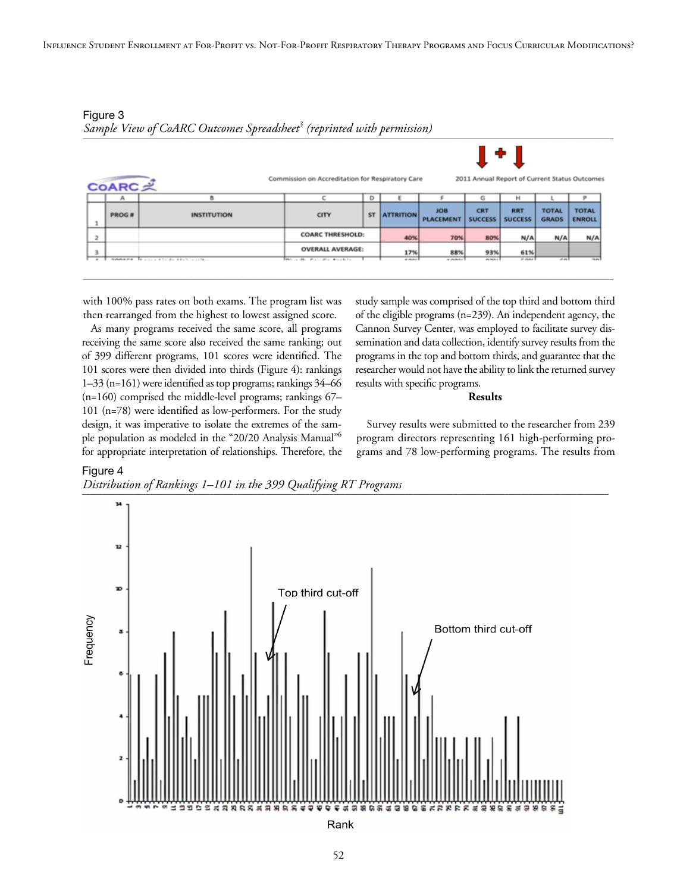

\_\_\_\_\_\_\_\_\_\_\_\_\_\_\_\_\_\_\_\_\_\_\_\_\_\_\_\_\_\_\_\_\_\_\_\_\_\_\_\_\_\_\_\_\_\_\_\_\_\_\_\_\_\_\_\_\_\_\_\_\_\_\_\_\_\_\_\_\_\_\_\_\_\_\_\_\_\_\_\_\_\_\_\_\_\_\_\_\_\_\_\_\_\_\_\_\_\_\_\_\_\_\_\_\_\_\_\_\_\_\_\_\_\_\_\_\_\_\_\_\_\_\_\_\_\_\_\_\_\_\_\_\_

Figure 3 *Sample View of CoARC Outcomes Spreadsheet<sup>3</sup> (reprinted with permission)* 

with 100% pass rates on both exams. The program list was then rearranged from the highest to lowest assigned score.

As many programs received the same score, all programs receiving the same score also received the same ranking; out of 399 different programs, 101 scores were identified. The 101 scores were then divided into thirds (Figure 4): rankings 1–33 (n=161) were identified as top programs; rankings 34–66 (n=160) comprised the middle-level programs; rankings 67– 101 (n=78) were identified as low-performers. For the study design, it was imperative to isolate the extremes of the sample population as modeled in the "20/20 Analysis Manual"6 for appropriate interpretation of relationships. Therefore, the study sample was comprised of the top third and bottom third of the eligible programs (n=239). An independent agency, the Cannon Survey Center, was employed to facilitate survey dissemination and data collection, identify survey results from the programs in the top and bottom thirds, and guarantee that the researcher would not have the ability to link the returned survey results with specific programs.

#### **Results**

Survey results were submitted to the researcher from 239 program directors representing 161 high-performing programs and 78 low-performing programs. The results from



*Distribution of Rankings 1–101 in the 399 Qualifying RT Programs* \_\_\_\_\_\_\_\_\_\_\_\_\_\_\_\_\_\_\_\_\_\_\_\_\_\_\_\_\_\_\_\_\_\_\_\_\_\_\_\_\_\_\_\_\_\_\_\_\_\_\_\_\_\_\_\_\_\_\_\_\_\_\_\_\_\_\_\_\_\_\_\_\_\_\_\_\_\_\_\_\_\_\_\_\_\_\_\_\_\_\_\_\_\_\_\_\_\_\_\_\_\_\_\_\_\_\_\_\_\_\_\_\_\_\_\_\_\_\_\_\_\_\_\_\_\_\_\_\_\_\_\_

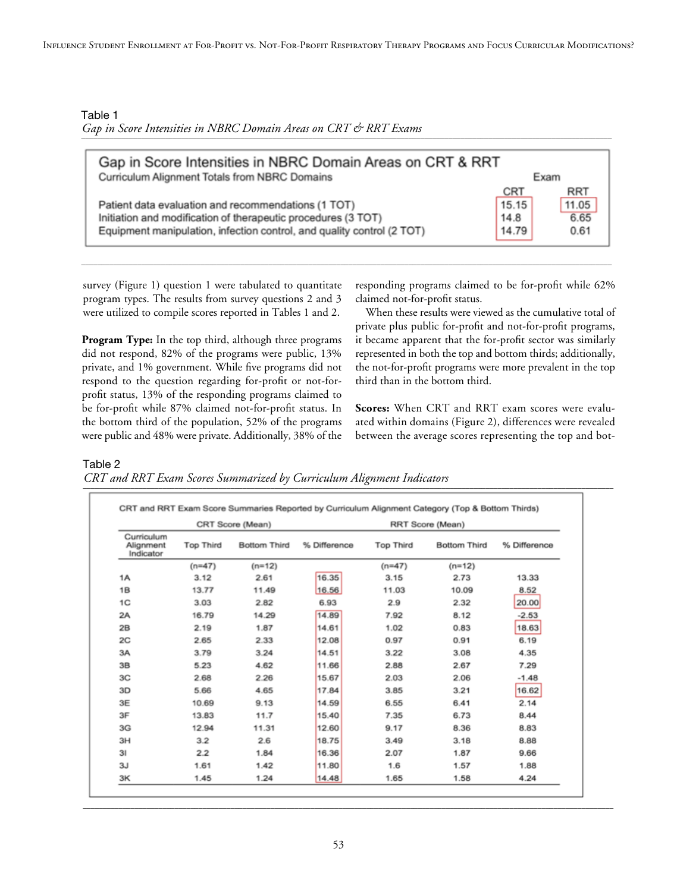Table 1 Gap in Score Intensities in NBRC Domain Areas on CRT & RRT Exams

| Gap in Score Intensities in NBRC Domain Areas on CRT & RRT<br>Curriculum Alignment Totals from NBRC Domains |            | Exam       |
|-------------------------------------------------------------------------------------------------------------|------------|------------|
|                                                                                                             | <b>CRT</b> | <b>RRT</b> |
| Patient data evaluation and recommendations (1 TOT)                                                         | 15.15      | 11.05      |
| Initiation and modification of therapeutic procedures (3 TOT)                                               | 14.8       | 6.65       |
| Equipment manipulation, infection control, and quality control (2 TOT)                                      | 14.79      | 0.61       |

\_\_\_\_\_\_\_\_\_\_\_\_\_\_\_\_\_\_\_\_\_\_\_\_\_\_\_\_\_\_\_\_\_\_\_\_\_\_\_\_\_\_\_\_\_\_\_\_\_\_\_\_\_\_\_\_\_\_\_\_\_\_\_\_\_\_\_\_\_\_\_\_\_\_\_\_\_\_\_\_\_\_\_\_\_\_\_\_\_\_\_\_\_\_\_\_\_\_\_\_\_\_\_\_\_\_\_\_\_\_\_\_\_\_\_\_\_\_\_\_\_\_\_\_\_\_\_\_\_\_\_\_\_

survey (Figure 1) question 1 were tabulated to quantitate program types. The results from survey questions 2 and 3 were utilized to compile scores reported in Tables 1 and 2.

**Program Type:** In the top third, although three programs did not respond, 82% of the programs were public, 13% private, and 1% government. While five programs did not respond to the question regarding for-profit or not-forprofit status, 13% of the responding programs claimed to be for-profit while 87% claimed not-for-profit status. In the bottom third of the population, 52% of the programs were public and 48% were private. Additionally, 38% of the

responding programs claimed to be for-profit while 62% claimed not-for-profit status.

When these results were viewed as the cumulative total of private plus public for-profit and not-for-profit programs, it became apparent that the for-profit sector was similarly represented in both the top and bottom thirds; additionally, the not-for-profit programs were more prevalent in the top third than in the bottom third.

**Scores:** When CRT and RRT exam scores were evaluated within domains (Figure 2), differences were revealed between the average scores representing the top and bot-

Table 2

*CRT and RRT Exam Scores Summarized by Curriculum Alignment Indicators* \_\_\_\_\_\_\_\_\_\_\_\_\_\_\_\_\_\_\_\_\_\_\_\_\_\_\_\_\_\_\_\_\_\_\_\_\_\_\_\_\_\_\_\_\_\_\_\_\_\_\_\_\_\_\_\_\_\_\_\_\_\_\_\_\_\_\_\_\_\_\_\_\_\_\_\_\_\_\_\_\_\_\_\_\_\_\_\_\_\_\_\_\_\_\_\_\_\_\_\_\_\_\_\_\_\_\_\_\_\_\_\_\_\_\_\_\_\_\_\_\_\_\_\_\_\_\_\_\_\_\_\_\_

|                                      |                  | CRT Score (Mean)    |              | RRT Score (Mean) |                     |              |  |  |  |  |  |
|--------------------------------------|------------------|---------------------|--------------|------------------|---------------------|--------------|--|--|--|--|--|
| Curriculum<br>Alignment<br>Indicator | <b>Top Third</b> | <b>Bottom Third</b> | % Difference | <b>Top Third</b> | <b>Bottom Third</b> | % Difference |  |  |  |  |  |
|                                      | $(n=47)$         | $(n=12)$            |              | $(n=47)$         | $(n=12)$            |              |  |  |  |  |  |
| 1A                                   | 3.12             | 2.61                | 16.35        | 3.15             | 2.73                | 13.33        |  |  |  |  |  |
| 1B                                   | 13.77            | 11.49               | 16.56        | 11.03            | 10.09               | 8.52         |  |  |  |  |  |
| 1 <sub>C</sub>                       | 3.03             | 2.82                | 6.93         | 2.9              | 2.32                | 20.00        |  |  |  |  |  |
| 2A                                   | 16.79            | 14.29               | 14.89        | 7.92             | 8.12                | $-2.53$      |  |  |  |  |  |
| 2B                                   | 2.19             | 1.87                | 14.61        | 1.02             | 0.83                | 18.63        |  |  |  |  |  |
| 2C                                   | 2.65             | 2.33                | 12.08        | 0.97             | 0.91                | 6.19         |  |  |  |  |  |
| 3A                                   | 3.79             | 3.24                | 14.51        | 3.22             | 3.08                | 4.35         |  |  |  |  |  |
| 3B                                   | 5.23             | 4.62                | 11.66        | 2.88             | 2.67                | 7.29         |  |  |  |  |  |
| 3C                                   | 2.68             | 2.26                | 15.67        | 2.03             | 2.06                | $-1.48$      |  |  |  |  |  |
| 3D                                   | 5.66             | 4.65                | 17.84        | 3.85             | 3.21                | 16.62        |  |  |  |  |  |
| 3E                                   | 10.69            | 9.13                | 14.59        | 6.55             | 6.41                | 2.14         |  |  |  |  |  |
| 3F                                   | 13.83            | 11.7                | 15.40        | 7.35             | 6.73                | 8.44         |  |  |  |  |  |
| 3G                                   | 12.94            | 11.31               | 12.60        | 9.17             | 8.36                | 8.83         |  |  |  |  |  |
| 3H                                   | 3.2              | 2.6                 | 18.75        | 3.49             | 3.18                | 8.88         |  |  |  |  |  |
| 31                                   | 2.2              | 1.84                | 16.36        | 2.07             | 1.87                | 9.66         |  |  |  |  |  |
| 3J                                   | 1.61             | 1.42                | 11.80        | 1.6              | 1.57                | 1.88         |  |  |  |  |  |
| 3K                                   | 1.45             | 1.24                | 14.48        | 1.65             | 1.58                | 4.24         |  |  |  |  |  |

\_\_\_\_\_\_\_\_\_\_\_\_\_\_\_\_\_\_\_\_\_\_\_\_\_\_\_\_\_\_\_\_\_\_\_\_\_\_\_\_\_\_\_\_\_\_\_\_\_\_\_\_\_\_\_\_\_\_\_\_\_\_\_\_\_\_\_\_\_\_\_\_\_\_\_\_\_\_\_\_\_\_\_\_\_\_\_\_\_\_\_\_\_\_\_\_\_\_\_\_\_\_\_\_\_\_\_\_\_\_\_\_\_\_\_\_\_\_\_\_\_\_\_\_\_\_\_\_\_\_\_\_\_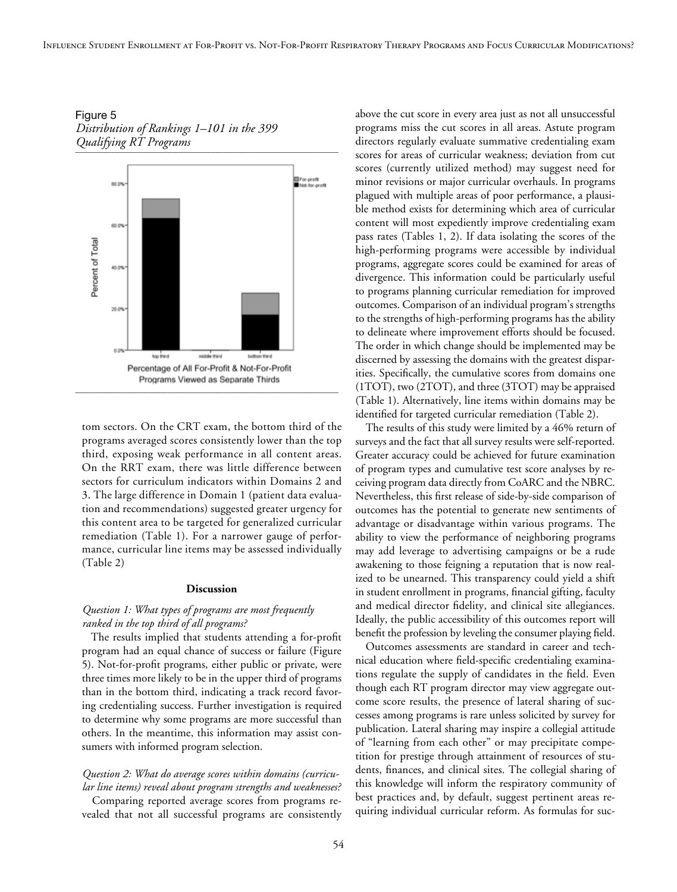Figure 5 *Distribution of Rankings 1–101 in the 399 Qualifying RT Programs* \_\_\_\_\_\_\_\_\_\_\_\_\_\_\_\_\_\_\_\_\_\_\_\_\_\_\_\_\_\_\_\_\_\_\_\_\_\_\_\_\_\_\_\_\_\_\_\_\_\_\_\_\_\_\_\_\_\_\_\_\_\_\_\_\_\_



tom sectors. On the CRT exam, the bottom third of the programs averaged scores consistently lower than the top third, exposing weak performance in all content areas. On the RRT exam, there was little difference between sectors for curriculum indicators within Domains 2 and 3. The large difference in Domain 1 (patient data evaluation and recommendations) suggested greater urgency for this content area to be targeted for generalized curricular remediation (Table 1). For a narrower gauge of performance, curricular line items may be assessed individually (Table 2)

#### **Discussion**

# *Question 1: What types of programs are most frequently ranked in the top third of all programs?*

The results implied that students attending a for-profit program had an equal chance of success or failure (Figure 5). Not-for-profit programs, either public or private, were three times more likely to be in the upper third of programs than in the bottom third, indicating a track record favoring credentialing success. Further investigation is required to determine why some programs are more successful than others. In the meantime, this information may assist consumers with informed program selection.

# *Question 2: What do average scores within domains (curricular line items) reveal about program strengths and weaknesses?*

Comparing reported average scores from programs revealed that not all successful programs are consistently above the cut score in every area just as not all unsuccessful programs miss the cut scores in all areas. Astute program directors regularly evaluate summative credentialing exam scores for areas of curricular weakness; deviation from cut scores (currently utilized method) may suggest need for minor revisions or major curricular overhauls. In programs plagued with multiple areas of poor performance, a plausible method exists for determining which area of curricular content will most expediently improve credentialing exam pass rates (Tables 1, 2). If data isolating the scores of the high-performing programs were accessible by individual programs, aggregate scores could be examined for areas of divergence. This information could be particularly useful to programs planning curricular remediation for improved outcomes. Comparison of an individual program's strengths to the strengths of high-performing programs has the ability to delineate where improvement efforts should be focused. The order in which change should be implemented may be discerned by assessing the domains with the greatest disparities. Specifically, the cumulative scores from domains one (1TOT), two (2TOT), and three (3TOT) may be appraised (Table 1). Alternatively, line items within domains may be identified for targeted curricular remediation (Table 2).

The results of this study were limited by a 46% return of surveys and the fact that all survey results were self-reported. Greater accuracy could be achieved for future examination of program types and cumulative test score analyses by receiving program data directly from CoARC and the NBRC. Nevertheless, this first release of side-by-side comparison of outcomes has the potential to generate new sentiments of advantage or disadvantage within various programs. The ability to view the performance of neighboring programs may add leverage to advertising campaigns or be a rude awakening to those feigning a reputation that is now realized to be unearned. This transparency could yield a shift in student enrollment in programs, financial gifting, faculty and medical director fidelity, and clinical site allegiances. Ideally, the public accessibility of this outcomes report will benefit the profession by leveling the consumer playing field.

Outcomes assessments are standard in career and technical education where field-specific credentialing examinations regulate the supply of candidates in the field. Even though each RT program director may view aggregate outcome score results, the presence of lateral sharing of successes among programs is rare unless solicited by survey for publication. Lateral sharing may inspire a collegial attitude of "learning from each other" or may precipitate competition for prestige through attainment of resources of students, finances, and clinical sites. The collegial sharing of this knowledge will inform the respiratory community of best practices and, by default, suggest pertinent areas requiring individual curricular reform. As formulas for suc